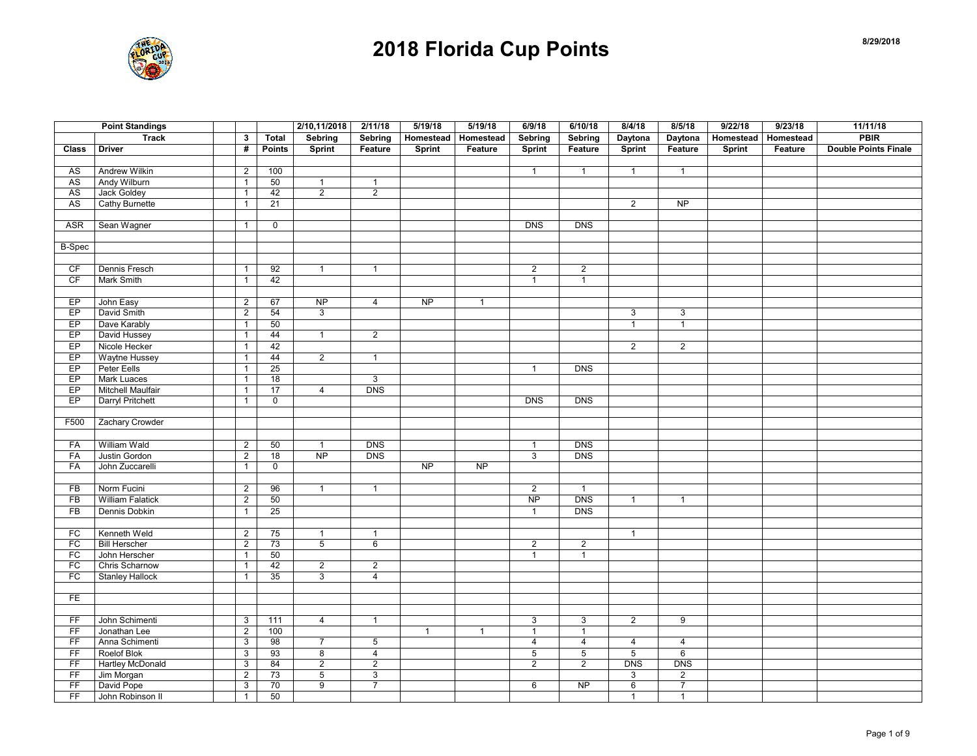

| $\mathbf{3}$<br><b>Total</b><br>Sebring<br>Homestead<br>Homestead<br>Sebring<br>Daytona<br>Daytona<br>Homestead<br>Homestead<br><b>Double Points Finale</b><br><b>Driver</b><br>#<br><b>Points</b><br><b>Sprint</b><br>Feature<br>Feature<br>Feature<br>Feature<br><b>Class</b><br>Feature<br>Sprint<br><b>Sprint</b><br><b>Sprint</b><br>Sprint<br>Andrew Wilkin<br>AS<br>$\overline{2}$<br>100<br>$\mathbf{1}$<br>$\mathbf{1}$<br>$\mathbf{1}$<br>$\mathbf{1}$<br>Andy Wilburn<br><b>AS</b><br>$\mathbf{1}$<br>50<br>$\mathbf{1}$<br>$\mathbf{1}$<br>42<br>$\overline{2}$<br>AS<br>Jack Goldey<br>$\overline{2}$<br>$\overline{1}$<br><b>AS</b><br>21<br>$\overline{2}$<br>NP<br><b>Cathy Burnette</b><br>$\mathbf{1}$<br><b>ASR</b><br>Sean Wagner<br>$\overline{0}$<br><b>DNS</b><br><b>DNS</b><br>$\mathbf{1}$<br><b>B-Spec</b><br>CF<br>Dennis Fresch<br>92<br>$\overline{2}$<br>$\overline{2}$<br>$\mathbf{1}$<br>$\mathbf{1}$<br>$\overline{1}$<br>CF<br>Mark Smith<br>$\mathbf{1}$<br>42<br>$\mathbf{1}$<br>$\mathbf{1}$<br><b>NP</b><br>EP<br>John Easy<br>67<br><b>NP</b><br>$\overline{4}$<br>$\overline{2}$<br>$\mathbf{1}$<br>EP<br>David Smith<br>$\overline{2}$<br>3<br>54<br>$\mathbf{3}$<br>$\mathbf{3}$<br>EP<br>Dave Karably<br>50<br>$\mathbf{1}$<br>$\mathbf{1}$<br>$\mathbf{1}$<br>EP<br>David Hussey<br>44<br>$\overline{2}$<br>$\mathbf{1}$<br>$\mathbf{1}$<br>EP<br>Nicole Hecker<br>42<br>$\overline{2}$<br>$\overline{2}$<br>$\mathbf{1}$<br>EP<br>Waytne Hussey<br>44<br>$\overline{2}$<br>$\mathbf{1}$<br>$\mathbf{1}$<br>EP<br>Peter Eells<br>25<br><b>DNS</b><br>$\mathbf{1}$<br>$\mathbf{1}$<br>EP<br><b>Mark Luaces</b><br>18<br>$\mathbf{3}$<br>$\mathbf{1}$<br>Mitchell Maulfair<br>17<br><b>DNS</b><br>EP<br>$\overline{4}$<br>$\mathbf{1}$<br>EP<br><b>Darryl Pritchett</b><br><b>DNS</b><br><b>DNS</b><br>$\mathbf{1}$<br>$\mathbf 0$<br>Zachary Crowder<br>F500<br>William Wald<br>50<br><b>DNS</b><br><b>DNS</b><br>FA<br>$\overline{2}$<br>$\mathbf{1}$<br>$\mathbf{1}$<br>FA<br>Justin Gordon<br>$\overline{2}$<br>18<br><b>NP</b><br><b>DNS</b><br>3<br><b>DNS</b><br>NP<br><b>NP</b><br>FA<br>John Zuccarelli<br>$\mathbf 0$<br>$\mathbf{1}$<br>Norm Fucini<br>$\overline{2}$<br><b>FB</b><br>$\overline{2}$<br>96<br>$\mathbf{1}$<br>$\mathbf{1}$<br>$\mathbf{1}$<br><b>DNS</b><br>FB<br><b>William Falatick</b><br>$\overline{2}$<br>$\overline{NP}$<br>50<br>$\mathbf{1}$<br>$\mathbf{1}$<br>Dennis Dobkin<br>25<br><b>DNS</b><br><b>FB</b><br>$\mathbf{1}$<br>$\mathbf{1}$<br>FC<br>Kenneth Weld<br>$\overline{2}$<br>75<br>$\mathbf{1}$<br>$\mathbf{1}$<br>$\mathbf{1}$<br>FC<br><b>Bill Herscher</b><br>$\overline{2}$<br>73<br>$\overline{5}$<br>6<br>$\overline{2}$<br>$\overline{2}$<br>FC<br>John Herscher<br>50<br>$\mathbf{1}$<br>$\mathbf{1}$<br>$\mathbf{1}$<br>FC<br><b>Chris Scharnow</b><br>42<br>$\overline{2}$<br>$\overline{2}$<br>$\mathbf{1}$<br>FC<br>35<br><b>Stanley Hallock</b><br>3<br>$\overline{4}$<br>$\mathbf{1}$<br>FE<br>$\overline{2}$<br>9<br>FF<br>John Schimenti<br>$\ensuremath{\mathsf{3}}$<br>111<br>$\overline{4}$<br>$\mathbf{1}$<br>3<br>3<br>FF<br>$\overline{2}$<br>Jonathan Lee<br>100<br>$\mathbf{1}$<br>$\mathbf{1}$<br>$\mathbf{1}$<br>$\overline{1}$<br>FF<br>Anna Schimenti<br>$\overline{3}$<br>98<br>$\overline{7}$<br>$\overline{4}$<br>5<br>$\overline{4}$<br>$\overline{4}$<br>$\overline{4}$<br>$6\overline{6}$<br>F<br>Roelof Blok<br>$\overline{4}$<br>$\,$ 5 $\,$<br>5<br>$\mathsf 3$<br>93<br>8<br>5<br>FF<br><b>Hartley McDonald</b><br>$\overline{3}$<br>84<br>$\overline{2}$<br>$\overline{2}$<br>$\overline{2}$<br>$\overline{2}$<br><b>DNS</b><br><b>DNS</b><br>FF<br>Jim Morgan<br>$\overline{\mathbf{c}}$<br>73<br>$\sqrt{5}$<br>$\ensuremath{\mathsf{3}}$<br>$\mathbf{3}$<br>$\overline{2}$<br>FF<br>David Pope<br>70<br>$\overline{9}$<br>$\overline{7}$<br><b>NP</b><br>$6\overline{6}$<br>$\overline{7}$<br>3<br>6<br>FF<br>John Robinson II<br>$\mathbf{1}$<br>$\mathbf{1}$<br>$\mathbf{1}$ | <b>Point Standings</b> |    | 2/10,11/2018 | 2/11/18 | 5/19/18 | 5/19/18 | 6/9/18  | 6/10/18 | 8/4/18 | 8/5/18 | 9/22/18 | 9/23/18 | 11/11/18    |
|-------------------------------------------------------------------------------------------------------------------------------------------------------------------------------------------------------------------------------------------------------------------------------------------------------------------------------------------------------------------------------------------------------------------------------------------------------------------------------------------------------------------------------------------------------------------------------------------------------------------------------------------------------------------------------------------------------------------------------------------------------------------------------------------------------------------------------------------------------------------------------------------------------------------------------------------------------------------------------------------------------------------------------------------------------------------------------------------------------------------------------------------------------------------------------------------------------------------------------------------------------------------------------------------------------------------------------------------------------------------------------------------------------------------------------------------------------------------------------------------------------------------------------------------------------------------------------------------------------------------------------------------------------------------------------------------------------------------------------------------------------------------------------------------------------------------------------------------------------------------------------------------------------------------------------------------------------------------------------------------------------------------------------------------------------------------------------------------------------------------------------------------------------------------------------------------------------------------------------------------------------------------------------------------------------------------------------------------------------------------------------------------------------------------------------------------------------------------------------------------------------------------------------------------------------------------------------------------------------------------------------------------------------------------------------------------------------------------------------------------------------------------------------------------------------------------------------------------------------------------------------------------------------------------------------------------------------------------------------------------------------------------------------------------------------------------------------------------------------------------------------------------------------------------------------------------------------------------------------------------------------------------------------------------------------------------------------------------------------------------------------------------------------------------------------------------------------------------------------------------------------------------------------------------------------------------------------------------------------------------------------------------------------------------------------------------------------------------------------------------------------------------------------------------------------------------------------------------------------------------------------------------------------------------------------------------------------------------------------------------------------------------|------------------------|----|--------------|---------|---------|---------|---------|---------|--------|--------|---------|---------|-------------|
|                                                                                                                                                                                                                                                                                                                                                                                                                                                                                                                                                                                                                                                                                                                                                                                                                                                                                                                                                                                                                                                                                                                                                                                                                                                                                                                                                                                                                                                                                                                                                                                                                                                                                                                                                                                                                                                                                                                                                                                                                                                                                                                                                                                                                                                                                                                                                                                                                                                                                                                                                                                                                                                                                                                                                                                                                                                                                                                                                                                                                                                                                                                                                                                                                                                                                                                                                                                                                                                                                                                                                                                                                                                                                                                                                                                                                                                                                                                                                                                                                   | <b>Track</b>           |    | Sebring      |         |         |         | Sebring |         |        |        |         |         | <b>PBIR</b> |
|                                                                                                                                                                                                                                                                                                                                                                                                                                                                                                                                                                                                                                                                                                                                                                                                                                                                                                                                                                                                                                                                                                                                                                                                                                                                                                                                                                                                                                                                                                                                                                                                                                                                                                                                                                                                                                                                                                                                                                                                                                                                                                                                                                                                                                                                                                                                                                                                                                                                                                                                                                                                                                                                                                                                                                                                                                                                                                                                                                                                                                                                                                                                                                                                                                                                                                                                                                                                                                                                                                                                                                                                                                                                                                                                                                                                                                                                                                                                                                                                                   |                        |    |              |         |         |         |         |         |        |        |         |         |             |
|                                                                                                                                                                                                                                                                                                                                                                                                                                                                                                                                                                                                                                                                                                                                                                                                                                                                                                                                                                                                                                                                                                                                                                                                                                                                                                                                                                                                                                                                                                                                                                                                                                                                                                                                                                                                                                                                                                                                                                                                                                                                                                                                                                                                                                                                                                                                                                                                                                                                                                                                                                                                                                                                                                                                                                                                                                                                                                                                                                                                                                                                                                                                                                                                                                                                                                                                                                                                                                                                                                                                                                                                                                                                                                                                                                                                                                                                                                                                                                                                                   |                        |    |              |         |         |         |         |         |        |        |         |         |             |
|                                                                                                                                                                                                                                                                                                                                                                                                                                                                                                                                                                                                                                                                                                                                                                                                                                                                                                                                                                                                                                                                                                                                                                                                                                                                                                                                                                                                                                                                                                                                                                                                                                                                                                                                                                                                                                                                                                                                                                                                                                                                                                                                                                                                                                                                                                                                                                                                                                                                                                                                                                                                                                                                                                                                                                                                                                                                                                                                                                                                                                                                                                                                                                                                                                                                                                                                                                                                                                                                                                                                                                                                                                                                                                                                                                                                                                                                                                                                                                                                                   |                        |    |              |         |         |         |         |         |        |        |         |         |             |
|                                                                                                                                                                                                                                                                                                                                                                                                                                                                                                                                                                                                                                                                                                                                                                                                                                                                                                                                                                                                                                                                                                                                                                                                                                                                                                                                                                                                                                                                                                                                                                                                                                                                                                                                                                                                                                                                                                                                                                                                                                                                                                                                                                                                                                                                                                                                                                                                                                                                                                                                                                                                                                                                                                                                                                                                                                                                                                                                                                                                                                                                                                                                                                                                                                                                                                                                                                                                                                                                                                                                                                                                                                                                                                                                                                                                                                                                                                                                                                                                                   |                        |    |              |         |         |         |         |         |        |        |         |         |             |
|                                                                                                                                                                                                                                                                                                                                                                                                                                                                                                                                                                                                                                                                                                                                                                                                                                                                                                                                                                                                                                                                                                                                                                                                                                                                                                                                                                                                                                                                                                                                                                                                                                                                                                                                                                                                                                                                                                                                                                                                                                                                                                                                                                                                                                                                                                                                                                                                                                                                                                                                                                                                                                                                                                                                                                                                                                                                                                                                                                                                                                                                                                                                                                                                                                                                                                                                                                                                                                                                                                                                                                                                                                                                                                                                                                                                                                                                                                                                                                                                                   |                        |    |              |         |         |         |         |         |        |        |         |         |             |
|                                                                                                                                                                                                                                                                                                                                                                                                                                                                                                                                                                                                                                                                                                                                                                                                                                                                                                                                                                                                                                                                                                                                                                                                                                                                                                                                                                                                                                                                                                                                                                                                                                                                                                                                                                                                                                                                                                                                                                                                                                                                                                                                                                                                                                                                                                                                                                                                                                                                                                                                                                                                                                                                                                                                                                                                                                                                                                                                                                                                                                                                                                                                                                                                                                                                                                                                                                                                                                                                                                                                                                                                                                                                                                                                                                                                                                                                                                                                                                                                                   |                        |    |              |         |         |         |         |         |        |        |         |         |             |
|                                                                                                                                                                                                                                                                                                                                                                                                                                                                                                                                                                                                                                                                                                                                                                                                                                                                                                                                                                                                                                                                                                                                                                                                                                                                                                                                                                                                                                                                                                                                                                                                                                                                                                                                                                                                                                                                                                                                                                                                                                                                                                                                                                                                                                                                                                                                                                                                                                                                                                                                                                                                                                                                                                                                                                                                                                                                                                                                                                                                                                                                                                                                                                                                                                                                                                                                                                                                                                                                                                                                                                                                                                                                                                                                                                                                                                                                                                                                                                                                                   |                        |    |              |         |         |         |         |         |        |        |         |         |             |
|                                                                                                                                                                                                                                                                                                                                                                                                                                                                                                                                                                                                                                                                                                                                                                                                                                                                                                                                                                                                                                                                                                                                                                                                                                                                                                                                                                                                                                                                                                                                                                                                                                                                                                                                                                                                                                                                                                                                                                                                                                                                                                                                                                                                                                                                                                                                                                                                                                                                                                                                                                                                                                                                                                                                                                                                                                                                                                                                                                                                                                                                                                                                                                                                                                                                                                                                                                                                                                                                                                                                                                                                                                                                                                                                                                                                                                                                                                                                                                                                                   |                        |    |              |         |         |         |         |         |        |        |         |         |             |
|                                                                                                                                                                                                                                                                                                                                                                                                                                                                                                                                                                                                                                                                                                                                                                                                                                                                                                                                                                                                                                                                                                                                                                                                                                                                                                                                                                                                                                                                                                                                                                                                                                                                                                                                                                                                                                                                                                                                                                                                                                                                                                                                                                                                                                                                                                                                                                                                                                                                                                                                                                                                                                                                                                                                                                                                                                                                                                                                                                                                                                                                                                                                                                                                                                                                                                                                                                                                                                                                                                                                                                                                                                                                                                                                                                                                                                                                                                                                                                                                                   |                        |    |              |         |         |         |         |         |        |        |         |         |             |
|                                                                                                                                                                                                                                                                                                                                                                                                                                                                                                                                                                                                                                                                                                                                                                                                                                                                                                                                                                                                                                                                                                                                                                                                                                                                                                                                                                                                                                                                                                                                                                                                                                                                                                                                                                                                                                                                                                                                                                                                                                                                                                                                                                                                                                                                                                                                                                                                                                                                                                                                                                                                                                                                                                                                                                                                                                                                                                                                                                                                                                                                                                                                                                                                                                                                                                                                                                                                                                                                                                                                                                                                                                                                                                                                                                                                                                                                                                                                                                                                                   |                        |    |              |         |         |         |         |         |        |        |         |         |             |
|                                                                                                                                                                                                                                                                                                                                                                                                                                                                                                                                                                                                                                                                                                                                                                                                                                                                                                                                                                                                                                                                                                                                                                                                                                                                                                                                                                                                                                                                                                                                                                                                                                                                                                                                                                                                                                                                                                                                                                                                                                                                                                                                                                                                                                                                                                                                                                                                                                                                                                                                                                                                                                                                                                                                                                                                                                                                                                                                                                                                                                                                                                                                                                                                                                                                                                                                                                                                                                                                                                                                                                                                                                                                                                                                                                                                                                                                                                                                                                                                                   |                        |    |              |         |         |         |         |         |        |        |         |         |             |
|                                                                                                                                                                                                                                                                                                                                                                                                                                                                                                                                                                                                                                                                                                                                                                                                                                                                                                                                                                                                                                                                                                                                                                                                                                                                                                                                                                                                                                                                                                                                                                                                                                                                                                                                                                                                                                                                                                                                                                                                                                                                                                                                                                                                                                                                                                                                                                                                                                                                                                                                                                                                                                                                                                                                                                                                                                                                                                                                                                                                                                                                                                                                                                                                                                                                                                                                                                                                                                                                                                                                                                                                                                                                                                                                                                                                                                                                                                                                                                                                                   |                        |    |              |         |         |         |         |         |        |        |         |         |             |
|                                                                                                                                                                                                                                                                                                                                                                                                                                                                                                                                                                                                                                                                                                                                                                                                                                                                                                                                                                                                                                                                                                                                                                                                                                                                                                                                                                                                                                                                                                                                                                                                                                                                                                                                                                                                                                                                                                                                                                                                                                                                                                                                                                                                                                                                                                                                                                                                                                                                                                                                                                                                                                                                                                                                                                                                                                                                                                                                                                                                                                                                                                                                                                                                                                                                                                                                                                                                                                                                                                                                                                                                                                                                                                                                                                                                                                                                                                                                                                                                                   |                        |    |              |         |         |         |         |         |        |        |         |         |             |
|                                                                                                                                                                                                                                                                                                                                                                                                                                                                                                                                                                                                                                                                                                                                                                                                                                                                                                                                                                                                                                                                                                                                                                                                                                                                                                                                                                                                                                                                                                                                                                                                                                                                                                                                                                                                                                                                                                                                                                                                                                                                                                                                                                                                                                                                                                                                                                                                                                                                                                                                                                                                                                                                                                                                                                                                                                                                                                                                                                                                                                                                                                                                                                                                                                                                                                                                                                                                                                                                                                                                                                                                                                                                                                                                                                                                                                                                                                                                                                                                                   |                        |    |              |         |         |         |         |         |        |        |         |         |             |
|                                                                                                                                                                                                                                                                                                                                                                                                                                                                                                                                                                                                                                                                                                                                                                                                                                                                                                                                                                                                                                                                                                                                                                                                                                                                                                                                                                                                                                                                                                                                                                                                                                                                                                                                                                                                                                                                                                                                                                                                                                                                                                                                                                                                                                                                                                                                                                                                                                                                                                                                                                                                                                                                                                                                                                                                                                                                                                                                                                                                                                                                                                                                                                                                                                                                                                                                                                                                                                                                                                                                                                                                                                                                                                                                                                                                                                                                                                                                                                                                                   |                        |    |              |         |         |         |         |         |        |        |         |         |             |
|                                                                                                                                                                                                                                                                                                                                                                                                                                                                                                                                                                                                                                                                                                                                                                                                                                                                                                                                                                                                                                                                                                                                                                                                                                                                                                                                                                                                                                                                                                                                                                                                                                                                                                                                                                                                                                                                                                                                                                                                                                                                                                                                                                                                                                                                                                                                                                                                                                                                                                                                                                                                                                                                                                                                                                                                                                                                                                                                                                                                                                                                                                                                                                                                                                                                                                                                                                                                                                                                                                                                                                                                                                                                                                                                                                                                                                                                                                                                                                                                                   |                        |    |              |         |         |         |         |         |        |        |         |         |             |
|                                                                                                                                                                                                                                                                                                                                                                                                                                                                                                                                                                                                                                                                                                                                                                                                                                                                                                                                                                                                                                                                                                                                                                                                                                                                                                                                                                                                                                                                                                                                                                                                                                                                                                                                                                                                                                                                                                                                                                                                                                                                                                                                                                                                                                                                                                                                                                                                                                                                                                                                                                                                                                                                                                                                                                                                                                                                                                                                                                                                                                                                                                                                                                                                                                                                                                                                                                                                                                                                                                                                                                                                                                                                                                                                                                                                                                                                                                                                                                                                                   |                        |    |              |         |         |         |         |         |        |        |         |         |             |
|                                                                                                                                                                                                                                                                                                                                                                                                                                                                                                                                                                                                                                                                                                                                                                                                                                                                                                                                                                                                                                                                                                                                                                                                                                                                                                                                                                                                                                                                                                                                                                                                                                                                                                                                                                                                                                                                                                                                                                                                                                                                                                                                                                                                                                                                                                                                                                                                                                                                                                                                                                                                                                                                                                                                                                                                                                                                                                                                                                                                                                                                                                                                                                                                                                                                                                                                                                                                                                                                                                                                                                                                                                                                                                                                                                                                                                                                                                                                                                                                                   |                        |    |              |         |         |         |         |         |        |        |         |         |             |
|                                                                                                                                                                                                                                                                                                                                                                                                                                                                                                                                                                                                                                                                                                                                                                                                                                                                                                                                                                                                                                                                                                                                                                                                                                                                                                                                                                                                                                                                                                                                                                                                                                                                                                                                                                                                                                                                                                                                                                                                                                                                                                                                                                                                                                                                                                                                                                                                                                                                                                                                                                                                                                                                                                                                                                                                                                                                                                                                                                                                                                                                                                                                                                                                                                                                                                                                                                                                                                                                                                                                                                                                                                                                                                                                                                                                                                                                                                                                                                                                                   |                        |    |              |         |         |         |         |         |        |        |         |         |             |
|                                                                                                                                                                                                                                                                                                                                                                                                                                                                                                                                                                                                                                                                                                                                                                                                                                                                                                                                                                                                                                                                                                                                                                                                                                                                                                                                                                                                                                                                                                                                                                                                                                                                                                                                                                                                                                                                                                                                                                                                                                                                                                                                                                                                                                                                                                                                                                                                                                                                                                                                                                                                                                                                                                                                                                                                                                                                                                                                                                                                                                                                                                                                                                                                                                                                                                                                                                                                                                                                                                                                                                                                                                                                                                                                                                                                                                                                                                                                                                                                                   |                        |    |              |         |         |         |         |         |        |        |         |         |             |
|                                                                                                                                                                                                                                                                                                                                                                                                                                                                                                                                                                                                                                                                                                                                                                                                                                                                                                                                                                                                                                                                                                                                                                                                                                                                                                                                                                                                                                                                                                                                                                                                                                                                                                                                                                                                                                                                                                                                                                                                                                                                                                                                                                                                                                                                                                                                                                                                                                                                                                                                                                                                                                                                                                                                                                                                                                                                                                                                                                                                                                                                                                                                                                                                                                                                                                                                                                                                                                                                                                                                                                                                                                                                                                                                                                                                                                                                                                                                                                                                                   |                        |    |              |         |         |         |         |         |        |        |         |         |             |
|                                                                                                                                                                                                                                                                                                                                                                                                                                                                                                                                                                                                                                                                                                                                                                                                                                                                                                                                                                                                                                                                                                                                                                                                                                                                                                                                                                                                                                                                                                                                                                                                                                                                                                                                                                                                                                                                                                                                                                                                                                                                                                                                                                                                                                                                                                                                                                                                                                                                                                                                                                                                                                                                                                                                                                                                                                                                                                                                                                                                                                                                                                                                                                                                                                                                                                                                                                                                                                                                                                                                                                                                                                                                                                                                                                                                                                                                                                                                                                                                                   |                        |    |              |         |         |         |         |         |        |        |         |         |             |
|                                                                                                                                                                                                                                                                                                                                                                                                                                                                                                                                                                                                                                                                                                                                                                                                                                                                                                                                                                                                                                                                                                                                                                                                                                                                                                                                                                                                                                                                                                                                                                                                                                                                                                                                                                                                                                                                                                                                                                                                                                                                                                                                                                                                                                                                                                                                                                                                                                                                                                                                                                                                                                                                                                                                                                                                                                                                                                                                                                                                                                                                                                                                                                                                                                                                                                                                                                                                                                                                                                                                                                                                                                                                                                                                                                                                                                                                                                                                                                                                                   |                        |    |              |         |         |         |         |         |        |        |         |         |             |
|                                                                                                                                                                                                                                                                                                                                                                                                                                                                                                                                                                                                                                                                                                                                                                                                                                                                                                                                                                                                                                                                                                                                                                                                                                                                                                                                                                                                                                                                                                                                                                                                                                                                                                                                                                                                                                                                                                                                                                                                                                                                                                                                                                                                                                                                                                                                                                                                                                                                                                                                                                                                                                                                                                                                                                                                                                                                                                                                                                                                                                                                                                                                                                                                                                                                                                                                                                                                                                                                                                                                                                                                                                                                                                                                                                                                                                                                                                                                                                                                                   |                        |    |              |         |         |         |         |         |        |        |         |         |             |
|                                                                                                                                                                                                                                                                                                                                                                                                                                                                                                                                                                                                                                                                                                                                                                                                                                                                                                                                                                                                                                                                                                                                                                                                                                                                                                                                                                                                                                                                                                                                                                                                                                                                                                                                                                                                                                                                                                                                                                                                                                                                                                                                                                                                                                                                                                                                                                                                                                                                                                                                                                                                                                                                                                                                                                                                                                                                                                                                                                                                                                                                                                                                                                                                                                                                                                                                                                                                                                                                                                                                                                                                                                                                                                                                                                                                                                                                                                                                                                                                                   |                        |    |              |         |         |         |         |         |        |        |         |         |             |
|                                                                                                                                                                                                                                                                                                                                                                                                                                                                                                                                                                                                                                                                                                                                                                                                                                                                                                                                                                                                                                                                                                                                                                                                                                                                                                                                                                                                                                                                                                                                                                                                                                                                                                                                                                                                                                                                                                                                                                                                                                                                                                                                                                                                                                                                                                                                                                                                                                                                                                                                                                                                                                                                                                                                                                                                                                                                                                                                                                                                                                                                                                                                                                                                                                                                                                                                                                                                                                                                                                                                                                                                                                                                                                                                                                                                                                                                                                                                                                                                                   |                        |    |              |         |         |         |         |         |        |        |         |         |             |
|                                                                                                                                                                                                                                                                                                                                                                                                                                                                                                                                                                                                                                                                                                                                                                                                                                                                                                                                                                                                                                                                                                                                                                                                                                                                                                                                                                                                                                                                                                                                                                                                                                                                                                                                                                                                                                                                                                                                                                                                                                                                                                                                                                                                                                                                                                                                                                                                                                                                                                                                                                                                                                                                                                                                                                                                                                                                                                                                                                                                                                                                                                                                                                                                                                                                                                                                                                                                                                                                                                                                                                                                                                                                                                                                                                                                                                                                                                                                                                                                                   |                        |    |              |         |         |         |         |         |        |        |         |         |             |
|                                                                                                                                                                                                                                                                                                                                                                                                                                                                                                                                                                                                                                                                                                                                                                                                                                                                                                                                                                                                                                                                                                                                                                                                                                                                                                                                                                                                                                                                                                                                                                                                                                                                                                                                                                                                                                                                                                                                                                                                                                                                                                                                                                                                                                                                                                                                                                                                                                                                                                                                                                                                                                                                                                                                                                                                                                                                                                                                                                                                                                                                                                                                                                                                                                                                                                                                                                                                                                                                                                                                                                                                                                                                                                                                                                                                                                                                                                                                                                                                                   |                        |    |              |         |         |         |         |         |        |        |         |         |             |
|                                                                                                                                                                                                                                                                                                                                                                                                                                                                                                                                                                                                                                                                                                                                                                                                                                                                                                                                                                                                                                                                                                                                                                                                                                                                                                                                                                                                                                                                                                                                                                                                                                                                                                                                                                                                                                                                                                                                                                                                                                                                                                                                                                                                                                                                                                                                                                                                                                                                                                                                                                                                                                                                                                                                                                                                                                                                                                                                                                                                                                                                                                                                                                                                                                                                                                                                                                                                                                                                                                                                                                                                                                                                                                                                                                                                                                                                                                                                                                                                                   |                        |    |              |         |         |         |         |         |        |        |         |         |             |
|                                                                                                                                                                                                                                                                                                                                                                                                                                                                                                                                                                                                                                                                                                                                                                                                                                                                                                                                                                                                                                                                                                                                                                                                                                                                                                                                                                                                                                                                                                                                                                                                                                                                                                                                                                                                                                                                                                                                                                                                                                                                                                                                                                                                                                                                                                                                                                                                                                                                                                                                                                                                                                                                                                                                                                                                                                                                                                                                                                                                                                                                                                                                                                                                                                                                                                                                                                                                                                                                                                                                                                                                                                                                                                                                                                                                                                                                                                                                                                                                                   |                        |    |              |         |         |         |         |         |        |        |         |         |             |
|                                                                                                                                                                                                                                                                                                                                                                                                                                                                                                                                                                                                                                                                                                                                                                                                                                                                                                                                                                                                                                                                                                                                                                                                                                                                                                                                                                                                                                                                                                                                                                                                                                                                                                                                                                                                                                                                                                                                                                                                                                                                                                                                                                                                                                                                                                                                                                                                                                                                                                                                                                                                                                                                                                                                                                                                                                                                                                                                                                                                                                                                                                                                                                                                                                                                                                                                                                                                                                                                                                                                                                                                                                                                                                                                                                                                                                                                                                                                                                                                                   |                        |    |              |         |         |         |         |         |        |        |         |         |             |
|                                                                                                                                                                                                                                                                                                                                                                                                                                                                                                                                                                                                                                                                                                                                                                                                                                                                                                                                                                                                                                                                                                                                                                                                                                                                                                                                                                                                                                                                                                                                                                                                                                                                                                                                                                                                                                                                                                                                                                                                                                                                                                                                                                                                                                                                                                                                                                                                                                                                                                                                                                                                                                                                                                                                                                                                                                                                                                                                                                                                                                                                                                                                                                                                                                                                                                                                                                                                                                                                                                                                                                                                                                                                                                                                                                                                                                                                                                                                                                                                                   |                        |    |              |         |         |         |         |         |        |        |         |         |             |
|                                                                                                                                                                                                                                                                                                                                                                                                                                                                                                                                                                                                                                                                                                                                                                                                                                                                                                                                                                                                                                                                                                                                                                                                                                                                                                                                                                                                                                                                                                                                                                                                                                                                                                                                                                                                                                                                                                                                                                                                                                                                                                                                                                                                                                                                                                                                                                                                                                                                                                                                                                                                                                                                                                                                                                                                                                                                                                                                                                                                                                                                                                                                                                                                                                                                                                                                                                                                                                                                                                                                                                                                                                                                                                                                                                                                                                                                                                                                                                                                                   |                        |    |              |         |         |         |         |         |        |        |         |         |             |
|                                                                                                                                                                                                                                                                                                                                                                                                                                                                                                                                                                                                                                                                                                                                                                                                                                                                                                                                                                                                                                                                                                                                                                                                                                                                                                                                                                                                                                                                                                                                                                                                                                                                                                                                                                                                                                                                                                                                                                                                                                                                                                                                                                                                                                                                                                                                                                                                                                                                                                                                                                                                                                                                                                                                                                                                                                                                                                                                                                                                                                                                                                                                                                                                                                                                                                                                                                                                                                                                                                                                                                                                                                                                                                                                                                                                                                                                                                                                                                                                                   |                        |    |              |         |         |         |         |         |        |        |         |         |             |
|                                                                                                                                                                                                                                                                                                                                                                                                                                                                                                                                                                                                                                                                                                                                                                                                                                                                                                                                                                                                                                                                                                                                                                                                                                                                                                                                                                                                                                                                                                                                                                                                                                                                                                                                                                                                                                                                                                                                                                                                                                                                                                                                                                                                                                                                                                                                                                                                                                                                                                                                                                                                                                                                                                                                                                                                                                                                                                                                                                                                                                                                                                                                                                                                                                                                                                                                                                                                                                                                                                                                                                                                                                                                                                                                                                                                                                                                                                                                                                                                                   |                        |    |              |         |         |         |         |         |        |        |         |         |             |
|                                                                                                                                                                                                                                                                                                                                                                                                                                                                                                                                                                                                                                                                                                                                                                                                                                                                                                                                                                                                                                                                                                                                                                                                                                                                                                                                                                                                                                                                                                                                                                                                                                                                                                                                                                                                                                                                                                                                                                                                                                                                                                                                                                                                                                                                                                                                                                                                                                                                                                                                                                                                                                                                                                                                                                                                                                                                                                                                                                                                                                                                                                                                                                                                                                                                                                                                                                                                                                                                                                                                                                                                                                                                                                                                                                                                                                                                                                                                                                                                                   |                        |    |              |         |         |         |         |         |        |        |         |         |             |
|                                                                                                                                                                                                                                                                                                                                                                                                                                                                                                                                                                                                                                                                                                                                                                                                                                                                                                                                                                                                                                                                                                                                                                                                                                                                                                                                                                                                                                                                                                                                                                                                                                                                                                                                                                                                                                                                                                                                                                                                                                                                                                                                                                                                                                                                                                                                                                                                                                                                                                                                                                                                                                                                                                                                                                                                                                                                                                                                                                                                                                                                                                                                                                                                                                                                                                                                                                                                                                                                                                                                                                                                                                                                                                                                                                                                                                                                                                                                                                                                                   |                        |    |              |         |         |         |         |         |        |        |         |         |             |
|                                                                                                                                                                                                                                                                                                                                                                                                                                                                                                                                                                                                                                                                                                                                                                                                                                                                                                                                                                                                                                                                                                                                                                                                                                                                                                                                                                                                                                                                                                                                                                                                                                                                                                                                                                                                                                                                                                                                                                                                                                                                                                                                                                                                                                                                                                                                                                                                                                                                                                                                                                                                                                                                                                                                                                                                                                                                                                                                                                                                                                                                                                                                                                                                                                                                                                                                                                                                                                                                                                                                                                                                                                                                                                                                                                                                                                                                                                                                                                                                                   |                        |    |              |         |         |         |         |         |        |        |         |         |             |
|                                                                                                                                                                                                                                                                                                                                                                                                                                                                                                                                                                                                                                                                                                                                                                                                                                                                                                                                                                                                                                                                                                                                                                                                                                                                                                                                                                                                                                                                                                                                                                                                                                                                                                                                                                                                                                                                                                                                                                                                                                                                                                                                                                                                                                                                                                                                                                                                                                                                                                                                                                                                                                                                                                                                                                                                                                                                                                                                                                                                                                                                                                                                                                                                                                                                                                                                                                                                                                                                                                                                                                                                                                                                                                                                                                                                                                                                                                                                                                                                                   |                        |    |              |         |         |         |         |         |        |        |         |         |             |
|                                                                                                                                                                                                                                                                                                                                                                                                                                                                                                                                                                                                                                                                                                                                                                                                                                                                                                                                                                                                                                                                                                                                                                                                                                                                                                                                                                                                                                                                                                                                                                                                                                                                                                                                                                                                                                                                                                                                                                                                                                                                                                                                                                                                                                                                                                                                                                                                                                                                                                                                                                                                                                                                                                                                                                                                                                                                                                                                                                                                                                                                                                                                                                                                                                                                                                                                                                                                                                                                                                                                                                                                                                                                                                                                                                                                                                                                                                                                                                                                                   |                        |    |              |         |         |         |         |         |        |        |         |         |             |
|                                                                                                                                                                                                                                                                                                                                                                                                                                                                                                                                                                                                                                                                                                                                                                                                                                                                                                                                                                                                                                                                                                                                                                                                                                                                                                                                                                                                                                                                                                                                                                                                                                                                                                                                                                                                                                                                                                                                                                                                                                                                                                                                                                                                                                                                                                                                                                                                                                                                                                                                                                                                                                                                                                                                                                                                                                                                                                                                                                                                                                                                                                                                                                                                                                                                                                                                                                                                                                                                                                                                                                                                                                                                                                                                                                                                                                                                                                                                                                                                                   |                        |    |              |         |         |         |         |         |        |        |         |         |             |
|                                                                                                                                                                                                                                                                                                                                                                                                                                                                                                                                                                                                                                                                                                                                                                                                                                                                                                                                                                                                                                                                                                                                                                                                                                                                                                                                                                                                                                                                                                                                                                                                                                                                                                                                                                                                                                                                                                                                                                                                                                                                                                                                                                                                                                                                                                                                                                                                                                                                                                                                                                                                                                                                                                                                                                                                                                                                                                                                                                                                                                                                                                                                                                                                                                                                                                                                                                                                                                                                                                                                                                                                                                                                                                                                                                                                                                                                                                                                                                                                                   |                        |    |              |         |         |         |         |         |        |        |         |         |             |
|                                                                                                                                                                                                                                                                                                                                                                                                                                                                                                                                                                                                                                                                                                                                                                                                                                                                                                                                                                                                                                                                                                                                                                                                                                                                                                                                                                                                                                                                                                                                                                                                                                                                                                                                                                                                                                                                                                                                                                                                                                                                                                                                                                                                                                                                                                                                                                                                                                                                                                                                                                                                                                                                                                                                                                                                                                                                                                                                                                                                                                                                                                                                                                                                                                                                                                                                                                                                                                                                                                                                                                                                                                                                                                                                                                                                                                                                                                                                                                                                                   |                        |    |              |         |         |         |         |         |        |        |         |         |             |
|                                                                                                                                                                                                                                                                                                                                                                                                                                                                                                                                                                                                                                                                                                                                                                                                                                                                                                                                                                                                                                                                                                                                                                                                                                                                                                                                                                                                                                                                                                                                                                                                                                                                                                                                                                                                                                                                                                                                                                                                                                                                                                                                                                                                                                                                                                                                                                                                                                                                                                                                                                                                                                                                                                                                                                                                                                                                                                                                                                                                                                                                                                                                                                                                                                                                                                                                                                                                                                                                                                                                                                                                                                                                                                                                                                                                                                                                                                                                                                                                                   |                        |    |              |         |         |         |         |         |        |        |         |         |             |
|                                                                                                                                                                                                                                                                                                                                                                                                                                                                                                                                                                                                                                                                                                                                                                                                                                                                                                                                                                                                                                                                                                                                                                                                                                                                                                                                                                                                                                                                                                                                                                                                                                                                                                                                                                                                                                                                                                                                                                                                                                                                                                                                                                                                                                                                                                                                                                                                                                                                                                                                                                                                                                                                                                                                                                                                                                                                                                                                                                                                                                                                                                                                                                                                                                                                                                                                                                                                                                                                                                                                                                                                                                                                                                                                                                                                                                                                                                                                                                                                                   |                        |    |              |         |         |         |         |         |        |        |         |         |             |
|                                                                                                                                                                                                                                                                                                                                                                                                                                                                                                                                                                                                                                                                                                                                                                                                                                                                                                                                                                                                                                                                                                                                                                                                                                                                                                                                                                                                                                                                                                                                                                                                                                                                                                                                                                                                                                                                                                                                                                                                                                                                                                                                                                                                                                                                                                                                                                                                                                                                                                                                                                                                                                                                                                                                                                                                                                                                                                                                                                                                                                                                                                                                                                                                                                                                                                                                                                                                                                                                                                                                                                                                                                                                                                                                                                                                                                                                                                                                                                                                                   |                        |    |              |         |         |         |         |         |        |        |         |         |             |
|                                                                                                                                                                                                                                                                                                                                                                                                                                                                                                                                                                                                                                                                                                                                                                                                                                                                                                                                                                                                                                                                                                                                                                                                                                                                                                                                                                                                                                                                                                                                                                                                                                                                                                                                                                                                                                                                                                                                                                                                                                                                                                                                                                                                                                                                                                                                                                                                                                                                                                                                                                                                                                                                                                                                                                                                                                                                                                                                                                                                                                                                                                                                                                                                                                                                                                                                                                                                                                                                                                                                                                                                                                                                                                                                                                                                                                                                                                                                                                                                                   |                        |    |              |         |         |         |         |         |        |        |         |         |             |
|                                                                                                                                                                                                                                                                                                                                                                                                                                                                                                                                                                                                                                                                                                                                                                                                                                                                                                                                                                                                                                                                                                                                                                                                                                                                                                                                                                                                                                                                                                                                                                                                                                                                                                                                                                                                                                                                                                                                                                                                                                                                                                                                                                                                                                                                                                                                                                                                                                                                                                                                                                                                                                                                                                                                                                                                                                                                                                                                                                                                                                                                                                                                                                                                                                                                                                                                                                                                                                                                                                                                                                                                                                                                                                                                                                                                                                                                                                                                                                                                                   |                        |    |              |         |         |         |         |         |        |        |         |         |             |
|                                                                                                                                                                                                                                                                                                                                                                                                                                                                                                                                                                                                                                                                                                                                                                                                                                                                                                                                                                                                                                                                                                                                                                                                                                                                                                                                                                                                                                                                                                                                                                                                                                                                                                                                                                                                                                                                                                                                                                                                                                                                                                                                                                                                                                                                                                                                                                                                                                                                                                                                                                                                                                                                                                                                                                                                                                                                                                                                                                                                                                                                                                                                                                                                                                                                                                                                                                                                                                                                                                                                                                                                                                                                                                                                                                                                                                                                                                                                                                                                                   |                        |    |              |         |         |         |         |         |        |        |         |         |             |
|                                                                                                                                                                                                                                                                                                                                                                                                                                                                                                                                                                                                                                                                                                                                                                                                                                                                                                                                                                                                                                                                                                                                                                                                                                                                                                                                                                                                                                                                                                                                                                                                                                                                                                                                                                                                                                                                                                                                                                                                                                                                                                                                                                                                                                                                                                                                                                                                                                                                                                                                                                                                                                                                                                                                                                                                                                                                                                                                                                                                                                                                                                                                                                                                                                                                                                                                                                                                                                                                                                                                                                                                                                                                                                                                                                                                                                                                                                                                                                                                                   |                        |    |              |         |         |         |         |         |        |        |         |         |             |
|                                                                                                                                                                                                                                                                                                                                                                                                                                                                                                                                                                                                                                                                                                                                                                                                                                                                                                                                                                                                                                                                                                                                                                                                                                                                                                                                                                                                                                                                                                                                                                                                                                                                                                                                                                                                                                                                                                                                                                                                                                                                                                                                                                                                                                                                                                                                                                                                                                                                                                                                                                                                                                                                                                                                                                                                                                                                                                                                                                                                                                                                                                                                                                                                                                                                                                                                                                                                                                                                                                                                                                                                                                                                                                                                                                                                                                                                                                                                                                                                                   |                        | 50 |              |         |         |         |         |         |        |        |         |         |             |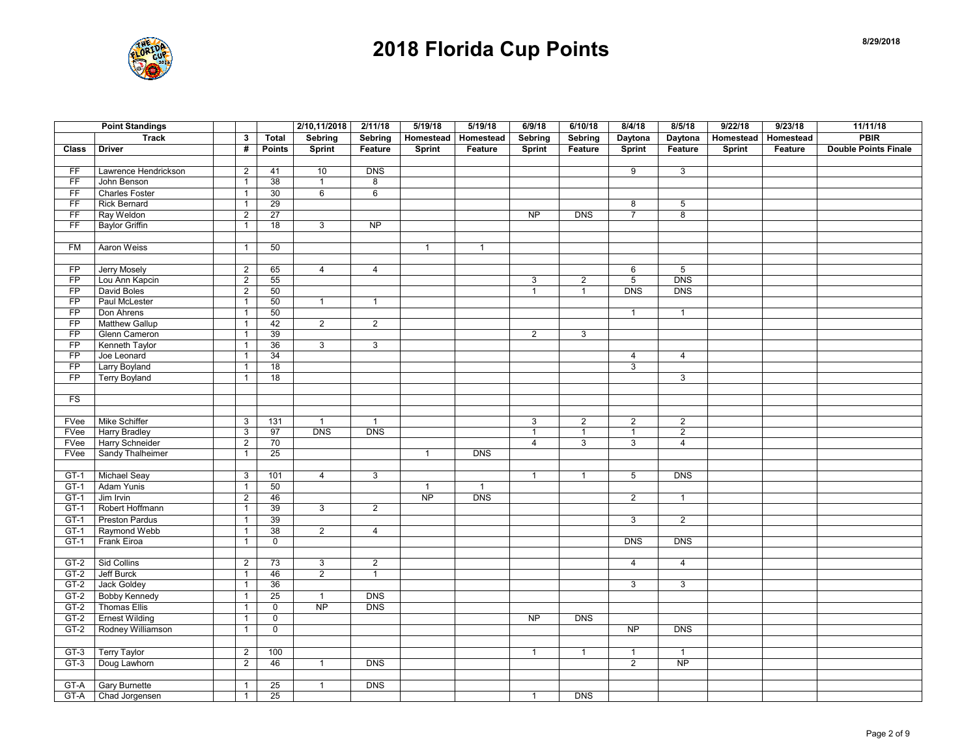

|                 | <b>Point Standings</b> |                |                     | 2/10,11/2018   | 2/11/18         | 5/19/18      | 5/19/18      | 6/9/18         | 6/10/18        | 8/4/18          | 8/5/18          | 9/22/18 | 9/23/18               | 11/11/18                    |
|-----------------|------------------------|----------------|---------------------|----------------|-----------------|--------------|--------------|----------------|----------------|-----------------|-----------------|---------|-----------------------|-----------------------------|
|                 | <b>Track</b>           | $\mathbf{3}$   | <b>Total</b>        | Sebring        | Sebring         | Homestead    | Homestead    | Sebring        | Sebring        | Daytona         | Daytona         |         | Homestead   Homestead | <b>PBIR</b>                 |
| Class           | <b>Driver</b>          | #              | <b>Points</b>       | <b>Sprint</b>  | Feature         | Sprint       | Feature      | Sprint         | Feature        | <b>Sprint</b>   | Feature         | Sprint  | Feature               | <b>Double Points Finale</b> |
|                 |                        |                |                     |                |                 |              |              |                |                |                 |                 |         |                       |                             |
| FF              | Lawrence Hendrickson   | $\mathbf{2}$   | 41                  | 10             | <b>DNS</b>      |              |              |                |                | 9               | $\mathbf{3}$    |         |                       |                             |
| FF              | John Benson            | $\mathbf{1}$   | 38                  | $\mathbf{1}$   | 8               |              |              |                |                |                 |                 |         |                       |                             |
| FF              | <b>Charles Foster</b>  | $\mathbf{1}$   | 30                  | 6              | $6\overline{6}$ |              |              |                |                |                 |                 |         |                       |                             |
| FF              | <b>Rick Bernard</b>    | $\mathbf{1}$   | 29                  |                |                 |              |              |                |                | 8               | 5               |         |                       |                             |
| F               | Ray Weldon             | $\overline{2}$ | 27                  |                |                 |              |              | <b>NP</b>      | <b>DNS</b>     | $\overline{7}$  | $\bf 8$         |         |                       |                             |
| FF              | <b>Baylor Griffin</b>  | $\mathbf{1}$   | 18                  | 3              | <b>NP</b>       |              |              |                |                |                 |                 |         |                       |                             |
|                 |                        |                |                     |                |                 |              |              |                |                |                 |                 |         |                       |                             |
| FM              | Aaron Weiss            | $\mathbf{1}$   | 50                  |                |                 | $\mathbf{1}$ | $\mathbf{1}$ |                |                |                 |                 |         |                       |                             |
|                 |                        |                |                     |                |                 |              |              |                |                |                 |                 |         |                       |                             |
| FP              | Jerry Mosely           | $\overline{2}$ | 65                  | $\overline{4}$ | $\overline{4}$  |              |              |                |                | 6               | 5               |         |                       |                             |
| FP              | Lou Ann Kapcin         | $\overline{2}$ | 55                  |                |                 |              |              | 3              | $\overline{2}$ | $\overline{5}$  | <b>DNS</b>      |         |                       |                             |
| FP              | David Boles            | $\overline{2}$ | 50                  |                |                 |              |              | $\mathbf{1}$   | $\overline{1}$ | <b>DNS</b>      | <b>DNS</b>      |         |                       |                             |
| FP              | Paul McLester          | $\mathbf{1}$   | 50                  | $\mathbf{1}$   | $\overline{1}$  |              |              |                |                |                 |                 |         |                       |                             |
| FP              | Don Ahrens             | $\mathbf{1}$   | 50                  |                |                 |              |              |                |                | $\mathbf{1}$    | $\mathbf{1}$    |         |                       |                             |
| FP              | <b>Matthew Gallup</b>  | $\mathbf{1}$   | 42                  | $\overline{2}$ | $\overline{2}$  |              |              |                |                |                 |                 |         |                       |                             |
| FP              | Glenn Cameron          | $\mathbf{1}$   | 39                  |                |                 |              |              | $\overline{2}$ | 3              |                 |                 |         |                       |                             |
| FP              | Kenneth Taylor         | $\mathbf{1}$   | 36                  | $\overline{3}$ | 3               |              |              |                |                |                 |                 |         |                       |                             |
| FP              | Joe Leonard            | $\mathbf{1}$   | 34                  |                |                 |              |              |                |                | $\overline{4}$  | $\overline{4}$  |         |                       |                             |
| FP              | Larry Boyland          | $\mathbf{1}$   | 18                  |                |                 |              |              |                |                | 3               |                 |         |                       |                             |
| $\overline{FP}$ | <b>Terry Boyland</b>   | $\mathbf{1}$   | 18                  |                |                 |              |              |                |                |                 | $\overline{3}$  |         |                       |                             |
|                 |                        |                |                     |                |                 |              |              |                |                |                 |                 |         |                       |                             |
| <b>FS</b>       |                        |                |                     |                |                 |              |              |                |                |                 |                 |         |                       |                             |
|                 |                        |                |                     |                |                 |              |              |                |                |                 |                 |         |                       |                             |
| FVee            | Mike Schiffer          | 3              | 131                 | $\mathbf{1}$   | $\overline{1}$  |              |              | 3              | $\overline{c}$ | $\overline{2}$  | $\overline{2}$  |         |                       |                             |
| FVee            | <b>Harry Bradley</b>   | 3              | 97                  | DNS            | DNS             |              |              | $\mathbf{1}$   | $\mathbf{1}$   | $\mathbf{1}$    | $\overline{2}$  |         |                       |                             |
| FVee            | Harry Schneider        | $\sqrt{2}$     | 70                  |                |                 |              |              | $\overline{4}$ | 3              | 3               | $\overline{4}$  |         |                       |                             |
| FVee            | Sandy Thalheimer       | $\mathbf{1}$   | 25                  |                |                 | $\mathbf{1}$ | <b>DNS</b>   |                |                |                 |                 |         |                       |                             |
|                 |                        |                |                     |                |                 |              |              |                |                |                 |                 |         |                       |                             |
| $GT-1$          | Michael Seay           | 3              | 101                 | $\overline{4}$ | $\mathbf{3}$    |              |              | $\mathbf{1}$   | $\mathbf{1}$   | $5\overline{)}$ | <b>DNS</b>      |         |                       |                             |
| $GT-1$          | Adam Yunis             | $\mathbf{1}$   | 50                  |                |                 | $\mathbf{1}$ | $\mathbf{1}$ |                |                |                 |                 |         |                       |                             |
| $GT-1$          | Jim Irvin              | $\overline{2}$ | 46                  |                |                 | <b>NP</b>    | <b>DNS</b>   |                |                | $\overline{2}$  | $\mathbf{1}$    |         |                       |                             |
| $GT-1$          | Robert Hoffmann        | $\mathbf{1}$   | 39                  | $\overline{3}$ | $\overline{2}$  |              |              |                |                |                 |                 |         |                       |                             |
| $GT-1$          | Preston Pardus         | $\mathbf{1}$   | 39                  |                |                 |              |              |                |                | 3               | $\overline{2}$  |         |                       |                             |
| $GT-1$          | Raymond Webb           | $\mathbf{1}$   | 38                  | $\overline{2}$ | $\overline{4}$  |              |              |                |                |                 |                 |         |                       |                             |
| GT-1            | Frank Eiroa            | $\mathbf{1}$   | 0                   |                |                 |              |              |                |                | <b>DNS</b>      | <b>DNS</b>      |         |                       |                             |
|                 |                        |                |                     |                |                 |              |              |                |                |                 |                 |         |                       |                             |
| GT-2            | Sid Collins            | $\overline{2}$ | 73                  | $\mathbf{3}$   | $\overline{2}$  |              |              |                |                | $\overline{4}$  | $\overline{4}$  |         |                       |                             |
| $GT-2$          | Jeff Burck             | $\mathbf{1}$   | 46                  | $\overline{2}$ | $\overline{1}$  |              |              |                |                |                 |                 |         |                       |                             |
| GT-2            | Jack Goldey            | $\mathbf{1}$   | 36                  |                |                 |              |              |                |                | 3               | $\overline{3}$  |         |                       |                             |
| GT-2            | <b>Bobby Kennedy</b>   | $\mathbf{1}$   | 25                  | $\mathbf{1}$   | DNS             |              |              |                |                |                 |                 |         |                       |                             |
| $GT-2$          | Thomas Ellis           | $\mathbf{1}$   | $\overline{0}$      | NP             | <b>DNS</b>      |              |              |                |                |                 |                 |         |                       |                             |
|                 |                        |                |                     |                |                 |              |              |                |                |                 |                 |         |                       |                             |
| $GT-2$          | <b>Ernest Wilding</b>  | $\mathbf{1}$   | $\mathsf{O}\xspace$ |                |                 |              |              | <b>NP</b>      | <b>DNS</b>     |                 |                 |         |                       |                             |
| GT-2            | Rodney Williamson      | $\mathbf{1}$   | $\mathbf 0$         |                |                 |              |              |                |                | $\overline{NP}$ | DNS             |         |                       |                             |
|                 |                        |                |                     |                |                 |              |              |                |                |                 |                 |         |                       |                             |
| GT-3            | <b>Terry Taylor</b>    | $\overline{2}$ | 100                 |                |                 |              |              | $\mathbf{1}$   | $\mathbf{1}$   | $\mathbf{1}$    | $\mathbf{1}$    |         |                       |                             |
| $GT-3$          | Doug Lawhorn           | $\overline{2}$ | 46                  | $\mathbf{1}$   | <b>DNS</b>      |              |              |                |                | $\overline{2}$  | $\overline{NP}$ |         |                       |                             |
|                 |                        |                |                     |                |                 |              |              |                |                |                 |                 |         |                       |                             |
| GT-A            | <b>Gary Burnette</b>   | $\mathbf{1}$   | 25                  | $\mathbf{1}$   | <b>DNS</b>      |              |              |                |                |                 |                 |         |                       |                             |
| GT-A            | Chad Jorgensen         | $\mathbf{1}$   | 25                  |                |                 |              |              | $\mathbf{1}$   | <b>DNS</b>     |                 |                 |         |                       |                             |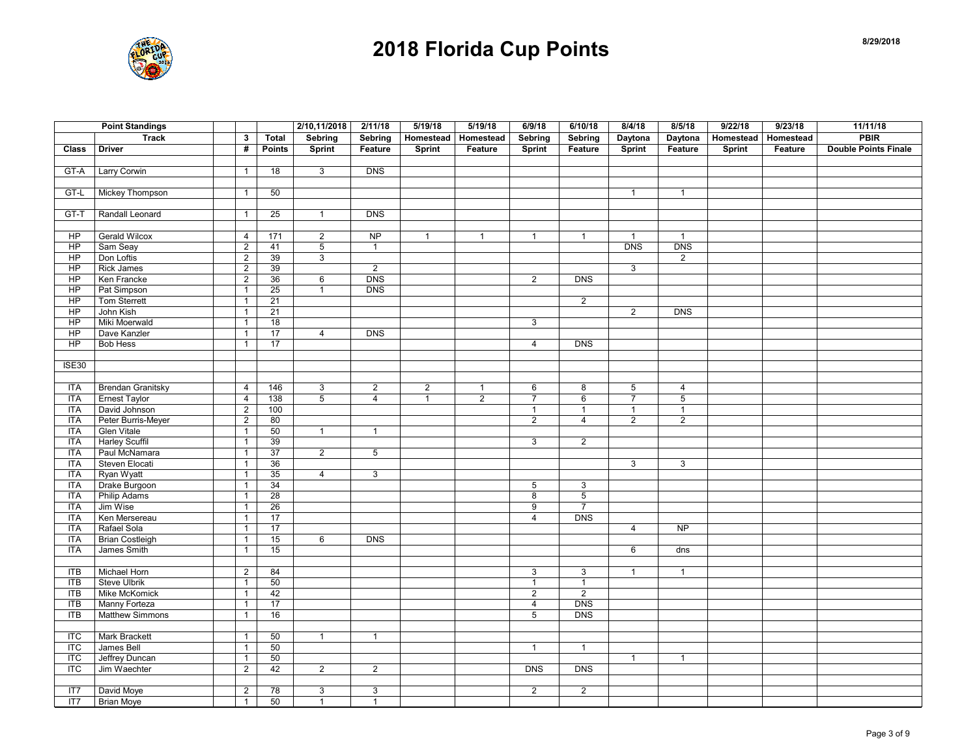

| <b>Track</b><br>Homestead<br>$\mathbf{3}$<br><b>Total</b><br>Sebring<br>Homestead<br>Daytona<br>Daytona<br><b>Homestead</b><br>Homestead<br>#<br><b>Double Points Finale</b><br><b>Driver</b><br><b>Points</b><br>Sprint<br>Feature<br>Sprint<br>Feature<br><b>Sprint</b><br>Feature<br>Sprint<br>Feature<br>Sprint<br>Feature<br><b>Class</b><br>$\overline{3}$<br>GT-A<br>Larry Corwin<br>18<br><b>DNS</b><br>$\mathbf{1}$<br>$GT-L$<br>Mickey Thompson<br>50<br>$\mathbf{1}$<br>$\mathbf{1}$<br>$\mathbf{1}$<br>$GT-T$<br>Randall Leonard<br>$\overline{25}$<br><b>DNS</b><br>$\overline{1}$<br>$\mathbf{1}$<br><b>NP</b><br>$\overline{HP}$<br><b>Gerald Wilcox</b><br>$\frac{1}{171}$<br>$\overline{2}$<br>4<br>$\mathbf{1}$<br>$\mathbf{1}$<br>$\mathbf{1}$<br>$\mathbf{1}$<br>$\mathbf{1}$<br>$\mathbf{1}$<br>HP<br>$\overline{2}$<br><b>DNS</b><br><b>DNS</b><br>Sam Seay<br>41<br>5<br>$\overline{1}$<br>$\overline{2}$<br>$\overline{HP}$<br>Don Loftis<br>39<br>3<br>$\overline{2}$<br>HP<br><b>Rick James</b><br>39<br>2<br>3<br>$\overline{2}$<br>Ken Francke<br><b>DNS</b><br>DNS<br>HP<br>$\overline{2}$<br>36<br>6<br>$\overline{2}$<br><b>DNS</b><br>Pat Simpson<br>25<br>HP<br>$\mathbf{1}$<br>$\mathbf{1}$<br>$\overline{2}$<br>HP<br>Tom Sterrett<br>$\mathbf{1}$<br>21<br>$\overline{HP}$<br>John Kish<br>$\overline{21}$<br>DNS<br>$\overline{2}$<br>$\overline{1}$<br>HP<br>Miki Moerwald<br>18<br>3<br>$\mathbf{1}$<br><b>DNS</b><br>HP<br>Dave Kanzler<br>17<br>$\overline{4}$<br>$\mathbf{1}$<br>$\overline{HP}$<br><b>Bob Hess</b><br>$\overline{17}$<br>$\overline{4}$<br><b>DNS</b><br>$\mathbf{1}$<br><b>ISE30</b><br><b>Brendan Granitsky</b><br>3<br>$\overline{2}$<br>$\overline{2}$<br><b>ITA</b><br>$\overline{4}$<br>146<br>6<br>8<br>5<br>$\overline{4}$<br>$\mathbf{1}$<br><b>ITA</b><br>$\overline{4}$<br>$\overline{5}$<br>$\overline{2}$<br>$\overline{5}$<br><b>Ernest Taylor</b><br>138<br>$\overline{4}$<br>$\mathbf{1}$<br>$\overline{7}$<br>$6\phantom{1}$<br>$\overline{7}$<br><b>ITA</b><br>David Johnson<br>$\overline{2}$<br>$\mathbf{1}$<br>100<br>$\mathbf{1}$<br>$\mathbf{1}$<br>$\mathbf{1}$<br><b>ITA</b><br>Peter Burris-Meyer<br>$\overline{2}$<br>$\overline{2}$<br>$\overline{2}$<br>80<br>$\overline{2}$<br>$\overline{4}$<br><b>Glen Vitale</b><br><b>ITA</b><br>$\overline{1}$<br>50<br>$\overline{1}$<br>$\overline{1}$<br><b>Harley Scuffil</b><br>39<br><b>ITA</b><br>$\mathbf{1}$<br>3<br>$\overline{2}$<br>Paul McNamara<br><b>ITA</b><br>37<br>$\overline{2}$<br>5<br>$\mathbf{1}$<br>Steven Elocati<br>36<br>3<br><b>ITA</b><br>3<br>$\mathbf{1}$<br><b>ITA</b><br>Ryan Wyatt<br>$\mathbf{1}$<br>35<br>$\overline{4}$<br>$\mathbf{3}$<br><b>ITA</b><br>Drake Burgoon<br>34<br>$\mathbf{1}$<br>5<br>3<br><b>Philip Adams</b><br>28<br>$\overline{5}$<br><b>ITA</b><br>8<br>$\mathbf{1}$<br>Jim Wise<br><b>ITA</b><br>26<br>$\overline{7}$<br>$\mathbf{1}$<br>9<br>Ken Mersereau<br>17<br><b>DNS</b><br><b>ITA</b><br>$\mathbf{1}$<br>$\overline{4}$<br>17<br><b>ITA</b><br>Rafael Sola<br>NP<br>$\overline{4}$<br>$\mathbf{1}$<br><b>Brian Costleigh</b><br>6<br><b>DNS</b><br><b>ITA</b><br>15<br>$\mathbf{1}$<br>James Smith<br><b>ITA</b><br>15<br>$\mathbf{1}$<br>6<br>dns<br>Michael Horn<br>84<br><b>ITB</b><br>$\overline{2}$<br>3<br>3<br>$\mathbf{1}$<br>$\mathbf{1}$<br>$\overline{I}$<br><b>Steve Ulbrik</b><br>50<br>$\mathbf{1}$<br>$\mathbf{1}$<br>$\mathbf{1}$<br>ITB<br>Mike McKomick<br>$\sqrt{2}$<br>42<br>$\overline{2}$<br>$\mathbf{1}$<br><b>ITB</b><br>17<br><b>DNS</b><br>Manny Forteza<br>$\mathbf{1}$<br>$\overline{4}$<br>16<br>$\overline{5}$<br><b>DNS</b><br>$\Pi$<br><b>Matthew Simmons</b><br>$\mathbf{1}$<br>$\overline{\text{ITC}}$<br><b>Mark Brackett</b><br>50<br>$\mathbf{1}$<br>$\mathbf{1}$<br>$\mathbf{1}$<br><b>ITC</b><br>James Bell<br>$\mathbf{1}$<br>50<br>$\mathbf{1}$<br>$\mathbf{1}$<br>50<br>$\overline{TC}$<br>Jeffrey Duncan<br>$\mathbf{1}$<br>$\mathbf{1}$<br>$\mathbf{1}$<br>Jim Waechter<br>$\overline{\text{ITC}}$<br>$\overline{2}$<br>42<br>$\overline{2}$<br>$\overline{2}$<br>$\overline{DNS}$<br>DNS<br>David Moye<br>$\overline{2}$<br>78<br>3<br>3<br>$\overline{2}$<br>$\overline{2}$<br>IT7 |     | <b>Point Standings</b> |              |    | 2/10,11/2018   | 2/11/18        | 5/19/18 | 5/19/18 | 6/9/18         | 6/10/18        | 8/4/18 | 8/5/18 | 9/22/18 | 9/23/18 | 11/11/18    |
|----------------------------------------------------------------------------------------------------------------------------------------------------------------------------------------------------------------------------------------------------------------------------------------------------------------------------------------------------------------------------------------------------------------------------------------------------------------------------------------------------------------------------------------------------------------------------------------------------------------------------------------------------------------------------------------------------------------------------------------------------------------------------------------------------------------------------------------------------------------------------------------------------------------------------------------------------------------------------------------------------------------------------------------------------------------------------------------------------------------------------------------------------------------------------------------------------------------------------------------------------------------------------------------------------------------------------------------------------------------------------------------------------------------------------------------------------------------------------------------------------------------------------------------------------------------------------------------------------------------------------------------------------------------------------------------------------------------------------------------------------------------------------------------------------------------------------------------------------------------------------------------------------------------------------------------------------------------------------------------------------------------------------------------------------------------------------------------------------------------------------------------------------------------------------------------------------------------------------------------------------------------------------------------------------------------------------------------------------------------------------------------------------------------------------------------------------------------------------------------------------------------------------------------------------------------------------------------------------------------------------------------------------------------------------------------------------------------------------------------------------------------------------------------------------------------------------------------------------------------------------------------------------------------------------------------------------------------------------------------------------------------------------------------------------------------------------------------------------------------------------------------------------------------------------------------------------------------------------------------------------------------------------------------------------------------------------------------------------------------------------------------------------------------------------------------------------------------------------------------------------------------------------------------------------------------------------------------------------------------------------------------------------------------------------------------------------------------------------------------------------------------------------------------------------------------------------------------------------------------------------------------------------------------------------------------------------------------------------------------------------------------------------------------------------------------------------------------------------------------------------------------------------------------------------------------------------------------------------------|-----|------------------------|--------------|----|----------------|----------------|---------|---------|----------------|----------------|--------|--------|---------|---------|-------------|
|                                                                                                                                                                                                                                                                                                                                                                                                                                                                                                                                                                                                                                                                                                                                                                                                                                                                                                                                                                                                                                                                                                                                                                                                                                                                                                                                                                                                                                                                                                                                                                                                                                                                                                                                                                                                                                                                                                                                                                                                                                                                                                                                                                                                                                                                                                                                                                                                                                                                                                                                                                                                                                                                                                                                                                                                                                                                                                                                                                                                                                                                                                                                                                                                                                                                                                                                                                                                                                                                                                                                                                                                                                                                                                                                                                                                                                                                                                                                                                                                                                                                                                                                                                                                                                  |     |                        |              |    | <b>Sebring</b> |                |         |         | <b>Sebring</b> | <b>Sebring</b> |        |        |         |         | <b>PBIR</b> |
|                                                                                                                                                                                                                                                                                                                                                                                                                                                                                                                                                                                                                                                                                                                                                                                                                                                                                                                                                                                                                                                                                                                                                                                                                                                                                                                                                                                                                                                                                                                                                                                                                                                                                                                                                                                                                                                                                                                                                                                                                                                                                                                                                                                                                                                                                                                                                                                                                                                                                                                                                                                                                                                                                                                                                                                                                                                                                                                                                                                                                                                                                                                                                                                                                                                                                                                                                                                                                                                                                                                                                                                                                                                                                                                                                                                                                                                                                                                                                                                                                                                                                                                                                                                                                                  |     |                        |              |    |                |                |         |         |                |                |        |        |         |         |             |
|                                                                                                                                                                                                                                                                                                                                                                                                                                                                                                                                                                                                                                                                                                                                                                                                                                                                                                                                                                                                                                                                                                                                                                                                                                                                                                                                                                                                                                                                                                                                                                                                                                                                                                                                                                                                                                                                                                                                                                                                                                                                                                                                                                                                                                                                                                                                                                                                                                                                                                                                                                                                                                                                                                                                                                                                                                                                                                                                                                                                                                                                                                                                                                                                                                                                                                                                                                                                                                                                                                                                                                                                                                                                                                                                                                                                                                                                                                                                                                                                                                                                                                                                                                                                                                  |     |                        |              |    |                |                |         |         |                |                |        |        |         |         |             |
|                                                                                                                                                                                                                                                                                                                                                                                                                                                                                                                                                                                                                                                                                                                                                                                                                                                                                                                                                                                                                                                                                                                                                                                                                                                                                                                                                                                                                                                                                                                                                                                                                                                                                                                                                                                                                                                                                                                                                                                                                                                                                                                                                                                                                                                                                                                                                                                                                                                                                                                                                                                                                                                                                                                                                                                                                                                                                                                                                                                                                                                                                                                                                                                                                                                                                                                                                                                                                                                                                                                                                                                                                                                                                                                                                                                                                                                                                                                                                                                                                                                                                                                                                                                                                                  |     |                        |              |    |                |                |         |         |                |                |        |        |         |         |             |
|                                                                                                                                                                                                                                                                                                                                                                                                                                                                                                                                                                                                                                                                                                                                                                                                                                                                                                                                                                                                                                                                                                                                                                                                                                                                                                                                                                                                                                                                                                                                                                                                                                                                                                                                                                                                                                                                                                                                                                                                                                                                                                                                                                                                                                                                                                                                                                                                                                                                                                                                                                                                                                                                                                                                                                                                                                                                                                                                                                                                                                                                                                                                                                                                                                                                                                                                                                                                                                                                                                                                                                                                                                                                                                                                                                                                                                                                                                                                                                                                                                                                                                                                                                                                                                  |     |                        |              |    |                |                |         |         |                |                |        |        |         |         |             |
|                                                                                                                                                                                                                                                                                                                                                                                                                                                                                                                                                                                                                                                                                                                                                                                                                                                                                                                                                                                                                                                                                                                                                                                                                                                                                                                                                                                                                                                                                                                                                                                                                                                                                                                                                                                                                                                                                                                                                                                                                                                                                                                                                                                                                                                                                                                                                                                                                                                                                                                                                                                                                                                                                                                                                                                                                                                                                                                                                                                                                                                                                                                                                                                                                                                                                                                                                                                                                                                                                                                                                                                                                                                                                                                                                                                                                                                                                                                                                                                                                                                                                                                                                                                                                                  |     |                        |              |    |                |                |         |         |                |                |        |        |         |         |             |
|                                                                                                                                                                                                                                                                                                                                                                                                                                                                                                                                                                                                                                                                                                                                                                                                                                                                                                                                                                                                                                                                                                                                                                                                                                                                                                                                                                                                                                                                                                                                                                                                                                                                                                                                                                                                                                                                                                                                                                                                                                                                                                                                                                                                                                                                                                                                                                                                                                                                                                                                                                                                                                                                                                                                                                                                                                                                                                                                                                                                                                                                                                                                                                                                                                                                                                                                                                                                                                                                                                                                                                                                                                                                                                                                                                                                                                                                                                                                                                                                                                                                                                                                                                                                                                  |     |                        |              |    |                |                |         |         |                |                |        |        |         |         |             |
|                                                                                                                                                                                                                                                                                                                                                                                                                                                                                                                                                                                                                                                                                                                                                                                                                                                                                                                                                                                                                                                                                                                                                                                                                                                                                                                                                                                                                                                                                                                                                                                                                                                                                                                                                                                                                                                                                                                                                                                                                                                                                                                                                                                                                                                                                                                                                                                                                                                                                                                                                                                                                                                                                                                                                                                                                                                                                                                                                                                                                                                                                                                                                                                                                                                                                                                                                                                                                                                                                                                                                                                                                                                                                                                                                                                                                                                                                                                                                                                                                                                                                                                                                                                                                                  |     |                        |              |    |                |                |         |         |                |                |        |        |         |         |             |
|                                                                                                                                                                                                                                                                                                                                                                                                                                                                                                                                                                                                                                                                                                                                                                                                                                                                                                                                                                                                                                                                                                                                                                                                                                                                                                                                                                                                                                                                                                                                                                                                                                                                                                                                                                                                                                                                                                                                                                                                                                                                                                                                                                                                                                                                                                                                                                                                                                                                                                                                                                                                                                                                                                                                                                                                                                                                                                                                                                                                                                                                                                                                                                                                                                                                                                                                                                                                                                                                                                                                                                                                                                                                                                                                                                                                                                                                                                                                                                                                                                                                                                                                                                                                                                  |     |                        |              |    |                |                |         |         |                |                |        |        |         |         |             |
|                                                                                                                                                                                                                                                                                                                                                                                                                                                                                                                                                                                                                                                                                                                                                                                                                                                                                                                                                                                                                                                                                                                                                                                                                                                                                                                                                                                                                                                                                                                                                                                                                                                                                                                                                                                                                                                                                                                                                                                                                                                                                                                                                                                                                                                                                                                                                                                                                                                                                                                                                                                                                                                                                                                                                                                                                                                                                                                                                                                                                                                                                                                                                                                                                                                                                                                                                                                                                                                                                                                                                                                                                                                                                                                                                                                                                                                                                                                                                                                                                                                                                                                                                                                                                                  |     |                        |              |    |                |                |         |         |                |                |        |        |         |         |             |
|                                                                                                                                                                                                                                                                                                                                                                                                                                                                                                                                                                                                                                                                                                                                                                                                                                                                                                                                                                                                                                                                                                                                                                                                                                                                                                                                                                                                                                                                                                                                                                                                                                                                                                                                                                                                                                                                                                                                                                                                                                                                                                                                                                                                                                                                                                                                                                                                                                                                                                                                                                                                                                                                                                                                                                                                                                                                                                                                                                                                                                                                                                                                                                                                                                                                                                                                                                                                                                                                                                                                                                                                                                                                                                                                                                                                                                                                                                                                                                                                                                                                                                                                                                                                                                  |     |                        |              |    |                |                |         |         |                |                |        |        |         |         |             |
|                                                                                                                                                                                                                                                                                                                                                                                                                                                                                                                                                                                                                                                                                                                                                                                                                                                                                                                                                                                                                                                                                                                                                                                                                                                                                                                                                                                                                                                                                                                                                                                                                                                                                                                                                                                                                                                                                                                                                                                                                                                                                                                                                                                                                                                                                                                                                                                                                                                                                                                                                                                                                                                                                                                                                                                                                                                                                                                                                                                                                                                                                                                                                                                                                                                                                                                                                                                                                                                                                                                                                                                                                                                                                                                                                                                                                                                                                                                                                                                                                                                                                                                                                                                                                                  |     |                        |              |    |                |                |         |         |                |                |        |        |         |         |             |
|                                                                                                                                                                                                                                                                                                                                                                                                                                                                                                                                                                                                                                                                                                                                                                                                                                                                                                                                                                                                                                                                                                                                                                                                                                                                                                                                                                                                                                                                                                                                                                                                                                                                                                                                                                                                                                                                                                                                                                                                                                                                                                                                                                                                                                                                                                                                                                                                                                                                                                                                                                                                                                                                                                                                                                                                                                                                                                                                                                                                                                                                                                                                                                                                                                                                                                                                                                                                                                                                                                                                                                                                                                                                                                                                                                                                                                                                                                                                                                                                                                                                                                                                                                                                                                  |     |                        |              |    |                |                |         |         |                |                |        |        |         |         |             |
|                                                                                                                                                                                                                                                                                                                                                                                                                                                                                                                                                                                                                                                                                                                                                                                                                                                                                                                                                                                                                                                                                                                                                                                                                                                                                                                                                                                                                                                                                                                                                                                                                                                                                                                                                                                                                                                                                                                                                                                                                                                                                                                                                                                                                                                                                                                                                                                                                                                                                                                                                                                                                                                                                                                                                                                                                                                                                                                                                                                                                                                                                                                                                                                                                                                                                                                                                                                                                                                                                                                                                                                                                                                                                                                                                                                                                                                                                                                                                                                                                                                                                                                                                                                                                                  |     |                        |              |    |                |                |         |         |                |                |        |        |         |         |             |
|                                                                                                                                                                                                                                                                                                                                                                                                                                                                                                                                                                                                                                                                                                                                                                                                                                                                                                                                                                                                                                                                                                                                                                                                                                                                                                                                                                                                                                                                                                                                                                                                                                                                                                                                                                                                                                                                                                                                                                                                                                                                                                                                                                                                                                                                                                                                                                                                                                                                                                                                                                                                                                                                                                                                                                                                                                                                                                                                                                                                                                                                                                                                                                                                                                                                                                                                                                                                                                                                                                                                                                                                                                                                                                                                                                                                                                                                                                                                                                                                                                                                                                                                                                                                                                  |     |                        |              |    |                |                |         |         |                |                |        |        |         |         |             |
|                                                                                                                                                                                                                                                                                                                                                                                                                                                                                                                                                                                                                                                                                                                                                                                                                                                                                                                                                                                                                                                                                                                                                                                                                                                                                                                                                                                                                                                                                                                                                                                                                                                                                                                                                                                                                                                                                                                                                                                                                                                                                                                                                                                                                                                                                                                                                                                                                                                                                                                                                                                                                                                                                                                                                                                                                                                                                                                                                                                                                                                                                                                                                                                                                                                                                                                                                                                                                                                                                                                                                                                                                                                                                                                                                                                                                                                                                                                                                                                                                                                                                                                                                                                                                                  |     |                        |              |    |                |                |         |         |                |                |        |        |         |         |             |
|                                                                                                                                                                                                                                                                                                                                                                                                                                                                                                                                                                                                                                                                                                                                                                                                                                                                                                                                                                                                                                                                                                                                                                                                                                                                                                                                                                                                                                                                                                                                                                                                                                                                                                                                                                                                                                                                                                                                                                                                                                                                                                                                                                                                                                                                                                                                                                                                                                                                                                                                                                                                                                                                                                                                                                                                                                                                                                                                                                                                                                                                                                                                                                                                                                                                                                                                                                                                                                                                                                                                                                                                                                                                                                                                                                                                                                                                                                                                                                                                                                                                                                                                                                                                                                  |     |                        |              |    |                |                |         |         |                |                |        |        |         |         |             |
|                                                                                                                                                                                                                                                                                                                                                                                                                                                                                                                                                                                                                                                                                                                                                                                                                                                                                                                                                                                                                                                                                                                                                                                                                                                                                                                                                                                                                                                                                                                                                                                                                                                                                                                                                                                                                                                                                                                                                                                                                                                                                                                                                                                                                                                                                                                                                                                                                                                                                                                                                                                                                                                                                                                                                                                                                                                                                                                                                                                                                                                                                                                                                                                                                                                                                                                                                                                                                                                                                                                                                                                                                                                                                                                                                                                                                                                                                                                                                                                                                                                                                                                                                                                                                                  |     |                        |              |    |                |                |         |         |                |                |        |        |         |         |             |
|                                                                                                                                                                                                                                                                                                                                                                                                                                                                                                                                                                                                                                                                                                                                                                                                                                                                                                                                                                                                                                                                                                                                                                                                                                                                                                                                                                                                                                                                                                                                                                                                                                                                                                                                                                                                                                                                                                                                                                                                                                                                                                                                                                                                                                                                                                                                                                                                                                                                                                                                                                                                                                                                                                                                                                                                                                                                                                                                                                                                                                                                                                                                                                                                                                                                                                                                                                                                                                                                                                                                                                                                                                                                                                                                                                                                                                                                                                                                                                                                                                                                                                                                                                                                                                  |     |                        |              |    |                |                |         |         |                |                |        |        |         |         |             |
|                                                                                                                                                                                                                                                                                                                                                                                                                                                                                                                                                                                                                                                                                                                                                                                                                                                                                                                                                                                                                                                                                                                                                                                                                                                                                                                                                                                                                                                                                                                                                                                                                                                                                                                                                                                                                                                                                                                                                                                                                                                                                                                                                                                                                                                                                                                                                                                                                                                                                                                                                                                                                                                                                                                                                                                                                                                                                                                                                                                                                                                                                                                                                                                                                                                                                                                                                                                                                                                                                                                                                                                                                                                                                                                                                                                                                                                                                                                                                                                                                                                                                                                                                                                                                                  |     |                        |              |    |                |                |         |         |                |                |        |        |         |         |             |
|                                                                                                                                                                                                                                                                                                                                                                                                                                                                                                                                                                                                                                                                                                                                                                                                                                                                                                                                                                                                                                                                                                                                                                                                                                                                                                                                                                                                                                                                                                                                                                                                                                                                                                                                                                                                                                                                                                                                                                                                                                                                                                                                                                                                                                                                                                                                                                                                                                                                                                                                                                                                                                                                                                                                                                                                                                                                                                                                                                                                                                                                                                                                                                                                                                                                                                                                                                                                                                                                                                                                                                                                                                                                                                                                                                                                                                                                                                                                                                                                                                                                                                                                                                                                                                  |     |                        |              |    |                |                |         |         |                |                |        |        |         |         |             |
|                                                                                                                                                                                                                                                                                                                                                                                                                                                                                                                                                                                                                                                                                                                                                                                                                                                                                                                                                                                                                                                                                                                                                                                                                                                                                                                                                                                                                                                                                                                                                                                                                                                                                                                                                                                                                                                                                                                                                                                                                                                                                                                                                                                                                                                                                                                                                                                                                                                                                                                                                                                                                                                                                                                                                                                                                                                                                                                                                                                                                                                                                                                                                                                                                                                                                                                                                                                                                                                                                                                                                                                                                                                                                                                                                                                                                                                                                                                                                                                                                                                                                                                                                                                                                                  |     |                        |              |    |                |                |         |         |                |                |        |        |         |         |             |
|                                                                                                                                                                                                                                                                                                                                                                                                                                                                                                                                                                                                                                                                                                                                                                                                                                                                                                                                                                                                                                                                                                                                                                                                                                                                                                                                                                                                                                                                                                                                                                                                                                                                                                                                                                                                                                                                                                                                                                                                                                                                                                                                                                                                                                                                                                                                                                                                                                                                                                                                                                                                                                                                                                                                                                                                                                                                                                                                                                                                                                                                                                                                                                                                                                                                                                                                                                                                                                                                                                                                                                                                                                                                                                                                                                                                                                                                                                                                                                                                                                                                                                                                                                                                                                  |     |                        |              |    |                |                |         |         |                |                |        |        |         |         |             |
|                                                                                                                                                                                                                                                                                                                                                                                                                                                                                                                                                                                                                                                                                                                                                                                                                                                                                                                                                                                                                                                                                                                                                                                                                                                                                                                                                                                                                                                                                                                                                                                                                                                                                                                                                                                                                                                                                                                                                                                                                                                                                                                                                                                                                                                                                                                                                                                                                                                                                                                                                                                                                                                                                                                                                                                                                                                                                                                                                                                                                                                                                                                                                                                                                                                                                                                                                                                                                                                                                                                                                                                                                                                                                                                                                                                                                                                                                                                                                                                                                                                                                                                                                                                                                                  |     |                        |              |    |                |                |         |         |                |                |        |        |         |         |             |
|                                                                                                                                                                                                                                                                                                                                                                                                                                                                                                                                                                                                                                                                                                                                                                                                                                                                                                                                                                                                                                                                                                                                                                                                                                                                                                                                                                                                                                                                                                                                                                                                                                                                                                                                                                                                                                                                                                                                                                                                                                                                                                                                                                                                                                                                                                                                                                                                                                                                                                                                                                                                                                                                                                                                                                                                                                                                                                                                                                                                                                                                                                                                                                                                                                                                                                                                                                                                                                                                                                                                                                                                                                                                                                                                                                                                                                                                                                                                                                                                                                                                                                                                                                                                                                  |     |                        |              |    |                |                |         |         |                |                |        |        |         |         |             |
|                                                                                                                                                                                                                                                                                                                                                                                                                                                                                                                                                                                                                                                                                                                                                                                                                                                                                                                                                                                                                                                                                                                                                                                                                                                                                                                                                                                                                                                                                                                                                                                                                                                                                                                                                                                                                                                                                                                                                                                                                                                                                                                                                                                                                                                                                                                                                                                                                                                                                                                                                                                                                                                                                                                                                                                                                                                                                                                                                                                                                                                                                                                                                                                                                                                                                                                                                                                                                                                                                                                                                                                                                                                                                                                                                                                                                                                                                                                                                                                                                                                                                                                                                                                                                                  |     |                        |              |    |                |                |         |         |                |                |        |        |         |         |             |
|                                                                                                                                                                                                                                                                                                                                                                                                                                                                                                                                                                                                                                                                                                                                                                                                                                                                                                                                                                                                                                                                                                                                                                                                                                                                                                                                                                                                                                                                                                                                                                                                                                                                                                                                                                                                                                                                                                                                                                                                                                                                                                                                                                                                                                                                                                                                                                                                                                                                                                                                                                                                                                                                                                                                                                                                                                                                                                                                                                                                                                                                                                                                                                                                                                                                                                                                                                                                                                                                                                                                                                                                                                                                                                                                                                                                                                                                                                                                                                                                                                                                                                                                                                                                                                  |     |                        |              |    |                |                |         |         |                |                |        |        |         |         |             |
|                                                                                                                                                                                                                                                                                                                                                                                                                                                                                                                                                                                                                                                                                                                                                                                                                                                                                                                                                                                                                                                                                                                                                                                                                                                                                                                                                                                                                                                                                                                                                                                                                                                                                                                                                                                                                                                                                                                                                                                                                                                                                                                                                                                                                                                                                                                                                                                                                                                                                                                                                                                                                                                                                                                                                                                                                                                                                                                                                                                                                                                                                                                                                                                                                                                                                                                                                                                                                                                                                                                                                                                                                                                                                                                                                                                                                                                                                                                                                                                                                                                                                                                                                                                                                                  |     |                        |              |    |                |                |         |         |                |                |        |        |         |         |             |
|                                                                                                                                                                                                                                                                                                                                                                                                                                                                                                                                                                                                                                                                                                                                                                                                                                                                                                                                                                                                                                                                                                                                                                                                                                                                                                                                                                                                                                                                                                                                                                                                                                                                                                                                                                                                                                                                                                                                                                                                                                                                                                                                                                                                                                                                                                                                                                                                                                                                                                                                                                                                                                                                                                                                                                                                                                                                                                                                                                                                                                                                                                                                                                                                                                                                                                                                                                                                                                                                                                                                                                                                                                                                                                                                                                                                                                                                                                                                                                                                                                                                                                                                                                                                                                  |     |                        |              |    |                |                |         |         |                |                |        |        |         |         |             |
|                                                                                                                                                                                                                                                                                                                                                                                                                                                                                                                                                                                                                                                                                                                                                                                                                                                                                                                                                                                                                                                                                                                                                                                                                                                                                                                                                                                                                                                                                                                                                                                                                                                                                                                                                                                                                                                                                                                                                                                                                                                                                                                                                                                                                                                                                                                                                                                                                                                                                                                                                                                                                                                                                                                                                                                                                                                                                                                                                                                                                                                                                                                                                                                                                                                                                                                                                                                                                                                                                                                                                                                                                                                                                                                                                                                                                                                                                                                                                                                                                                                                                                                                                                                                                                  |     |                        |              |    |                |                |         |         |                |                |        |        |         |         |             |
|                                                                                                                                                                                                                                                                                                                                                                                                                                                                                                                                                                                                                                                                                                                                                                                                                                                                                                                                                                                                                                                                                                                                                                                                                                                                                                                                                                                                                                                                                                                                                                                                                                                                                                                                                                                                                                                                                                                                                                                                                                                                                                                                                                                                                                                                                                                                                                                                                                                                                                                                                                                                                                                                                                                                                                                                                                                                                                                                                                                                                                                                                                                                                                                                                                                                                                                                                                                                                                                                                                                                                                                                                                                                                                                                                                                                                                                                                                                                                                                                                                                                                                                                                                                                                                  |     |                        |              |    |                |                |         |         |                |                |        |        |         |         |             |
|                                                                                                                                                                                                                                                                                                                                                                                                                                                                                                                                                                                                                                                                                                                                                                                                                                                                                                                                                                                                                                                                                                                                                                                                                                                                                                                                                                                                                                                                                                                                                                                                                                                                                                                                                                                                                                                                                                                                                                                                                                                                                                                                                                                                                                                                                                                                                                                                                                                                                                                                                                                                                                                                                                                                                                                                                                                                                                                                                                                                                                                                                                                                                                                                                                                                                                                                                                                                                                                                                                                                                                                                                                                                                                                                                                                                                                                                                                                                                                                                                                                                                                                                                                                                                                  |     |                        |              |    |                |                |         |         |                |                |        |        |         |         |             |
|                                                                                                                                                                                                                                                                                                                                                                                                                                                                                                                                                                                                                                                                                                                                                                                                                                                                                                                                                                                                                                                                                                                                                                                                                                                                                                                                                                                                                                                                                                                                                                                                                                                                                                                                                                                                                                                                                                                                                                                                                                                                                                                                                                                                                                                                                                                                                                                                                                                                                                                                                                                                                                                                                                                                                                                                                                                                                                                                                                                                                                                                                                                                                                                                                                                                                                                                                                                                                                                                                                                                                                                                                                                                                                                                                                                                                                                                                                                                                                                                                                                                                                                                                                                                                                  |     |                        |              |    |                |                |         |         |                |                |        |        |         |         |             |
|                                                                                                                                                                                                                                                                                                                                                                                                                                                                                                                                                                                                                                                                                                                                                                                                                                                                                                                                                                                                                                                                                                                                                                                                                                                                                                                                                                                                                                                                                                                                                                                                                                                                                                                                                                                                                                                                                                                                                                                                                                                                                                                                                                                                                                                                                                                                                                                                                                                                                                                                                                                                                                                                                                                                                                                                                                                                                                                                                                                                                                                                                                                                                                                                                                                                                                                                                                                                                                                                                                                                                                                                                                                                                                                                                                                                                                                                                                                                                                                                                                                                                                                                                                                                                                  |     |                        |              |    |                |                |         |         |                |                |        |        |         |         |             |
|                                                                                                                                                                                                                                                                                                                                                                                                                                                                                                                                                                                                                                                                                                                                                                                                                                                                                                                                                                                                                                                                                                                                                                                                                                                                                                                                                                                                                                                                                                                                                                                                                                                                                                                                                                                                                                                                                                                                                                                                                                                                                                                                                                                                                                                                                                                                                                                                                                                                                                                                                                                                                                                                                                                                                                                                                                                                                                                                                                                                                                                                                                                                                                                                                                                                                                                                                                                                                                                                                                                                                                                                                                                                                                                                                                                                                                                                                                                                                                                                                                                                                                                                                                                                                                  |     |                        |              |    |                |                |         |         |                |                |        |        |         |         |             |
|                                                                                                                                                                                                                                                                                                                                                                                                                                                                                                                                                                                                                                                                                                                                                                                                                                                                                                                                                                                                                                                                                                                                                                                                                                                                                                                                                                                                                                                                                                                                                                                                                                                                                                                                                                                                                                                                                                                                                                                                                                                                                                                                                                                                                                                                                                                                                                                                                                                                                                                                                                                                                                                                                                                                                                                                                                                                                                                                                                                                                                                                                                                                                                                                                                                                                                                                                                                                                                                                                                                                                                                                                                                                                                                                                                                                                                                                                                                                                                                                                                                                                                                                                                                                                                  |     |                        |              |    |                |                |         |         |                |                |        |        |         |         |             |
|                                                                                                                                                                                                                                                                                                                                                                                                                                                                                                                                                                                                                                                                                                                                                                                                                                                                                                                                                                                                                                                                                                                                                                                                                                                                                                                                                                                                                                                                                                                                                                                                                                                                                                                                                                                                                                                                                                                                                                                                                                                                                                                                                                                                                                                                                                                                                                                                                                                                                                                                                                                                                                                                                                                                                                                                                                                                                                                                                                                                                                                                                                                                                                                                                                                                                                                                                                                                                                                                                                                                                                                                                                                                                                                                                                                                                                                                                                                                                                                                                                                                                                                                                                                                                                  |     |                        |              |    |                |                |         |         |                |                |        |        |         |         |             |
|                                                                                                                                                                                                                                                                                                                                                                                                                                                                                                                                                                                                                                                                                                                                                                                                                                                                                                                                                                                                                                                                                                                                                                                                                                                                                                                                                                                                                                                                                                                                                                                                                                                                                                                                                                                                                                                                                                                                                                                                                                                                                                                                                                                                                                                                                                                                                                                                                                                                                                                                                                                                                                                                                                                                                                                                                                                                                                                                                                                                                                                                                                                                                                                                                                                                                                                                                                                                                                                                                                                                                                                                                                                                                                                                                                                                                                                                                                                                                                                                                                                                                                                                                                                                                                  |     |                        |              |    |                |                |         |         |                |                |        |        |         |         |             |
|                                                                                                                                                                                                                                                                                                                                                                                                                                                                                                                                                                                                                                                                                                                                                                                                                                                                                                                                                                                                                                                                                                                                                                                                                                                                                                                                                                                                                                                                                                                                                                                                                                                                                                                                                                                                                                                                                                                                                                                                                                                                                                                                                                                                                                                                                                                                                                                                                                                                                                                                                                                                                                                                                                                                                                                                                                                                                                                                                                                                                                                                                                                                                                                                                                                                                                                                                                                                                                                                                                                                                                                                                                                                                                                                                                                                                                                                                                                                                                                                                                                                                                                                                                                                                                  |     |                        |              |    |                |                |         |         |                |                |        |        |         |         |             |
|                                                                                                                                                                                                                                                                                                                                                                                                                                                                                                                                                                                                                                                                                                                                                                                                                                                                                                                                                                                                                                                                                                                                                                                                                                                                                                                                                                                                                                                                                                                                                                                                                                                                                                                                                                                                                                                                                                                                                                                                                                                                                                                                                                                                                                                                                                                                                                                                                                                                                                                                                                                                                                                                                                                                                                                                                                                                                                                                                                                                                                                                                                                                                                                                                                                                                                                                                                                                                                                                                                                                                                                                                                                                                                                                                                                                                                                                                                                                                                                                                                                                                                                                                                                                                                  |     |                        |              |    |                |                |         |         |                |                |        |        |         |         |             |
|                                                                                                                                                                                                                                                                                                                                                                                                                                                                                                                                                                                                                                                                                                                                                                                                                                                                                                                                                                                                                                                                                                                                                                                                                                                                                                                                                                                                                                                                                                                                                                                                                                                                                                                                                                                                                                                                                                                                                                                                                                                                                                                                                                                                                                                                                                                                                                                                                                                                                                                                                                                                                                                                                                                                                                                                                                                                                                                                                                                                                                                                                                                                                                                                                                                                                                                                                                                                                                                                                                                                                                                                                                                                                                                                                                                                                                                                                                                                                                                                                                                                                                                                                                                                                                  |     |                        |              |    |                |                |         |         |                |                |        |        |         |         |             |
|                                                                                                                                                                                                                                                                                                                                                                                                                                                                                                                                                                                                                                                                                                                                                                                                                                                                                                                                                                                                                                                                                                                                                                                                                                                                                                                                                                                                                                                                                                                                                                                                                                                                                                                                                                                                                                                                                                                                                                                                                                                                                                                                                                                                                                                                                                                                                                                                                                                                                                                                                                                                                                                                                                                                                                                                                                                                                                                                                                                                                                                                                                                                                                                                                                                                                                                                                                                                                                                                                                                                                                                                                                                                                                                                                                                                                                                                                                                                                                                                                                                                                                                                                                                                                                  |     |                        |              |    |                |                |         |         |                |                |        |        |         |         |             |
|                                                                                                                                                                                                                                                                                                                                                                                                                                                                                                                                                                                                                                                                                                                                                                                                                                                                                                                                                                                                                                                                                                                                                                                                                                                                                                                                                                                                                                                                                                                                                                                                                                                                                                                                                                                                                                                                                                                                                                                                                                                                                                                                                                                                                                                                                                                                                                                                                                                                                                                                                                                                                                                                                                                                                                                                                                                                                                                                                                                                                                                                                                                                                                                                                                                                                                                                                                                                                                                                                                                                                                                                                                                                                                                                                                                                                                                                                                                                                                                                                                                                                                                                                                                                                                  |     |                        |              |    |                |                |         |         |                |                |        |        |         |         |             |
|                                                                                                                                                                                                                                                                                                                                                                                                                                                                                                                                                                                                                                                                                                                                                                                                                                                                                                                                                                                                                                                                                                                                                                                                                                                                                                                                                                                                                                                                                                                                                                                                                                                                                                                                                                                                                                                                                                                                                                                                                                                                                                                                                                                                                                                                                                                                                                                                                                                                                                                                                                                                                                                                                                                                                                                                                                                                                                                                                                                                                                                                                                                                                                                                                                                                                                                                                                                                                                                                                                                                                                                                                                                                                                                                                                                                                                                                                                                                                                                                                                                                                                                                                                                                                                  |     |                        |              |    |                |                |         |         |                |                |        |        |         |         |             |
|                                                                                                                                                                                                                                                                                                                                                                                                                                                                                                                                                                                                                                                                                                                                                                                                                                                                                                                                                                                                                                                                                                                                                                                                                                                                                                                                                                                                                                                                                                                                                                                                                                                                                                                                                                                                                                                                                                                                                                                                                                                                                                                                                                                                                                                                                                                                                                                                                                                                                                                                                                                                                                                                                                                                                                                                                                                                                                                                                                                                                                                                                                                                                                                                                                                                                                                                                                                                                                                                                                                                                                                                                                                                                                                                                                                                                                                                                                                                                                                                                                                                                                                                                                                                                                  |     |                        |              |    |                |                |         |         |                |                |        |        |         |         |             |
|                                                                                                                                                                                                                                                                                                                                                                                                                                                                                                                                                                                                                                                                                                                                                                                                                                                                                                                                                                                                                                                                                                                                                                                                                                                                                                                                                                                                                                                                                                                                                                                                                                                                                                                                                                                                                                                                                                                                                                                                                                                                                                                                                                                                                                                                                                                                                                                                                                                                                                                                                                                                                                                                                                                                                                                                                                                                                                                                                                                                                                                                                                                                                                                                                                                                                                                                                                                                                                                                                                                                                                                                                                                                                                                                                                                                                                                                                                                                                                                                                                                                                                                                                                                                                                  |     |                        |              |    |                |                |         |         |                |                |        |        |         |         |             |
|                                                                                                                                                                                                                                                                                                                                                                                                                                                                                                                                                                                                                                                                                                                                                                                                                                                                                                                                                                                                                                                                                                                                                                                                                                                                                                                                                                                                                                                                                                                                                                                                                                                                                                                                                                                                                                                                                                                                                                                                                                                                                                                                                                                                                                                                                                                                                                                                                                                                                                                                                                                                                                                                                                                                                                                                                                                                                                                                                                                                                                                                                                                                                                                                                                                                                                                                                                                                                                                                                                                                                                                                                                                                                                                                                                                                                                                                                                                                                                                                                                                                                                                                                                                                                                  |     |                        |              |    |                |                |         |         |                |                |        |        |         |         |             |
|                                                                                                                                                                                                                                                                                                                                                                                                                                                                                                                                                                                                                                                                                                                                                                                                                                                                                                                                                                                                                                                                                                                                                                                                                                                                                                                                                                                                                                                                                                                                                                                                                                                                                                                                                                                                                                                                                                                                                                                                                                                                                                                                                                                                                                                                                                                                                                                                                                                                                                                                                                                                                                                                                                                                                                                                                                                                                                                                                                                                                                                                                                                                                                                                                                                                                                                                                                                                                                                                                                                                                                                                                                                                                                                                                                                                                                                                                                                                                                                                                                                                                                                                                                                                                                  |     |                        |              |    |                |                |         |         |                |                |        |        |         |         |             |
|                                                                                                                                                                                                                                                                                                                                                                                                                                                                                                                                                                                                                                                                                                                                                                                                                                                                                                                                                                                                                                                                                                                                                                                                                                                                                                                                                                                                                                                                                                                                                                                                                                                                                                                                                                                                                                                                                                                                                                                                                                                                                                                                                                                                                                                                                                                                                                                                                                                                                                                                                                                                                                                                                                                                                                                                                                                                                                                                                                                                                                                                                                                                                                                                                                                                                                                                                                                                                                                                                                                                                                                                                                                                                                                                                                                                                                                                                                                                                                                                                                                                                                                                                                                                                                  |     |                        |              |    |                |                |         |         |                |                |        |        |         |         |             |
|                                                                                                                                                                                                                                                                                                                                                                                                                                                                                                                                                                                                                                                                                                                                                                                                                                                                                                                                                                                                                                                                                                                                                                                                                                                                                                                                                                                                                                                                                                                                                                                                                                                                                                                                                                                                                                                                                                                                                                                                                                                                                                                                                                                                                                                                                                                                                                                                                                                                                                                                                                                                                                                                                                                                                                                                                                                                                                                                                                                                                                                                                                                                                                                                                                                                                                                                                                                                                                                                                                                                                                                                                                                                                                                                                                                                                                                                                                                                                                                                                                                                                                                                                                                                                                  |     |                        |              |    |                |                |         |         |                |                |        |        |         |         |             |
|                                                                                                                                                                                                                                                                                                                                                                                                                                                                                                                                                                                                                                                                                                                                                                                                                                                                                                                                                                                                                                                                                                                                                                                                                                                                                                                                                                                                                                                                                                                                                                                                                                                                                                                                                                                                                                                                                                                                                                                                                                                                                                                                                                                                                                                                                                                                                                                                                                                                                                                                                                                                                                                                                                                                                                                                                                                                                                                                                                                                                                                                                                                                                                                                                                                                                                                                                                                                                                                                                                                                                                                                                                                                                                                                                                                                                                                                                                                                                                                                                                                                                                                                                                                                                                  |     |                        |              |    |                |                |         |         |                |                |        |        |         |         |             |
|                                                                                                                                                                                                                                                                                                                                                                                                                                                                                                                                                                                                                                                                                                                                                                                                                                                                                                                                                                                                                                                                                                                                                                                                                                                                                                                                                                                                                                                                                                                                                                                                                                                                                                                                                                                                                                                                                                                                                                                                                                                                                                                                                                                                                                                                                                                                                                                                                                                                                                                                                                                                                                                                                                                                                                                                                                                                                                                                                                                                                                                                                                                                                                                                                                                                                                                                                                                                                                                                                                                                                                                                                                                                                                                                                                                                                                                                                                                                                                                                                                                                                                                                                                                                                                  |     |                        |              |    |                |                |         |         |                |                |        |        |         |         |             |
|                                                                                                                                                                                                                                                                                                                                                                                                                                                                                                                                                                                                                                                                                                                                                                                                                                                                                                                                                                                                                                                                                                                                                                                                                                                                                                                                                                                                                                                                                                                                                                                                                                                                                                                                                                                                                                                                                                                                                                                                                                                                                                                                                                                                                                                                                                                                                                                                                                                                                                                                                                                                                                                                                                                                                                                                                                                                                                                                                                                                                                                                                                                                                                                                                                                                                                                                                                                                                                                                                                                                                                                                                                                                                                                                                                                                                                                                                                                                                                                                                                                                                                                                                                                                                                  |     |                        |              |    |                |                |         |         |                |                |        |        |         |         |             |
|                                                                                                                                                                                                                                                                                                                                                                                                                                                                                                                                                                                                                                                                                                                                                                                                                                                                                                                                                                                                                                                                                                                                                                                                                                                                                                                                                                                                                                                                                                                                                                                                                                                                                                                                                                                                                                                                                                                                                                                                                                                                                                                                                                                                                                                                                                                                                                                                                                                                                                                                                                                                                                                                                                                                                                                                                                                                                                                                                                                                                                                                                                                                                                                                                                                                                                                                                                                                                                                                                                                                                                                                                                                                                                                                                                                                                                                                                                                                                                                                                                                                                                                                                                                                                                  |     |                        |              |    |                |                |         |         |                |                |        |        |         |         |             |
|                                                                                                                                                                                                                                                                                                                                                                                                                                                                                                                                                                                                                                                                                                                                                                                                                                                                                                                                                                                                                                                                                                                                                                                                                                                                                                                                                                                                                                                                                                                                                                                                                                                                                                                                                                                                                                                                                                                                                                                                                                                                                                                                                                                                                                                                                                                                                                                                                                                                                                                                                                                                                                                                                                                                                                                                                                                                                                                                                                                                                                                                                                                                                                                                                                                                                                                                                                                                                                                                                                                                                                                                                                                                                                                                                                                                                                                                                                                                                                                                                                                                                                                                                                                                                                  | IT7 | <b>Brian Moye</b>      | $\mathbf{1}$ | 50 | $\overline{1}$ | $\overline{1}$ |         |         |                |                |        |        |         |         |             |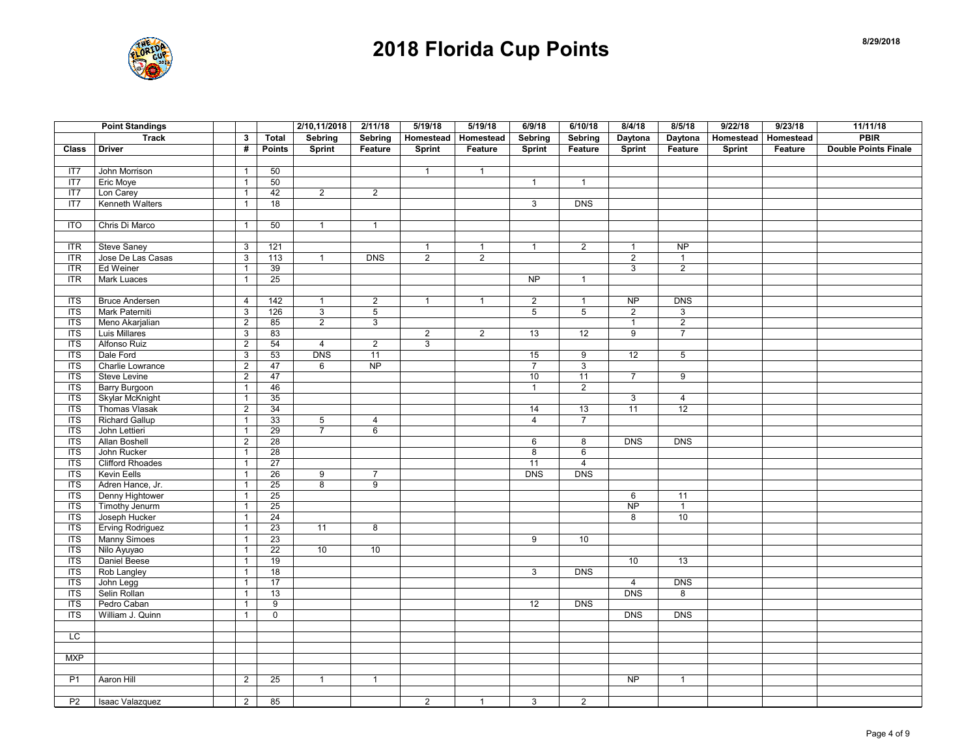

|                | <b>Point Standings</b>  |                |                 | 2/10,11/2018   | 2/11/18         | 5/19/18        | 5/19/18        | 6/9/18         | 6/10/18          | 8/4/18         | 8/5/18         | 9/22/18   | 9/23/18   | 11/11/18                    |
|----------------|-------------------------|----------------|-----------------|----------------|-----------------|----------------|----------------|----------------|------------------|----------------|----------------|-----------|-----------|-----------------------------|
|                | <b>Track</b>            | 3              | <b>Total</b>    | Sebring        | Sebring         | Homestead      | Homestead      | Sebring        | Sebring          | Daytona        | Daytona        | Homestead | Homestead | PBIR                        |
| Class          | <b>Driver</b>           | #              | <b>Points</b>   | <b>Sprint</b>  | Feature         | Sprint         | Feature        | Sprint         | Feature          | Sprint         | Feature        | Sprint    | Feature   | <b>Double Points Finale</b> |
|                |                         |                |                 |                |                 |                |                |                |                  |                |                |           |           |                             |
| IT7            | John Morrison           | $\mathbf{1}$   | 50              |                |                 | $\mathbf{1}$   | $\mathbf{1}$   |                |                  |                |                |           |           |                             |
| IT7            | Eric Moye               | $\mathbf{1}$   | 50              |                |                 |                |                | $\mathbf{1}$   | $\mathbf{1}$     |                |                |           |           |                             |
| IT7            | Lon Carey               | $\mathbf{1}$   | 42              | $\overline{2}$ | $\overline{2}$  |                |                |                |                  |                |                |           |           |                             |
| IT7            | Kenneth Walters         | $\mathbf{1}$   | 18              |                |                 |                |                | $\mathbf{3}$   | <b>DNS</b>       |                |                |           |           |                             |
|                |                         |                |                 |                |                 |                |                |                |                  |                |                |           |           |                             |
| <b>ITO</b>     | Chris Di Marco          | $\mathbf{1}$   | 50              | $\mathbf{1}$   | $\mathbf{1}$    |                |                |                |                  |                |                |           |           |                             |
|                |                         |                |                 |                |                 |                |                |                |                  |                |                |           |           |                             |
| <b>ITR</b>     | <b>Steve Saney</b>      | 3              | 121             |                |                 | $\mathbf{1}$   | $\mathbf{1}$   | $\mathbf{1}$   | $\overline{2}$   | $\mathbf{1}$   | NP             |           |           |                             |
| <b>ITR</b>     | Jose De Las Casas       | $\mathsf 3$    | 113             | $\mathbf{1}$   | <b>DNS</b>      | $\overline{2}$ | $\overline{2}$ |                |                  | $\overline{2}$ | $\mathbf{1}$   |           |           |                             |
| <b>ITR</b>     | Ed Weiner               | $\mathbf{1}$   | 39              |                |                 |                |                |                |                  | 3              | $\overline{2}$ |           |           |                             |
| <b>ITR</b>     | <b>Mark Luaces</b>      | $\mathbf{1}$   | 25              |                |                 |                |                | NP             | $\mathbf{1}$     |                |                |           |           |                             |
|                |                         |                |                 |                |                 |                |                |                |                  |                |                |           |           |                             |
| $\overline{1}$ | <b>Bruce Andersen</b>   | $\overline{4}$ | 142             | $\mathbf{1}$   | $\overline{2}$  | $\overline{1}$ | $\mathbf{1}$   | $\overline{2}$ | $\mathbf{1}$     | <b>NP</b>      | <b>DNS</b>     |           |           |                             |
| <b>ITS</b>     | Mark Paterniti          | $\mathsf 3$    | 126             | 3              | $5\phantom{.0}$ |                |                | 5              | $\sqrt{5}$       | $\overline{2}$ | 3              |           |           |                             |
| $\overline{1}$ | Meno Akarjalian         | $\overline{2}$ | 85              | $\overline{2}$ | 3               |                |                |                |                  | $\mathbf{1}$   | $\overline{2}$ |           |           |                             |
| <b>ITS</b>     | Luis Millares           | $\mathbf{3}$   | 83              |                |                 | $\overline{2}$ | $\overline{2}$ | 13             | 12               | 9              | $\overline{7}$ |           |           |                             |
| <b>ITS</b>     | <b>Alfonso Ruiz</b>     | $\overline{2}$ | 54              | $\overline{4}$ | $\overline{2}$  | $\overline{3}$ |                |                |                  |                |                |           |           |                             |
| <b>ITS</b>     | Dale Ford               | $\sqrt{3}$     | 53              | <b>DNS</b>     | 11              |                |                | 15             | $\boldsymbol{9}$ | 12             | $\,$ 5 $\,$    |           |           |                             |
| <b>ITS</b>     | <b>Charlie Lowrance</b> | $\overline{2}$ | 47              | 6              | NP              |                |                | $\overline{7}$ | $\overline{3}$   |                |                |           |           |                             |
| $\overline{1}$ | <b>Steve Levine</b>     | $\overline{2}$ | 47              |                |                 |                |                | 10             | 11               | $\overline{7}$ | $\overline{9}$ |           |           |                             |
| ITS            | <b>Barry Burgoon</b>    | $\mathbf{1}$   | 46              |                |                 |                |                | $\mathbf{1}$   | $\sqrt{2}$       |                |                |           |           |                             |
| $\overline{1}$ | <b>Skylar McKnight</b>  | $\mathbf{1}$   | 35              |                |                 |                |                |                |                  | 3              | $\overline{4}$ |           |           |                             |
| $\overline{1}$ | <b>Thomas Vlasak</b>    | $\overline{2}$ | 34              |                |                 |                |                | 14             | 13               | 11             | 12             |           |           |                             |
| <b>ITS</b>     | <b>Richard Gallup</b>   | $\mathbf{1}$   | 33              | 5              | $\overline{4}$  |                |                | $\overline{4}$ | $\overline{7}$   |                |                |           |           |                             |
| <b>ITS</b>     | John Lettieri           | $\mathbf{1}$   | 29              | $\overline{7}$ | 6               |                |                |                |                  |                |                |           |           |                             |
| $\overline{1}$ | Allan Boshell           | $\overline{2}$ | 28              |                |                 |                |                | 6              | 8                | <b>DNS</b>     | <b>DNS</b>     |           |           |                             |
| <b>ITS</b>     | John Rucker             | $\mathbf{1}$   | 28              |                |                 |                |                | 8              | $\,6\,$          |                |                |           |           |                             |
| <b>ITS</b>     | <b>Clifford Rhoades</b> | $\mathbf{1}$   | 27              |                |                 |                |                | 11             | $\overline{4}$   |                |                |           |           |                             |
| $\overline{1}$ | Kevin Eells             | $\mathbf{1}$   | 26              | 9              | $\overline{7}$  |                |                | <b>DNS</b>     | <b>DNS</b>       |                |                |           |           |                             |
| <b>ITS</b>     | Adren Hance, Jr.        | $\mathbf{1}$   | 25              | $\overline{8}$ | $\overline{9}$  |                |                |                |                  |                |                |           |           |                             |
| <b>ITS</b>     | Denny Hightower         | $\mathbf{1}$   | 25              |                |                 |                |                |                |                  | 6              | 11             |           |           |                             |
| $\overline{1}$ | Timothy Jenurm          | $\mathbf{1}$   | 25              |                |                 |                |                |                |                  | <b>NP</b>      | $\mathbf{1}$   |           |           |                             |
| $\overline{1}$ | Joseph Hucker           | $\mathbf{1}$   | 24              |                |                 |                |                |                |                  | 8              | 10             |           |           |                             |
| $\overline{1}$ | Erving Rodriguez        | $\mathbf{1}$   | 23              | 11             | $\overline{8}$  |                |                |                |                  |                |                |           |           |                             |
| $\overline{1}$ | <b>Manny Simoes</b>     | $\mathbf{1}$   | 23              |                |                 |                |                | 9              | 10               |                |                |           |           |                             |
| $\overline{1}$ | Nilo Ayuyao             | $\mathbf{1}$   | $\overline{22}$ | 10             | 10              |                |                |                |                  |                |                |           |           |                             |
| <b>ITS</b>     | Daniel Beese            | $\mathbf{1}$   | 19              |                |                 |                |                |                |                  | 10             | 13             |           |           |                             |
| <b>ITS</b>     | Rob Langley             | $\mathbf{1}$   | 18              |                |                 |                |                | 3              | <b>DNS</b>       |                |                |           |           |                             |
| $\overline{1}$ | John Legg               | $\mathbf{1}$   | 17              |                |                 |                |                |                |                  | $\overline{4}$ | <b>DNS</b>     |           |           |                             |
| <b>ITS</b>     | Selin Rollan            | $\mathbf{1}$   | 13              |                |                 |                |                |                |                  | <b>DNS</b>     | 8              |           |           |                             |
| <b>ITS</b>     | Pedro Caban             | $\mathbf{1}$   | 9               |                |                 |                |                | 12             | <b>DNS</b>       |                |                |           |           |                             |
| $\overline{1}$ | William J. Quinn        | $\mathbf{1}$   | $\overline{0}$  |                |                 |                |                |                |                  | DNS            | DNS            |           |           |                             |
|                |                         |                |                 |                |                 |                |                |                |                  |                |                |           |           |                             |
| LC             |                         |                |                 |                |                 |                |                |                |                  |                |                |           |           |                             |
|                |                         |                |                 |                |                 |                |                |                |                  |                |                |           |           |                             |
| <b>MXP</b>     |                         |                |                 |                |                 |                |                |                |                  |                |                |           |           |                             |
|                |                         |                |                 |                |                 |                |                |                |                  |                |                |           |           |                             |
| P <sub>1</sub> | Aaron Hill              | $\overline{2}$ | 25              | $\mathbf{1}$   | $\overline{1}$  |                |                |                |                  | <b>NP</b>      | $\mathbf{1}$   |           |           |                             |
|                |                         |                |                 |                |                 |                |                |                |                  |                |                |           |           |                             |
| P <sub>2</sub> | Isaac Valazquez         | $\overline{2}$ | 85              |                |                 | $\overline{2}$ | $\mathbf{1}$   | 3              | $\overline{2}$   |                |                |           |           |                             |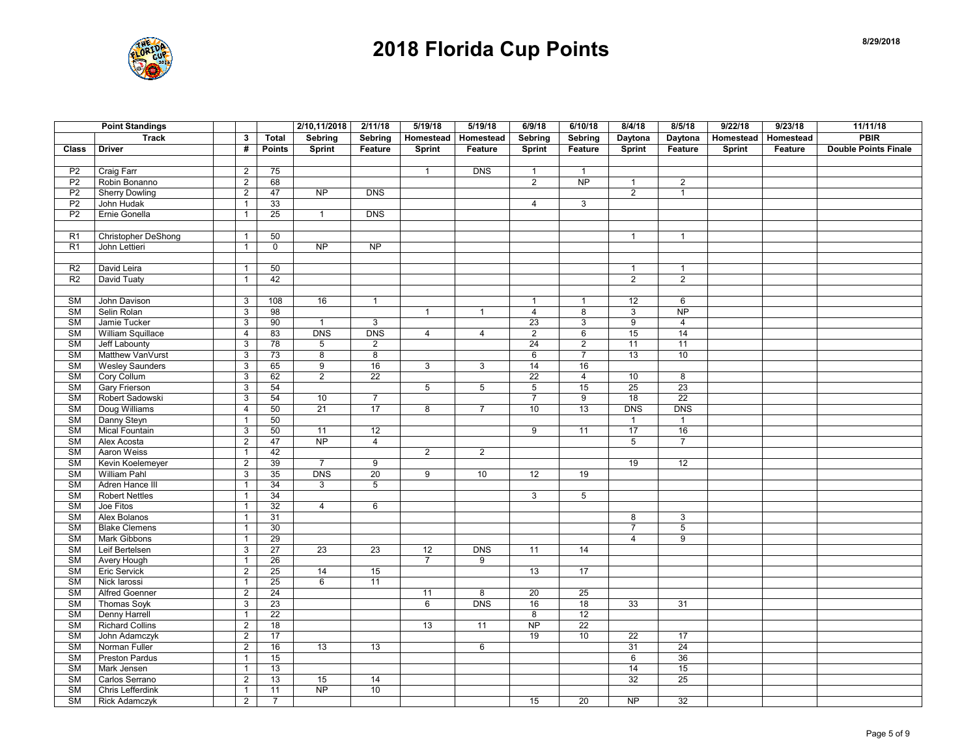

|                        | <b>Point Standings</b> |                |                 | 2/10,11/2018    | 2/11/18         | 5/19/18         | 5/19/18        | 6/9/18          | 6/10/18         | 8/4/18          | 8/5/18          | 9/22/18 | 9/23/18               | 11/11/18                    |
|------------------------|------------------------|----------------|-----------------|-----------------|-----------------|-----------------|----------------|-----------------|-----------------|-----------------|-----------------|---------|-----------------------|-----------------------------|
|                        | <b>Track</b>           | 3              | <b>Total</b>    | Sebring         | Sebring         | Homestead       | Homestead      | <b>Sebring</b>  | Sebring         | Daytona         | Daytona         |         | Homestead   Homestead | <b>PBIR</b>                 |
| Class                  | <b>Driver</b>          | #              | <b>Points</b>   | <b>Sprint</b>   | Feature         | <b>Sprint</b>   | Feature        | <b>Sprint</b>   | Feature         | Sprint          | Feature         | Sprint  | Feature               | <b>Double Points Finale</b> |
|                        |                        |                |                 |                 |                 |                 |                |                 |                 |                 |                 |         |                       |                             |
| P <sub>2</sub>         | Craig Farr             | $\overline{2}$ | 75              |                 |                 | $\mathbf{1}$    | <b>DNS</b>     | $\mathbf{1}$    | $\overline{1}$  |                 |                 |         |                       |                             |
| P <sub>2</sub>         | Robin Bonanno          | $\overline{2}$ | 68              |                 |                 |                 |                | $\overline{2}$  | <b>NP</b>       | $\mathbf{1}$    | $\overline{2}$  |         |                       |                             |
| P <sub>2</sub>         | <b>Sherry Dowling</b>  | $\overline{2}$ | 47              | NP              | DNS             |                 |                |                 |                 | $\overline{2}$  | $\mathbf{1}$    |         |                       |                             |
| P <sub>2</sub>         | John Hudak             | $\mathbf{1}$   | 33              |                 |                 |                 |                | $\overline{4}$  | 3               |                 |                 |         |                       |                             |
| P <sub>2</sub>         | Ernie Gonella          | $\mathbf{1}$   | 25              | $\overline{1}$  | DNS             |                 |                |                 |                 |                 |                 |         |                       |                             |
|                        |                        |                |                 |                 |                 |                 |                |                 |                 |                 |                 |         |                       |                             |
| R <sub>1</sub>         | Christopher DeShong    | $\mathbf{1}$   | 50              |                 |                 |                 |                |                 |                 | $\mathbf{1}$    | $\mathbf{1}$    |         |                       |                             |
| R <sub>1</sub>         | John Lettieri          | $\mathbf{1}$   | $\mathsf{O}$    | <b>NP</b>       | <b>NP</b>       |                 |                |                 |                 |                 |                 |         |                       |                             |
|                        |                        |                |                 |                 |                 |                 |                |                 |                 |                 |                 |         |                       |                             |
| R <sub>2</sub>         | David Leira            | $\mathbf{1}$   | 50              |                 |                 |                 |                |                 |                 | $\mathbf{1}$    | $\mathbf{1}$    |         |                       |                             |
| R <sub>2</sub>         | David Tuaty            | $\mathbf{1}$   | 42              |                 |                 |                 |                |                 |                 | $\overline{2}$  | $\overline{2}$  |         |                       |                             |
|                        |                        |                |                 |                 |                 |                 |                |                 |                 |                 |                 |         |                       |                             |
| SM                     | John Davison           | 3              | 108             | 16              | $\overline{1}$  |                 |                | $\mathbf{1}$    | $\mathbf{1}$    | 12              | 6               |         |                       |                             |
| <b>SM</b>              | Selin Rolan            | 3              | 98              |                 |                 | $\mathbf{1}$    | $\mathbf{1}$   | $\overline{4}$  | 8               | 3               | $\overline{NP}$ |         |                       |                             |
| SM                     | Jamie Tucker           | $\overline{3}$ | 90              | $\mathbf{1}$    | $\mathbf{3}$    |                 |                | 23              | $\mathbf{3}$    | $9\,$           | $\overline{4}$  |         |                       |                             |
| <b>SM</b>              | William Squillace      | $\overline{4}$ | 83              | <b>DNS</b>      | <b>DNS</b>      | $\overline{4}$  | $\overline{4}$ | $\overline{2}$  | 6               | 15              | 14              |         |                       |                             |
| <b>SM</b>              | Jeff Labounty          | $\overline{3}$ | $\overline{78}$ | 5               | $\overline{2}$  |                 |                | $\overline{24}$ | $\overline{2}$  | $\overline{11}$ | 11              |         |                       |                             |
| <b>SM</b>              | Matthew VanVurst       | 3              | 73              | 8               | 8               |                 |                | 6               | $\overline{7}$  | 13              | 10              |         |                       |                             |
| <b>SM</b>              | <b>Wesley Saunders</b> | 3              | 65              | $\overline{9}$  | 16              | $\overline{3}$  | $\overline{3}$ | 14              | 16              |                 |                 |         |                       |                             |
| $\overline{\text{SM}}$ | Cory Collum            | 3              | 62              | $\overline{2}$  | $\overline{22}$ |                 |                | $\overline{22}$ | 4               | 10              | 8               |         |                       |                             |
| SM                     | <b>Gary Frierson</b>   | $\mathsf 3$    | 54              |                 |                 | $5\phantom{.0}$ | 5              | $5\phantom{.0}$ | 15              | 25              | 23              |         |                       |                             |
| <b>SM</b>              | Robert Sadowski        | 3              | 54              | 10              | $\overline{7}$  |                 |                | $\overline{7}$  | 9               | $\overline{18}$ | 22              |         |                       |                             |
| <b>SM</b>              | Doug Williams          | 4              | 50              | 21              | 17              | 8               | $7^{\circ}$    | 10              | 13              | <b>DNS</b>      | <b>DNS</b>      |         |                       |                             |
| <b>SM</b>              | Danny Steyn            | $\mathbf{1}$   | 50              |                 |                 |                 |                |                 |                 | $\mathbf{1}$    | $\mathbf{1}$    |         |                       |                             |
| <b>SM</b>              | Mical Fountain         | 3              | 50              | 11              | 12              |                 |                | $\overline{9}$  | 11              | 17              | 16              |         |                       |                             |
| <b>SM</b>              | Alex Acosta            | $\overline{2}$ | 47              | <b>NP</b>       | $\overline{4}$  |                 |                |                 |                 | 5               | $\overline{7}$  |         |                       |                             |
| <b>SM</b>              | Aaron Weiss            | $\mathbf{1}$   | 42              |                 |                 | $\overline{2}$  | $\overline{2}$ |                 |                 |                 |                 |         |                       |                             |
| SM                     | Kevin Koelemeyer       | $\overline{2}$ | 39              | $\overline{7}$  | 9               |                 |                |                 |                 | 19              | 12              |         |                       |                             |
| <b>SM</b>              | William Pahl           | $\mathsf 3$    | 35              | <b>DNS</b>      | 20              | 9               | 10             | 12              | 19              |                 |                 |         |                       |                             |
| <b>SM</b>              | Adren Hance III        | $\mathbf{1}$   | 34              | 3               | $5\phantom{.0}$ |                 |                |                 |                 |                 |                 |         |                       |                             |
| <b>SM</b>              | <b>Robert Nettles</b>  | $\mathbf{1}$   | 34              |                 |                 |                 |                | $\mathbf{3}$    | $5\overline{)}$ |                 |                 |         |                       |                             |
| <b>SM</b>              | Joe Fitos              | $\mathbf{1}$   | 32              | $\overline{4}$  | 6               |                 |                |                 |                 |                 |                 |         |                       |                             |
| <b>SM</b>              | Alex Bolanos           | $\mathbf{1}$   | 31              |                 |                 |                 |                |                 |                 | 8               | 3               |         |                       |                             |
| <b>SM</b>              | <b>Blake Clemens</b>   | $\mathbf{1}$   | 30              |                 |                 |                 |                |                 |                 | $\overline{7}$  | $\overline{5}$  |         |                       |                             |
| <b>SM</b>              | Mark Gibbons           | $\mathbf{1}$   | 29              |                 |                 |                 |                |                 |                 | $\overline{4}$  | 9               |         |                       |                             |
| <b>SM</b>              | Leif Bertelsen         | 3              | 27              | $\overline{23}$ | 23              | 12              | <b>DNS</b>     | 11              | 14              |                 |                 |         |                       |                             |
| <b>SM</b>              | <b>Avery Hough</b>     | $\mathbf{1}$   | 26              |                 |                 | $\overline{7}$  | 9              |                 |                 |                 |                 |         |                       |                             |
| <b>SM</b>              | Eric Servick           | $\overline{2}$ | 25              | 14              | 15              |                 |                | 13              | 17              |                 |                 |         |                       |                             |
| <b>SM</b>              | Nick larossi           | $\mathbf{1}$   | 25              | 6               | $\overline{11}$ |                 |                |                 |                 |                 |                 |         |                       |                             |
| <b>SM</b>              | <b>Alfred Goenner</b>  | $\overline{2}$ | 24              |                 |                 | 11              | 8              | 20              | 25              |                 |                 |         |                       |                             |
| <b>SM</b>              | <b>Thomas Soyk</b>     | $\mathsf 3$    | 23              |                 |                 | 6               | <b>DNS</b>     | 16              | 18              | 33              | 31              |         |                       |                             |
| <b>SM</b>              | Denny Harrell          | $\mathbf{1}$   | $\overline{22}$ |                 |                 |                 |                | $\overline{8}$  | 12              |                 |                 |         |                       |                             |
| <b>SM</b>              | <b>Richard Collins</b> | $\overline{2}$ | 18              |                 |                 | 13              | 11             | <b>NP</b>       | 22              |                 |                 |         |                       |                             |
| <b>SM</b>              | John Adamczyk          | $\overline{2}$ | 17              |                 |                 |                 |                | 19              | 10              | $\overline{22}$ | 17              |         |                       |                             |
| <b>SM</b>              | Norman Fuller          | $\sqrt{2}$     | 16              | 13              | 13              |                 | 6              |                 |                 | 31              | 24              |         |                       |                             |
| <b>SM</b>              | <b>Preston Pardus</b>  | $\mathbf{1}$   | 15              |                 |                 |                 |                |                 |                 | 6               | 36              |         |                       |                             |
| <b>SM</b>              | Mark Jensen            | $\mathbf{1}$   | 13              |                 |                 |                 |                |                 |                 | 14              | 15              |         |                       |                             |
| <b>SM</b>              | Carlos Serrano         | 2              | 13              | 15<br><b>NP</b> | 14              |                 |                |                 |                 | 32              | 25              |         |                       |                             |
| <b>SM</b>              | Chris Lefferdink       | $\mathbf{1}$   | 11              |                 | 10              |                 |                |                 |                 |                 |                 |         |                       |                             |
| <b>SM</b>              | <b>Rick Adamczyk</b>   | $\overline{2}$ | $\overline{7}$  |                 |                 |                 |                | 15              | 20              | $\overline{NP}$ | 32              |         |                       |                             |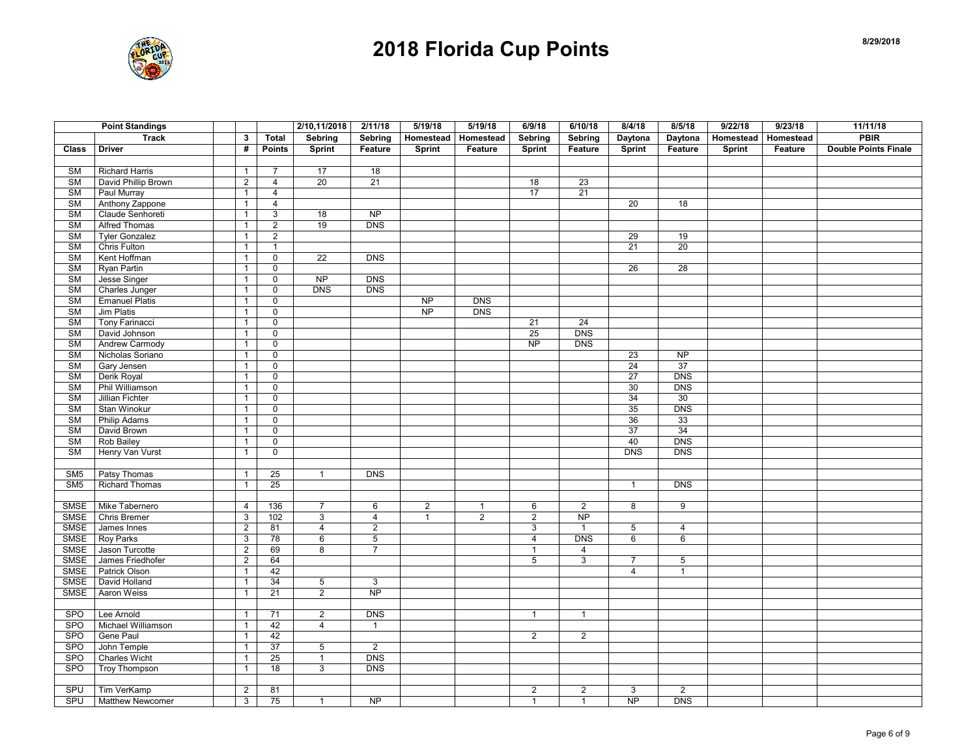

| <b>PBIR</b><br><b>Track</b><br>$\mathbf{3}$<br><b>Total</b><br>Sebring<br>Sebring<br>Homestead<br>Homestead<br>Sebring<br>Sebring<br>Daytona<br>Daytona<br>Homestead   Homestead<br><b>Sprint</b><br><b>Double Points Finale</b><br><b>Driver</b><br>#<br><b>Points</b><br><b>Sprint</b><br>Feature<br>Sprint<br>Feature<br>Sprint<br>Feature<br>Sprint<br>Feature<br>Class<br>Feature<br><b>SM</b><br><b>Richard Harris</b><br>$\overline{7}$<br>17<br>18<br>$\mathbf{1}$<br>SM<br>David Phillip Brown<br>$\overline{2}$<br>$\overline{4}$<br>20<br>21<br>18<br>23<br><b>SM</b><br>$\overline{4}$<br>17<br>21<br>Paul Murray<br>$\mathbf{1}$<br><b>SM</b><br>Anthony Zappone<br>$\overline{4}$<br>20<br>18<br>$\mathbf{1}$<br><b>NP</b><br><b>SM</b><br>Claude Senhoreti<br>18<br>3<br>$\mathbf{1}$<br><b>Alfred Thomas</b><br>$\overline{2}$<br>19<br><b>SM</b><br>$\mathbf{1}$<br><b>DNS</b><br>$\overline{\text{SM}}$<br><b>Tyler Gonzalez</b><br>$\overline{2}$<br>29<br>19<br>$\mathbf{1}$<br><b>SM</b><br>Chris Fulton<br>$\overline{21}$<br>$\overline{20}$<br>$\mathbf{1}$<br>$\mathbf{1}$<br>SM<br>Kent Hoffman<br>$\mathbf 0$<br>22<br><b>DNS</b><br>$\mathbf{1}$<br>26<br>28<br><b>SM</b><br>Ryan Partin<br>$\pmb{0}$<br>$\mathbf{1}$<br><b>SM</b><br>Jesse Singer<br>$\overline{NP}$<br><b>DNS</b><br>$\mathbf 0$<br>$\mathbf{1}$<br><b>DNS</b><br><b>SM</b><br>Charles Junger<br>$\pmb{0}$<br><b>DNS</b><br>$\mathbf{1}$<br><b>SM</b><br><b>Emanuel Platis</b><br><b>NP</b><br><b>DNS</b><br>$\pmb{0}$<br>$\mathbf{1}$<br><b>SM</b><br><b>Jim Platis</b><br>$\overline{0}$<br>$\overline{NP}$<br><b>DNS</b><br>$\mathbf{1}$<br><b>SM</b><br>Tony Farinacci<br>$\mathsf 0$<br>21<br>24<br>$\mathbf{1}$<br><b>SM</b><br>David Johnson<br>25<br><b>DNS</b><br>$\mathbf 0$<br>$\mathbf{1}$<br><b>SM</b><br><b>Andrew Carmody</b><br>$\overline{NP}$<br>$\pmb{0}$<br><b>DNS</b><br>$\mathbf{1}$<br><b>SM</b><br>Nicholas Soriano<br>23<br>$\mathbf{1}$<br>$\mathbf 0$<br><b>NP</b><br><b>SM</b><br>$\overline{0}$<br>24<br>37<br>Gary Jensen<br>$\mathbf{1}$<br>Derik Royal<br>27<br>SM<br>$\pmb{0}$<br><b>DNS</b><br>$\mathbf{1}$<br>Phil Williamson<br><b>DNS</b><br><b>SM</b><br>$\pmb{0}$<br>30<br>$\mathbf{1}$<br>30<br><b>SM</b><br>Jillian Fichter<br>$\pmb{0}$<br>34<br>$\mathbf{1}$<br><b>SM</b><br>35<br><b>DNS</b><br>Stan Winokur<br>$\mathsf 0$<br>$\mathbf{1}$<br><b>SM</b><br>Philip Adams<br>$\mathbf 0$<br>36<br>33<br>$\mathbf{1}$<br><b>SM</b><br>David Brown<br>$\overline{0}$<br>$\overline{37}$<br>34<br>$\mathbf{1}$<br><b>DNS</b><br><b>SM</b><br>Rob Bailey<br>$\pmb{0}$<br>40<br>$\mathbf{1}$<br>SM<br>$\mathsf 0$<br><b>DNS</b><br><b>DNS</b><br>Henry Van Vurst<br>$\mathbf{1}$<br><b>DNS</b><br>Patsy Thomas<br>25<br>$\mathbf{1}$<br>SM <sub>5</sub><br>$\mathbf{1}$<br>SM <sub>5</sub><br><b>Richard Thomas</b><br>$\mathbf{1}$<br>25<br><b>DNS</b><br>$\mathbf{1}$<br>Mike Tabernero<br>$\overline{2}$<br>SMSE<br>136<br>$\overline{7}$<br>6<br>6<br>2<br>8<br>9<br>4<br>$\mathbf{1}$<br><b>SMSE</b><br><b>Chris Bremer</b><br>$\overline{3}$<br>102<br>$\overline{3}$<br>$\overline{4}$<br>$\overline{1}$<br>$\overline{2}$<br>$\overline{2}$<br>$\overline{NP}$<br><b>SMSE</b><br>James Innes<br>2<br>81<br>$\overline{4}$<br>$\overline{2}$<br>3<br>$\mathbf{1}$<br>5<br>$\overline{4}$<br><b>SMSE</b><br><b>Roy Parks</b><br>78<br>6<br>$\sqrt{5}$<br><b>DNS</b><br>6<br>6<br>3<br>$\overline{4}$<br>Jason Turcotte<br><b>SMSE</b><br>$\overline{2}$<br>69<br>8<br>$\overline{7}$<br>4<br>$\mathbf{1}$<br><b>SMSE</b><br>James Friedhofer<br>$\overline{2}$<br>$\sqrt{3}$<br>5<br>64<br>5<br>$\overline{7}$<br><b>SMSE</b><br>42<br>Patrick Olson<br>$\overline{4}$<br>$\mathbf{1}$<br>$\mathbf{1}$<br><b>SMSE</b><br>David Holland<br>34<br>$5\phantom{.0}$<br>3<br>$\mathbf{1}$<br>$\overline{2}$<br>$\overline{NP}$<br>SMSE<br><b>Aaron Weiss</b><br>21<br>$\mathbf{1}$<br><b>SPO</b><br>$\overline{2}$<br>DNS<br>Lee Arnold<br>71<br>$\mathbf{1}$<br>$\mathbf{1}$<br>$\mathbf{1}$<br><b>SPO</b><br>Michael Williamson<br>42<br>$\overline{4}$<br>$\mathbf{1}$<br>$\overline{1}$<br><b>SPO</b><br>Gene Paul<br>42<br>$\overline{2}$<br>$\overline{2}$<br>$\mathbf{1}$<br>SPO<br>John Temple<br>37<br>5<br>$\overline{2}$<br>$\mathbf{1}$<br><b>DNS</b><br>SPO<br><b>Charles Wicht</b><br>25<br>$\mathbf{1}$<br>$\mathbf{1}$<br><b>SPO</b><br><b>Troy Thompson</b><br>18<br>3<br>DNS<br>$\mathbf{1}$<br>SPU<br>$\overline{2}$<br>$\sqrt{2}$<br>$\overline{2}$<br>Tim VerKamp<br>$\sqrt{2}$<br>81<br>3<br>75<br>$\overline{NP}$<br><b>DNS</b><br>SPU<br>3<br><b>NP</b><br>$\mathbf{1}$<br>$\mathbf{1}$<br><b>Matthew Newcomer</b><br>$\mathbf{1}$ | <b>Point Standings</b> |  | 2/10,11/2018 | 2/11/18 | 5/19/18 | 5/19/18 | 6/9/18 | 6/10/18 | 8/4/18 | 8/5/18 | 9/22/18 | 9/23/18 | 11/11/18 |
|-------------------------------------------------------------------------------------------------------------------------------------------------------------------------------------------------------------------------------------------------------------------------------------------------------------------------------------------------------------------------------------------------------------------------------------------------------------------------------------------------------------------------------------------------------------------------------------------------------------------------------------------------------------------------------------------------------------------------------------------------------------------------------------------------------------------------------------------------------------------------------------------------------------------------------------------------------------------------------------------------------------------------------------------------------------------------------------------------------------------------------------------------------------------------------------------------------------------------------------------------------------------------------------------------------------------------------------------------------------------------------------------------------------------------------------------------------------------------------------------------------------------------------------------------------------------------------------------------------------------------------------------------------------------------------------------------------------------------------------------------------------------------------------------------------------------------------------------------------------------------------------------------------------------------------------------------------------------------------------------------------------------------------------------------------------------------------------------------------------------------------------------------------------------------------------------------------------------------------------------------------------------------------------------------------------------------------------------------------------------------------------------------------------------------------------------------------------------------------------------------------------------------------------------------------------------------------------------------------------------------------------------------------------------------------------------------------------------------------------------------------------------------------------------------------------------------------------------------------------------------------------------------------------------------------------------------------------------------------------------------------------------------------------------------------------------------------------------------------------------------------------------------------------------------------------------------------------------------------------------------------------------------------------------------------------------------------------------------------------------------------------------------------------------------------------------------------------------------------------------------------------------------------------------------------------------------------------------------------------------------------------------------------------------------------------------------------------------------------------------------------------------------------------------------------------------------------------------------------------------------------------------------------------------------------------------------------------------------------------------------------------------------------------------------------------------------------------------------------------------------------------------------------------------------------------------------------------------------------------------------------------------------------------------------------------------------------------------------------------------------------------------------------------------------------------------------------------------------------------------------------------------------------------------------------------------------------------------------------------------------------------------------------------------------------------------------|------------------------|--|--------------|---------|---------|---------|--------|---------|--------|--------|---------|---------|----------|
|                                                                                                                                                                                                                                                                                                                                                                                                                                                                                                                                                                                                                                                                                                                                                                                                                                                                                                                                                                                                                                                                                                                                                                                                                                                                                                                                                                                                                                                                                                                                                                                                                                                                                                                                                                                                                                                                                                                                                                                                                                                                                                                                                                                                                                                                                                                                                                                                                                                                                                                                                                                                                                                                                                                                                                                                                                                                                                                                                                                                                                                                                                                                                                                                                                                                                                                                                                                                                                                                                                                                                                                                                                                                                                                                                                                                                                                                                                                                                                                                                                                                                                                                                                                                                                                                                                                                                                                                                                                                                                                                                                                                                                                                                                 |                        |  |              |         |         |         |        |         |        |        |         |         |          |
|                                                                                                                                                                                                                                                                                                                                                                                                                                                                                                                                                                                                                                                                                                                                                                                                                                                                                                                                                                                                                                                                                                                                                                                                                                                                                                                                                                                                                                                                                                                                                                                                                                                                                                                                                                                                                                                                                                                                                                                                                                                                                                                                                                                                                                                                                                                                                                                                                                                                                                                                                                                                                                                                                                                                                                                                                                                                                                                                                                                                                                                                                                                                                                                                                                                                                                                                                                                                                                                                                                                                                                                                                                                                                                                                                                                                                                                                                                                                                                                                                                                                                                                                                                                                                                                                                                                                                                                                                                                                                                                                                                                                                                                                                                 |                        |  |              |         |         |         |        |         |        |        |         |         |          |
|                                                                                                                                                                                                                                                                                                                                                                                                                                                                                                                                                                                                                                                                                                                                                                                                                                                                                                                                                                                                                                                                                                                                                                                                                                                                                                                                                                                                                                                                                                                                                                                                                                                                                                                                                                                                                                                                                                                                                                                                                                                                                                                                                                                                                                                                                                                                                                                                                                                                                                                                                                                                                                                                                                                                                                                                                                                                                                                                                                                                                                                                                                                                                                                                                                                                                                                                                                                                                                                                                                                                                                                                                                                                                                                                                                                                                                                                                                                                                                                                                                                                                                                                                                                                                                                                                                                                                                                                                                                                                                                                                                                                                                                                                                 |                        |  |              |         |         |         |        |         |        |        |         |         |          |
|                                                                                                                                                                                                                                                                                                                                                                                                                                                                                                                                                                                                                                                                                                                                                                                                                                                                                                                                                                                                                                                                                                                                                                                                                                                                                                                                                                                                                                                                                                                                                                                                                                                                                                                                                                                                                                                                                                                                                                                                                                                                                                                                                                                                                                                                                                                                                                                                                                                                                                                                                                                                                                                                                                                                                                                                                                                                                                                                                                                                                                                                                                                                                                                                                                                                                                                                                                                                                                                                                                                                                                                                                                                                                                                                                                                                                                                                                                                                                                                                                                                                                                                                                                                                                                                                                                                                                                                                                                                                                                                                                                                                                                                                                                 |                        |  |              |         |         |         |        |         |        |        |         |         |          |
|                                                                                                                                                                                                                                                                                                                                                                                                                                                                                                                                                                                                                                                                                                                                                                                                                                                                                                                                                                                                                                                                                                                                                                                                                                                                                                                                                                                                                                                                                                                                                                                                                                                                                                                                                                                                                                                                                                                                                                                                                                                                                                                                                                                                                                                                                                                                                                                                                                                                                                                                                                                                                                                                                                                                                                                                                                                                                                                                                                                                                                                                                                                                                                                                                                                                                                                                                                                                                                                                                                                                                                                                                                                                                                                                                                                                                                                                                                                                                                                                                                                                                                                                                                                                                                                                                                                                                                                                                                                                                                                                                                                                                                                                                                 |                        |  |              |         |         |         |        |         |        |        |         |         |          |
|                                                                                                                                                                                                                                                                                                                                                                                                                                                                                                                                                                                                                                                                                                                                                                                                                                                                                                                                                                                                                                                                                                                                                                                                                                                                                                                                                                                                                                                                                                                                                                                                                                                                                                                                                                                                                                                                                                                                                                                                                                                                                                                                                                                                                                                                                                                                                                                                                                                                                                                                                                                                                                                                                                                                                                                                                                                                                                                                                                                                                                                                                                                                                                                                                                                                                                                                                                                                                                                                                                                                                                                                                                                                                                                                                                                                                                                                                                                                                                                                                                                                                                                                                                                                                                                                                                                                                                                                                                                                                                                                                                                                                                                                                                 |                        |  |              |         |         |         |        |         |        |        |         |         |          |
|                                                                                                                                                                                                                                                                                                                                                                                                                                                                                                                                                                                                                                                                                                                                                                                                                                                                                                                                                                                                                                                                                                                                                                                                                                                                                                                                                                                                                                                                                                                                                                                                                                                                                                                                                                                                                                                                                                                                                                                                                                                                                                                                                                                                                                                                                                                                                                                                                                                                                                                                                                                                                                                                                                                                                                                                                                                                                                                                                                                                                                                                                                                                                                                                                                                                                                                                                                                                                                                                                                                                                                                                                                                                                                                                                                                                                                                                                                                                                                                                                                                                                                                                                                                                                                                                                                                                                                                                                                                                                                                                                                                                                                                                                                 |                        |  |              |         |         |         |        |         |        |        |         |         |          |
|                                                                                                                                                                                                                                                                                                                                                                                                                                                                                                                                                                                                                                                                                                                                                                                                                                                                                                                                                                                                                                                                                                                                                                                                                                                                                                                                                                                                                                                                                                                                                                                                                                                                                                                                                                                                                                                                                                                                                                                                                                                                                                                                                                                                                                                                                                                                                                                                                                                                                                                                                                                                                                                                                                                                                                                                                                                                                                                                                                                                                                                                                                                                                                                                                                                                                                                                                                                                                                                                                                                                                                                                                                                                                                                                                                                                                                                                                                                                                                                                                                                                                                                                                                                                                                                                                                                                                                                                                                                                                                                                                                                                                                                                                                 |                        |  |              |         |         |         |        |         |        |        |         |         |          |
|                                                                                                                                                                                                                                                                                                                                                                                                                                                                                                                                                                                                                                                                                                                                                                                                                                                                                                                                                                                                                                                                                                                                                                                                                                                                                                                                                                                                                                                                                                                                                                                                                                                                                                                                                                                                                                                                                                                                                                                                                                                                                                                                                                                                                                                                                                                                                                                                                                                                                                                                                                                                                                                                                                                                                                                                                                                                                                                                                                                                                                                                                                                                                                                                                                                                                                                                                                                                                                                                                                                                                                                                                                                                                                                                                                                                                                                                                                                                                                                                                                                                                                                                                                                                                                                                                                                                                                                                                                                                                                                                                                                                                                                                                                 |                        |  |              |         |         |         |        |         |        |        |         |         |          |
|                                                                                                                                                                                                                                                                                                                                                                                                                                                                                                                                                                                                                                                                                                                                                                                                                                                                                                                                                                                                                                                                                                                                                                                                                                                                                                                                                                                                                                                                                                                                                                                                                                                                                                                                                                                                                                                                                                                                                                                                                                                                                                                                                                                                                                                                                                                                                                                                                                                                                                                                                                                                                                                                                                                                                                                                                                                                                                                                                                                                                                                                                                                                                                                                                                                                                                                                                                                                                                                                                                                                                                                                                                                                                                                                                                                                                                                                                                                                                                                                                                                                                                                                                                                                                                                                                                                                                                                                                                                                                                                                                                                                                                                                                                 |                        |  |              |         |         |         |        |         |        |        |         |         |          |
|                                                                                                                                                                                                                                                                                                                                                                                                                                                                                                                                                                                                                                                                                                                                                                                                                                                                                                                                                                                                                                                                                                                                                                                                                                                                                                                                                                                                                                                                                                                                                                                                                                                                                                                                                                                                                                                                                                                                                                                                                                                                                                                                                                                                                                                                                                                                                                                                                                                                                                                                                                                                                                                                                                                                                                                                                                                                                                                                                                                                                                                                                                                                                                                                                                                                                                                                                                                                                                                                                                                                                                                                                                                                                                                                                                                                                                                                                                                                                                                                                                                                                                                                                                                                                                                                                                                                                                                                                                                                                                                                                                                                                                                                                                 |                        |  |              |         |         |         |        |         |        |        |         |         |          |
|                                                                                                                                                                                                                                                                                                                                                                                                                                                                                                                                                                                                                                                                                                                                                                                                                                                                                                                                                                                                                                                                                                                                                                                                                                                                                                                                                                                                                                                                                                                                                                                                                                                                                                                                                                                                                                                                                                                                                                                                                                                                                                                                                                                                                                                                                                                                                                                                                                                                                                                                                                                                                                                                                                                                                                                                                                                                                                                                                                                                                                                                                                                                                                                                                                                                                                                                                                                                                                                                                                                                                                                                                                                                                                                                                                                                                                                                                                                                                                                                                                                                                                                                                                                                                                                                                                                                                                                                                                                                                                                                                                                                                                                                                                 |                        |  |              |         |         |         |        |         |        |        |         |         |          |
|                                                                                                                                                                                                                                                                                                                                                                                                                                                                                                                                                                                                                                                                                                                                                                                                                                                                                                                                                                                                                                                                                                                                                                                                                                                                                                                                                                                                                                                                                                                                                                                                                                                                                                                                                                                                                                                                                                                                                                                                                                                                                                                                                                                                                                                                                                                                                                                                                                                                                                                                                                                                                                                                                                                                                                                                                                                                                                                                                                                                                                                                                                                                                                                                                                                                                                                                                                                                                                                                                                                                                                                                                                                                                                                                                                                                                                                                                                                                                                                                                                                                                                                                                                                                                                                                                                                                                                                                                                                                                                                                                                                                                                                                                                 |                        |  |              |         |         |         |        |         |        |        |         |         |          |
|                                                                                                                                                                                                                                                                                                                                                                                                                                                                                                                                                                                                                                                                                                                                                                                                                                                                                                                                                                                                                                                                                                                                                                                                                                                                                                                                                                                                                                                                                                                                                                                                                                                                                                                                                                                                                                                                                                                                                                                                                                                                                                                                                                                                                                                                                                                                                                                                                                                                                                                                                                                                                                                                                                                                                                                                                                                                                                                                                                                                                                                                                                                                                                                                                                                                                                                                                                                                                                                                                                                                                                                                                                                                                                                                                                                                                                                                                                                                                                                                                                                                                                                                                                                                                                                                                                                                                                                                                                                                                                                                                                                                                                                                                                 |                        |  |              |         |         |         |        |         |        |        |         |         |          |
|                                                                                                                                                                                                                                                                                                                                                                                                                                                                                                                                                                                                                                                                                                                                                                                                                                                                                                                                                                                                                                                                                                                                                                                                                                                                                                                                                                                                                                                                                                                                                                                                                                                                                                                                                                                                                                                                                                                                                                                                                                                                                                                                                                                                                                                                                                                                                                                                                                                                                                                                                                                                                                                                                                                                                                                                                                                                                                                                                                                                                                                                                                                                                                                                                                                                                                                                                                                                                                                                                                                                                                                                                                                                                                                                                                                                                                                                                                                                                                                                                                                                                                                                                                                                                                                                                                                                                                                                                                                                                                                                                                                                                                                                                                 |                        |  |              |         |         |         |        |         |        |        |         |         |          |
|                                                                                                                                                                                                                                                                                                                                                                                                                                                                                                                                                                                                                                                                                                                                                                                                                                                                                                                                                                                                                                                                                                                                                                                                                                                                                                                                                                                                                                                                                                                                                                                                                                                                                                                                                                                                                                                                                                                                                                                                                                                                                                                                                                                                                                                                                                                                                                                                                                                                                                                                                                                                                                                                                                                                                                                                                                                                                                                                                                                                                                                                                                                                                                                                                                                                                                                                                                                                                                                                                                                                                                                                                                                                                                                                                                                                                                                                                                                                                                                                                                                                                                                                                                                                                                                                                                                                                                                                                                                                                                                                                                                                                                                                                                 |                        |  |              |         |         |         |        |         |        |        |         |         |          |
|                                                                                                                                                                                                                                                                                                                                                                                                                                                                                                                                                                                                                                                                                                                                                                                                                                                                                                                                                                                                                                                                                                                                                                                                                                                                                                                                                                                                                                                                                                                                                                                                                                                                                                                                                                                                                                                                                                                                                                                                                                                                                                                                                                                                                                                                                                                                                                                                                                                                                                                                                                                                                                                                                                                                                                                                                                                                                                                                                                                                                                                                                                                                                                                                                                                                                                                                                                                                                                                                                                                                                                                                                                                                                                                                                                                                                                                                                                                                                                                                                                                                                                                                                                                                                                                                                                                                                                                                                                                                                                                                                                                                                                                                                                 |                        |  |              |         |         |         |        |         |        |        |         |         |          |
|                                                                                                                                                                                                                                                                                                                                                                                                                                                                                                                                                                                                                                                                                                                                                                                                                                                                                                                                                                                                                                                                                                                                                                                                                                                                                                                                                                                                                                                                                                                                                                                                                                                                                                                                                                                                                                                                                                                                                                                                                                                                                                                                                                                                                                                                                                                                                                                                                                                                                                                                                                                                                                                                                                                                                                                                                                                                                                                                                                                                                                                                                                                                                                                                                                                                                                                                                                                                                                                                                                                                                                                                                                                                                                                                                                                                                                                                                                                                                                                                                                                                                                                                                                                                                                                                                                                                                                                                                                                                                                                                                                                                                                                                                                 |                        |  |              |         |         |         |        |         |        |        |         |         |          |
|                                                                                                                                                                                                                                                                                                                                                                                                                                                                                                                                                                                                                                                                                                                                                                                                                                                                                                                                                                                                                                                                                                                                                                                                                                                                                                                                                                                                                                                                                                                                                                                                                                                                                                                                                                                                                                                                                                                                                                                                                                                                                                                                                                                                                                                                                                                                                                                                                                                                                                                                                                                                                                                                                                                                                                                                                                                                                                                                                                                                                                                                                                                                                                                                                                                                                                                                                                                                                                                                                                                                                                                                                                                                                                                                                                                                                                                                                                                                                                                                                                                                                                                                                                                                                                                                                                                                                                                                                                                                                                                                                                                                                                                                                                 |                        |  |              |         |         |         |        |         |        |        |         |         |          |
|                                                                                                                                                                                                                                                                                                                                                                                                                                                                                                                                                                                                                                                                                                                                                                                                                                                                                                                                                                                                                                                                                                                                                                                                                                                                                                                                                                                                                                                                                                                                                                                                                                                                                                                                                                                                                                                                                                                                                                                                                                                                                                                                                                                                                                                                                                                                                                                                                                                                                                                                                                                                                                                                                                                                                                                                                                                                                                                                                                                                                                                                                                                                                                                                                                                                                                                                                                                                                                                                                                                                                                                                                                                                                                                                                                                                                                                                                                                                                                                                                                                                                                                                                                                                                                                                                                                                                                                                                                                                                                                                                                                                                                                                                                 |                        |  |              |         |         |         |        |         |        |        |         |         |          |
|                                                                                                                                                                                                                                                                                                                                                                                                                                                                                                                                                                                                                                                                                                                                                                                                                                                                                                                                                                                                                                                                                                                                                                                                                                                                                                                                                                                                                                                                                                                                                                                                                                                                                                                                                                                                                                                                                                                                                                                                                                                                                                                                                                                                                                                                                                                                                                                                                                                                                                                                                                                                                                                                                                                                                                                                                                                                                                                                                                                                                                                                                                                                                                                                                                                                                                                                                                                                                                                                                                                                                                                                                                                                                                                                                                                                                                                                                                                                                                                                                                                                                                                                                                                                                                                                                                                                                                                                                                                                                                                                                                                                                                                                                                 |                        |  |              |         |         |         |        |         |        |        |         |         |          |
|                                                                                                                                                                                                                                                                                                                                                                                                                                                                                                                                                                                                                                                                                                                                                                                                                                                                                                                                                                                                                                                                                                                                                                                                                                                                                                                                                                                                                                                                                                                                                                                                                                                                                                                                                                                                                                                                                                                                                                                                                                                                                                                                                                                                                                                                                                                                                                                                                                                                                                                                                                                                                                                                                                                                                                                                                                                                                                                                                                                                                                                                                                                                                                                                                                                                                                                                                                                                                                                                                                                                                                                                                                                                                                                                                                                                                                                                                                                                                                                                                                                                                                                                                                                                                                                                                                                                                                                                                                                                                                                                                                                                                                                                                                 |                        |  |              |         |         |         |        |         |        |        |         |         |          |
|                                                                                                                                                                                                                                                                                                                                                                                                                                                                                                                                                                                                                                                                                                                                                                                                                                                                                                                                                                                                                                                                                                                                                                                                                                                                                                                                                                                                                                                                                                                                                                                                                                                                                                                                                                                                                                                                                                                                                                                                                                                                                                                                                                                                                                                                                                                                                                                                                                                                                                                                                                                                                                                                                                                                                                                                                                                                                                                                                                                                                                                                                                                                                                                                                                                                                                                                                                                                                                                                                                                                                                                                                                                                                                                                                                                                                                                                                                                                                                                                                                                                                                                                                                                                                                                                                                                                                                                                                                                                                                                                                                                                                                                                                                 |                        |  |              |         |         |         |        |         |        |        |         |         |          |
|                                                                                                                                                                                                                                                                                                                                                                                                                                                                                                                                                                                                                                                                                                                                                                                                                                                                                                                                                                                                                                                                                                                                                                                                                                                                                                                                                                                                                                                                                                                                                                                                                                                                                                                                                                                                                                                                                                                                                                                                                                                                                                                                                                                                                                                                                                                                                                                                                                                                                                                                                                                                                                                                                                                                                                                                                                                                                                                                                                                                                                                                                                                                                                                                                                                                                                                                                                                                                                                                                                                                                                                                                                                                                                                                                                                                                                                                                                                                                                                                                                                                                                                                                                                                                                                                                                                                                                                                                                                                                                                                                                                                                                                                                                 |                        |  |              |         |         |         |        |         |        |        |         |         |          |
|                                                                                                                                                                                                                                                                                                                                                                                                                                                                                                                                                                                                                                                                                                                                                                                                                                                                                                                                                                                                                                                                                                                                                                                                                                                                                                                                                                                                                                                                                                                                                                                                                                                                                                                                                                                                                                                                                                                                                                                                                                                                                                                                                                                                                                                                                                                                                                                                                                                                                                                                                                                                                                                                                                                                                                                                                                                                                                                                                                                                                                                                                                                                                                                                                                                                                                                                                                                                                                                                                                                                                                                                                                                                                                                                                                                                                                                                                                                                                                                                                                                                                                                                                                                                                                                                                                                                                                                                                                                                                                                                                                                                                                                                                                 |                        |  |              |         |         |         |        |         |        |        |         |         |          |
|                                                                                                                                                                                                                                                                                                                                                                                                                                                                                                                                                                                                                                                                                                                                                                                                                                                                                                                                                                                                                                                                                                                                                                                                                                                                                                                                                                                                                                                                                                                                                                                                                                                                                                                                                                                                                                                                                                                                                                                                                                                                                                                                                                                                                                                                                                                                                                                                                                                                                                                                                                                                                                                                                                                                                                                                                                                                                                                                                                                                                                                                                                                                                                                                                                                                                                                                                                                                                                                                                                                                                                                                                                                                                                                                                                                                                                                                                                                                                                                                                                                                                                                                                                                                                                                                                                                                                                                                                                                                                                                                                                                                                                                                                                 |                        |  |              |         |         |         |        |         |        |        |         |         |          |
|                                                                                                                                                                                                                                                                                                                                                                                                                                                                                                                                                                                                                                                                                                                                                                                                                                                                                                                                                                                                                                                                                                                                                                                                                                                                                                                                                                                                                                                                                                                                                                                                                                                                                                                                                                                                                                                                                                                                                                                                                                                                                                                                                                                                                                                                                                                                                                                                                                                                                                                                                                                                                                                                                                                                                                                                                                                                                                                                                                                                                                                                                                                                                                                                                                                                                                                                                                                                                                                                                                                                                                                                                                                                                                                                                                                                                                                                                                                                                                                                                                                                                                                                                                                                                                                                                                                                                                                                                                                                                                                                                                                                                                                                                                 |                        |  |              |         |         |         |        |         |        |        |         |         |          |
|                                                                                                                                                                                                                                                                                                                                                                                                                                                                                                                                                                                                                                                                                                                                                                                                                                                                                                                                                                                                                                                                                                                                                                                                                                                                                                                                                                                                                                                                                                                                                                                                                                                                                                                                                                                                                                                                                                                                                                                                                                                                                                                                                                                                                                                                                                                                                                                                                                                                                                                                                                                                                                                                                                                                                                                                                                                                                                                                                                                                                                                                                                                                                                                                                                                                                                                                                                                                                                                                                                                                                                                                                                                                                                                                                                                                                                                                                                                                                                                                                                                                                                                                                                                                                                                                                                                                                                                                                                                                                                                                                                                                                                                                                                 |                        |  |              |         |         |         |        |         |        |        |         |         |          |
|                                                                                                                                                                                                                                                                                                                                                                                                                                                                                                                                                                                                                                                                                                                                                                                                                                                                                                                                                                                                                                                                                                                                                                                                                                                                                                                                                                                                                                                                                                                                                                                                                                                                                                                                                                                                                                                                                                                                                                                                                                                                                                                                                                                                                                                                                                                                                                                                                                                                                                                                                                                                                                                                                                                                                                                                                                                                                                                                                                                                                                                                                                                                                                                                                                                                                                                                                                                                                                                                                                                                                                                                                                                                                                                                                                                                                                                                                                                                                                                                                                                                                                                                                                                                                                                                                                                                                                                                                                                                                                                                                                                                                                                                                                 |                        |  |              |         |         |         |        |         |        |        |         |         |          |
|                                                                                                                                                                                                                                                                                                                                                                                                                                                                                                                                                                                                                                                                                                                                                                                                                                                                                                                                                                                                                                                                                                                                                                                                                                                                                                                                                                                                                                                                                                                                                                                                                                                                                                                                                                                                                                                                                                                                                                                                                                                                                                                                                                                                                                                                                                                                                                                                                                                                                                                                                                                                                                                                                                                                                                                                                                                                                                                                                                                                                                                                                                                                                                                                                                                                                                                                                                                                                                                                                                                                                                                                                                                                                                                                                                                                                                                                                                                                                                                                                                                                                                                                                                                                                                                                                                                                                                                                                                                                                                                                                                                                                                                                                                 |                        |  |              |         |         |         |        |         |        |        |         |         |          |
|                                                                                                                                                                                                                                                                                                                                                                                                                                                                                                                                                                                                                                                                                                                                                                                                                                                                                                                                                                                                                                                                                                                                                                                                                                                                                                                                                                                                                                                                                                                                                                                                                                                                                                                                                                                                                                                                                                                                                                                                                                                                                                                                                                                                                                                                                                                                                                                                                                                                                                                                                                                                                                                                                                                                                                                                                                                                                                                                                                                                                                                                                                                                                                                                                                                                                                                                                                                                                                                                                                                                                                                                                                                                                                                                                                                                                                                                                                                                                                                                                                                                                                                                                                                                                                                                                                                                                                                                                                                                                                                                                                                                                                                                                                 |                        |  |              |         |         |         |        |         |        |        |         |         |          |
|                                                                                                                                                                                                                                                                                                                                                                                                                                                                                                                                                                                                                                                                                                                                                                                                                                                                                                                                                                                                                                                                                                                                                                                                                                                                                                                                                                                                                                                                                                                                                                                                                                                                                                                                                                                                                                                                                                                                                                                                                                                                                                                                                                                                                                                                                                                                                                                                                                                                                                                                                                                                                                                                                                                                                                                                                                                                                                                                                                                                                                                                                                                                                                                                                                                                                                                                                                                                                                                                                                                                                                                                                                                                                                                                                                                                                                                                                                                                                                                                                                                                                                                                                                                                                                                                                                                                                                                                                                                                                                                                                                                                                                                                                                 |                        |  |              |         |         |         |        |         |        |        |         |         |          |
|                                                                                                                                                                                                                                                                                                                                                                                                                                                                                                                                                                                                                                                                                                                                                                                                                                                                                                                                                                                                                                                                                                                                                                                                                                                                                                                                                                                                                                                                                                                                                                                                                                                                                                                                                                                                                                                                                                                                                                                                                                                                                                                                                                                                                                                                                                                                                                                                                                                                                                                                                                                                                                                                                                                                                                                                                                                                                                                                                                                                                                                                                                                                                                                                                                                                                                                                                                                                                                                                                                                                                                                                                                                                                                                                                                                                                                                                                                                                                                                                                                                                                                                                                                                                                                                                                                                                                                                                                                                                                                                                                                                                                                                                                                 |                        |  |              |         |         |         |        |         |        |        |         |         |          |
|                                                                                                                                                                                                                                                                                                                                                                                                                                                                                                                                                                                                                                                                                                                                                                                                                                                                                                                                                                                                                                                                                                                                                                                                                                                                                                                                                                                                                                                                                                                                                                                                                                                                                                                                                                                                                                                                                                                                                                                                                                                                                                                                                                                                                                                                                                                                                                                                                                                                                                                                                                                                                                                                                                                                                                                                                                                                                                                                                                                                                                                                                                                                                                                                                                                                                                                                                                                                                                                                                                                                                                                                                                                                                                                                                                                                                                                                                                                                                                                                                                                                                                                                                                                                                                                                                                                                                                                                                                                                                                                                                                                                                                                                                                 |                        |  |              |         |         |         |        |         |        |        |         |         |          |
|                                                                                                                                                                                                                                                                                                                                                                                                                                                                                                                                                                                                                                                                                                                                                                                                                                                                                                                                                                                                                                                                                                                                                                                                                                                                                                                                                                                                                                                                                                                                                                                                                                                                                                                                                                                                                                                                                                                                                                                                                                                                                                                                                                                                                                                                                                                                                                                                                                                                                                                                                                                                                                                                                                                                                                                                                                                                                                                                                                                                                                                                                                                                                                                                                                                                                                                                                                                                                                                                                                                                                                                                                                                                                                                                                                                                                                                                                                                                                                                                                                                                                                                                                                                                                                                                                                                                                                                                                                                                                                                                                                                                                                                                                                 |                        |  |              |         |         |         |        |         |        |        |         |         |          |
|                                                                                                                                                                                                                                                                                                                                                                                                                                                                                                                                                                                                                                                                                                                                                                                                                                                                                                                                                                                                                                                                                                                                                                                                                                                                                                                                                                                                                                                                                                                                                                                                                                                                                                                                                                                                                                                                                                                                                                                                                                                                                                                                                                                                                                                                                                                                                                                                                                                                                                                                                                                                                                                                                                                                                                                                                                                                                                                                                                                                                                                                                                                                                                                                                                                                                                                                                                                                                                                                                                                                                                                                                                                                                                                                                                                                                                                                                                                                                                                                                                                                                                                                                                                                                                                                                                                                                                                                                                                                                                                                                                                                                                                                                                 |                        |  |              |         |         |         |        |         |        |        |         |         |          |
|                                                                                                                                                                                                                                                                                                                                                                                                                                                                                                                                                                                                                                                                                                                                                                                                                                                                                                                                                                                                                                                                                                                                                                                                                                                                                                                                                                                                                                                                                                                                                                                                                                                                                                                                                                                                                                                                                                                                                                                                                                                                                                                                                                                                                                                                                                                                                                                                                                                                                                                                                                                                                                                                                                                                                                                                                                                                                                                                                                                                                                                                                                                                                                                                                                                                                                                                                                                                                                                                                                                                                                                                                                                                                                                                                                                                                                                                                                                                                                                                                                                                                                                                                                                                                                                                                                                                                                                                                                                                                                                                                                                                                                                                                                 |                        |  |              |         |         |         |        |         |        |        |         |         |          |
|                                                                                                                                                                                                                                                                                                                                                                                                                                                                                                                                                                                                                                                                                                                                                                                                                                                                                                                                                                                                                                                                                                                                                                                                                                                                                                                                                                                                                                                                                                                                                                                                                                                                                                                                                                                                                                                                                                                                                                                                                                                                                                                                                                                                                                                                                                                                                                                                                                                                                                                                                                                                                                                                                                                                                                                                                                                                                                                                                                                                                                                                                                                                                                                                                                                                                                                                                                                                                                                                                                                                                                                                                                                                                                                                                                                                                                                                                                                                                                                                                                                                                                                                                                                                                                                                                                                                                                                                                                                                                                                                                                                                                                                                                                 |                        |  |              |         |         |         |        |         |        |        |         |         |          |
|                                                                                                                                                                                                                                                                                                                                                                                                                                                                                                                                                                                                                                                                                                                                                                                                                                                                                                                                                                                                                                                                                                                                                                                                                                                                                                                                                                                                                                                                                                                                                                                                                                                                                                                                                                                                                                                                                                                                                                                                                                                                                                                                                                                                                                                                                                                                                                                                                                                                                                                                                                                                                                                                                                                                                                                                                                                                                                                                                                                                                                                                                                                                                                                                                                                                                                                                                                                                                                                                                                                                                                                                                                                                                                                                                                                                                                                                                                                                                                                                                                                                                                                                                                                                                                                                                                                                                                                                                                                                                                                                                                                                                                                                                                 |                        |  |              |         |         |         |        |         |        |        |         |         |          |
|                                                                                                                                                                                                                                                                                                                                                                                                                                                                                                                                                                                                                                                                                                                                                                                                                                                                                                                                                                                                                                                                                                                                                                                                                                                                                                                                                                                                                                                                                                                                                                                                                                                                                                                                                                                                                                                                                                                                                                                                                                                                                                                                                                                                                                                                                                                                                                                                                                                                                                                                                                                                                                                                                                                                                                                                                                                                                                                                                                                                                                                                                                                                                                                                                                                                                                                                                                                                                                                                                                                                                                                                                                                                                                                                                                                                                                                                                                                                                                                                                                                                                                                                                                                                                                                                                                                                                                                                                                                                                                                                                                                                                                                                                                 |                        |  |              |         |         |         |        |         |        |        |         |         |          |
|                                                                                                                                                                                                                                                                                                                                                                                                                                                                                                                                                                                                                                                                                                                                                                                                                                                                                                                                                                                                                                                                                                                                                                                                                                                                                                                                                                                                                                                                                                                                                                                                                                                                                                                                                                                                                                                                                                                                                                                                                                                                                                                                                                                                                                                                                                                                                                                                                                                                                                                                                                                                                                                                                                                                                                                                                                                                                                                                                                                                                                                                                                                                                                                                                                                                                                                                                                                                                                                                                                                                                                                                                                                                                                                                                                                                                                                                                                                                                                                                                                                                                                                                                                                                                                                                                                                                                                                                                                                                                                                                                                                                                                                                                                 |                        |  |              |         |         |         |        |         |        |        |         |         |          |
|                                                                                                                                                                                                                                                                                                                                                                                                                                                                                                                                                                                                                                                                                                                                                                                                                                                                                                                                                                                                                                                                                                                                                                                                                                                                                                                                                                                                                                                                                                                                                                                                                                                                                                                                                                                                                                                                                                                                                                                                                                                                                                                                                                                                                                                                                                                                                                                                                                                                                                                                                                                                                                                                                                                                                                                                                                                                                                                                                                                                                                                                                                                                                                                                                                                                                                                                                                                                                                                                                                                                                                                                                                                                                                                                                                                                                                                                                                                                                                                                                                                                                                                                                                                                                                                                                                                                                                                                                                                                                                                                                                                                                                                                                                 |                        |  |              |         |         |         |        |         |        |        |         |         |          |
|                                                                                                                                                                                                                                                                                                                                                                                                                                                                                                                                                                                                                                                                                                                                                                                                                                                                                                                                                                                                                                                                                                                                                                                                                                                                                                                                                                                                                                                                                                                                                                                                                                                                                                                                                                                                                                                                                                                                                                                                                                                                                                                                                                                                                                                                                                                                                                                                                                                                                                                                                                                                                                                                                                                                                                                                                                                                                                                                                                                                                                                                                                                                                                                                                                                                                                                                                                                                                                                                                                                                                                                                                                                                                                                                                                                                                                                                                                                                                                                                                                                                                                                                                                                                                                                                                                                                                                                                                                                                                                                                                                                                                                                                                                 |                        |  |              |         |         |         |        |         |        |        |         |         |          |
|                                                                                                                                                                                                                                                                                                                                                                                                                                                                                                                                                                                                                                                                                                                                                                                                                                                                                                                                                                                                                                                                                                                                                                                                                                                                                                                                                                                                                                                                                                                                                                                                                                                                                                                                                                                                                                                                                                                                                                                                                                                                                                                                                                                                                                                                                                                                                                                                                                                                                                                                                                                                                                                                                                                                                                                                                                                                                                                                                                                                                                                                                                                                                                                                                                                                                                                                                                                                                                                                                                                                                                                                                                                                                                                                                                                                                                                                                                                                                                                                                                                                                                                                                                                                                                                                                                                                                                                                                                                                                                                                                                                                                                                                                                 |                        |  |              |         |         |         |        |         |        |        |         |         |          |
|                                                                                                                                                                                                                                                                                                                                                                                                                                                                                                                                                                                                                                                                                                                                                                                                                                                                                                                                                                                                                                                                                                                                                                                                                                                                                                                                                                                                                                                                                                                                                                                                                                                                                                                                                                                                                                                                                                                                                                                                                                                                                                                                                                                                                                                                                                                                                                                                                                                                                                                                                                                                                                                                                                                                                                                                                                                                                                                                                                                                                                                                                                                                                                                                                                                                                                                                                                                                                                                                                                                                                                                                                                                                                                                                                                                                                                                                                                                                                                                                                                                                                                                                                                                                                                                                                                                                                                                                                                                                                                                                                                                                                                                                                                 |                        |  |              |         |         |         |        |         |        |        |         |         |          |
|                                                                                                                                                                                                                                                                                                                                                                                                                                                                                                                                                                                                                                                                                                                                                                                                                                                                                                                                                                                                                                                                                                                                                                                                                                                                                                                                                                                                                                                                                                                                                                                                                                                                                                                                                                                                                                                                                                                                                                                                                                                                                                                                                                                                                                                                                                                                                                                                                                                                                                                                                                                                                                                                                                                                                                                                                                                                                                                                                                                                                                                                                                                                                                                                                                                                                                                                                                                                                                                                                                                                                                                                                                                                                                                                                                                                                                                                                                                                                                                                                                                                                                                                                                                                                                                                                                                                                                                                                                                                                                                                                                                                                                                                                                 |                        |  |              |         |         |         |        |         |        |        |         |         |          |
|                                                                                                                                                                                                                                                                                                                                                                                                                                                                                                                                                                                                                                                                                                                                                                                                                                                                                                                                                                                                                                                                                                                                                                                                                                                                                                                                                                                                                                                                                                                                                                                                                                                                                                                                                                                                                                                                                                                                                                                                                                                                                                                                                                                                                                                                                                                                                                                                                                                                                                                                                                                                                                                                                                                                                                                                                                                                                                                                                                                                                                                                                                                                                                                                                                                                                                                                                                                                                                                                                                                                                                                                                                                                                                                                                                                                                                                                                                                                                                                                                                                                                                                                                                                                                                                                                                                                                                                                                                                                                                                                                                                                                                                                                                 |                        |  |              |         |         |         |        |         |        |        |         |         |          |
|                                                                                                                                                                                                                                                                                                                                                                                                                                                                                                                                                                                                                                                                                                                                                                                                                                                                                                                                                                                                                                                                                                                                                                                                                                                                                                                                                                                                                                                                                                                                                                                                                                                                                                                                                                                                                                                                                                                                                                                                                                                                                                                                                                                                                                                                                                                                                                                                                                                                                                                                                                                                                                                                                                                                                                                                                                                                                                                                                                                                                                                                                                                                                                                                                                                                                                                                                                                                                                                                                                                                                                                                                                                                                                                                                                                                                                                                                                                                                                                                                                                                                                                                                                                                                                                                                                                                                                                                                                                                                                                                                                                                                                                                                                 |                        |  |              |         |         |         |        |         |        |        |         |         |          |
|                                                                                                                                                                                                                                                                                                                                                                                                                                                                                                                                                                                                                                                                                                                                                                                                                                                                                                                                                                                                                                                                                                                                                                                                                                                                                                                                                                                                                                                                                                                                                                                                                                                                                                                                                                                                                                                                                                                                                                                                                                                                                                                                                                                                                                                                                                                                                                                                                                                                                                                                                                                                                                                                                                                                                                                                                                                                                                                                                                                                                                                                                                                                                                                                                                                                                                                                                                                                                                                                                                                                                                                                                                                                                                                                                                                                                                                                                                                                                                                                                                                                                                                                                                                                                                                                                                                                                                                                                                                                                                                                                                                                                                                                                                 |                        |  |              |         |         |         |        |         |        |        |         |         |          |
|                                                                                                                                                                                                                                                                                                                                                                                                                                                                                                                                                                                                                                                                                                                                                                                                                                                                                                                                                                                                                                                                                                                                                                                                                                                                                                                                                                                                                                                                                                                                                                                                                                                                                                                                                                                                                                                                                                                                                                                                                                                                                                                                                                                                                                                                                                                                                                                                                                                                                                                                                                                                                                                                                                                                                                                                                                                                                                                                                                                                                                                                                                                                                                                                                                                                                                                                                                                                                                                                                                                                                                                                                                                                                                                                                                                                                                                                                                                                                                                                                                                                                                                                                                                                                                                                                                                                                                                                                                                                                                                                                                                                                                                                                                 |                        |  |              |         |         |         |        |         |        |        |         |         |          |
|                                                                                                                                                                                                                                                                                                                                                                                                                                                                                                                                                                                                                                                                                                                                                                                                                                                                                                                                                                                                                                                                                                                                                                                                                                                                                                                                                                                                                                                                                                                                                                                                                                                                                                                                                                                                                                                                                                                                                                                                                                                                                                                                                                                                                                                                                                                                                                                                                                                                                                                                                                                                                                                                                                                                                                                                                                                                                                                                                                                                                                                                                                                                                                                                                                                                                                                                                                                                                                                                                                                                                                                                                                                                                                                                                                                                                                                                                                                                                                                                                                                                                                                                                                                                                                                                                                                                                                                                                                                                                                                                                                                                                                                                                                 |                        |  |              |         |         |         |        |         |        |        |         |         |          |
|                                                                                                                                                                                                                                                                                                                                                                                                                                                                                                                                                                                                                                                                                                                                                                                                                                                                                                                                                                                                                                                                                                                                                                                                                                                                                                                                                                                                                                                                                                                                                                                                                                                                                                                                                                                                                                                                                                                                                                                                                                                                                                                                                                                                                                                                                                                                                                                                                                                                                                                                                                                                                                                                                                                                                                                                                                                                                                                                                                                                                                                                                                                                                                                                                                                                                                                                                                                                                                                                                                                                                                                                                                                                                                                                                                                                                                                                                                                                                                                                                                                                                                                                                                                                                                                                                                                                                                                                                                                                                                                                                                                                                                                                                                 |                        |  |              |         |         |         |        |         |        |        |         |         |          |
|                                                                                                                                                                                                                                                                                                                                                                                                                                                                                                                                                                                                                                                                                                                                                                                                                                                                                                                                                                                                                                                                                                                                                                                                                                                                                                                                                                                                                                                                                                                                                                                                                                                                                                                                                                                                                                                                                                                                                                                                                                                                                                                                                                                                                                                                                                                                                                                                                                                                                                                                                                                                                                                                                                                                                                                                                                                                                                                                                                                                                                                                                                                                                                                                                                                                                                                                                                                                                                                                                                                                                                                                                                                                                                                                                                                                                                                                                                                                                                                                                                                                                                                                                                                                                                                                                                                                                                                                                                                                                                                                                                                                                                                                                                 |                        |  |              |         |         |         |        |         |        |        |         |         |          |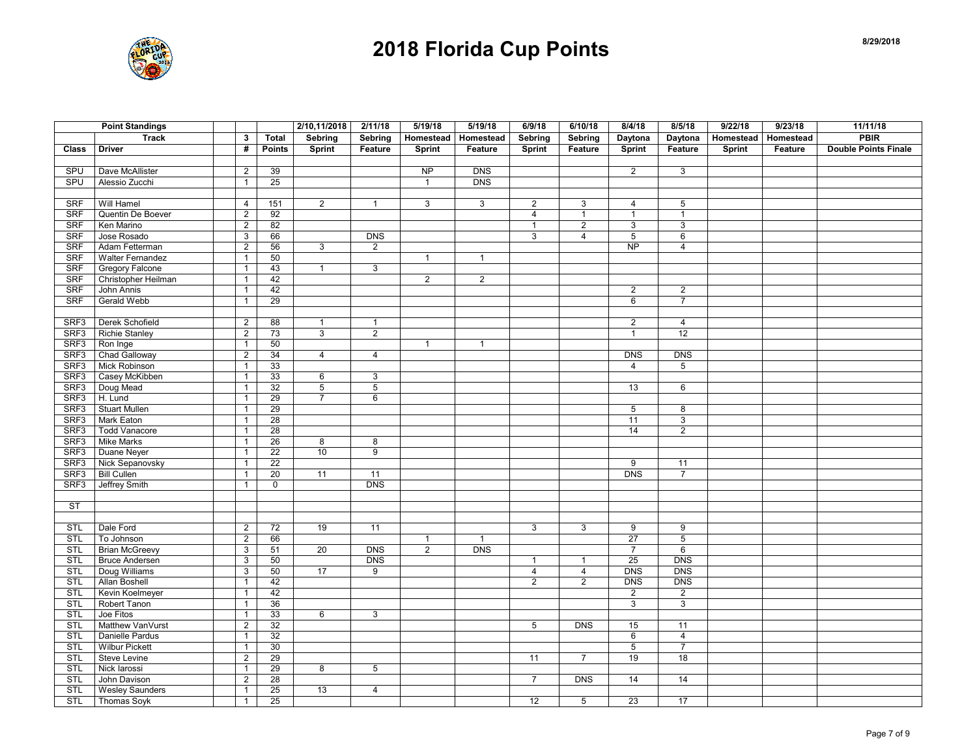

|              | <b>Point Standings</b>  |                |                 | 2/10,11/2018   | 2/11/18        | 5/19/18        | 5/19/18          | 6/9/18         | 6/10/18        | 8/4/18          | 8/5/18          | 9/22/18          | 9/23/18   | 11/11/18                    |
|--------------|-------------------------|----------------|-----------------|----------------|----------------|----------------|------------------|----------------|----------------|-----------------|-----------------|------------------|-----------|-----------------------------|
|              | <b>Track</b>            | 3              | <b>Total</b>    | Sebring        | Sebring        | Homestead      | Homestead        | Sebring        | Sebring        | Daytona         | Daytona         | <b>Homestead</b> | Homestead | <b>PBIR</b>                 |
| <b>Class</b> | <b>Driver</b>           | #              | <b>Points</b>   | <b>Sprint</b>  | Feature        | <b>Sprint</b>  | Feature          | Sprint         | Feature        | Sprint          | Feature         | Sprint           | Feature   | <b>Double Points Finale</b> |
|              |                         |                |                 |                |                |                |                  |                |                |                 |                 |                  |           |                             |
| SPU          | Dave McAllister         | $\overline{2}$ | 39              |                |                | NP             | <b>DNS</b>       |                |                | $\overline{2}$  | $\mathbf{3}$    |                  |           |                             |
| SPU          | Alessio Zucchi          | $\mathbf{1}$   | 25              |                |                | $\overline{1}$ | <b>DNS</b>       |                |                |                 |                 |                  |           |                             |
|              |                         |                |                 |                |                |                |                  |                |                |                 |                 |                  |           |                             |
| <b>SRF</b>   | Will Hamel              | 4              | 151             | $\overline{2}$ | $\mathbf{1}$   | $\mathbf{3}$   | $\mathbf{3}$     | $\overline{2}$ | 3              | $\overline{4}$  | $5\phantom{.0}$ |                  |           |                             |
| SRF          | Quentin De Boever       | $\overline{2}$ | 92              |                |                |                |                  | 4              | $\mathbf{1}$   | $\mathbf{1}$    | $\mathbf{1}$    |                  |           |                             |
| <b>SRF</b>   | Ken Marino              | $\overline{2}$ | 82              |                |                |                |                  | $\mathbf{1}$   | $\overline{2}$ | 3               | 3               |                  |           |                             |
| <b>SRF</b>   | Jose Rosado             | 3              | 66              |                | <b>DNS</b>     |                |                  | 3              | $\overline{4}$ | $\overline{5}$  | $6\overline{6}$ |                  |           |                             |
| <b>SRF</b>   | Adam Fetterman          | $\overline{c}$ | 56              | 3              | 2              |                |                  |                |                | $\overline{NP}$ | $\overline{4}$  |                  |           |                             |
| <b>SRF</b>   | <b>Walter Fernandez</b> | $\mathbf{1}$   | 50              |                |                | $\mathbf{1}$   | $\mathbf{1}$     |                |                |                 |                 |                  |           |                             |
| <b>SRF</b>   | Gregory Falcone         | $\mathbf{1}$   | 43              | $\mathbf{1}$   | 3              |                |                  |                |                |                 |                 |                  |           |                             |
| <b>SRF</b>   | Christopher Heilman     | $\mathbf{1}$   | 42              |                |                | $\overline{2}$ | $\overline{2}$   |                |                |                 |                 |                  |           |                             |
| <b>SRF</b>   | John Annis              | $\mathbf{1}$   | 42              |                |                |                |                  |                |                | $\overline{2}$  | $\overline{2}$  |                  |           |                             |
| <b>SRF</b>   | Gerald Webb             | $\mathbf{1}$   | 29              |                |                |                |                  |                |                | 6               | $\overline{7}$  |                  |           |                             |
|              |                         |                |                 |                |                |                |                  |                |                |                 |                 |                  |           |                             |
| SRF3         | Derek Schofield         | $\overline{2}$ | 88              | $\mathbf{1}$   | $\mathbf{1}$   |                |                  |                |                | $\overline{2}$  | $\overline{4}$  |                  |           |                             |
| SRF3         | <b>Richie Stanley</b>   | $\overline{c}$ | 73              | 3              | $\overline{2}$ |                |                  |                |                | $\mathbf{1}$    | 12              |                  |           |                             |
| SRF3         | Ron Inge                | $\mathbf{1}$   | 50              |                |                | $\mathbf{1}$   | $\mathbf{1}$     |                |                |                 |                 |                  |           |                             |
| SRF3         | Chad Galloway           | $\sqrt{2}$     | 34              | $\overline{4}$ | $\overline{4}$ |                |                  |                |                | <b>DNS</b>      | <b>DNS</b>      |                  |           |                             |
| SRF3         | Mick Robinson           | $\mathbf{1}$   | 33              |                |                |                |                  |                |                | $\overline{4}$  | $5\overline{)}$ |                  |           |                             |
| SRF3         | Casey McKibben          | $\mathbf{1}$   | 33              | 6              | 3              |                |                  |                |                |                 |                 |                  |           |                             |
| SRF3         | Doug Mead               | $\mathbf{1}$   | 32              | $\overline{5}$ | $\overline{5}$ |                |                  |                |                | 13              | 6               |                  |           |                             |
| SRF3         | H. Lund                 | $\mathbf{1}$   | 29              | $\overline{7}$ | 6              |                |                  |                |                |                 |                 |                  |           |                             |
| SRF3         | <b>Stuart Mullen</b>    | $\mathbf{1}$   | 29              |                |                |                |                  |                |                | 5               | 8               |                  |           |                             |
| SRF3         | Mark Eaton              | $\mathbf{1}$   | 28              |                |                |                |                  |                |                | 11              | 3               |                  |           |                             |
| SRF3         | <b>Todd Vanacore</b>    | $\mathbf{1}$   | 28              |                |                |                |                  |                |                | 14              | $\overline{2}$  |                  |           |                             |
| SRF3         | <b>Mike Marks</b>       | $\mathbf{1}$   | 26              | 8              | 8              |                |                  |                |                |                 |                 |                  |           |                             |
| SRF3         | Duane Neyer             | $\mathbf{1}$   | $\overline{22}$ | 10             | 9              |                |                  |                |                |                 |                 |                  |           |                             |
| SRF3         | Nick Sepanovsky         | $\mathbf{1}$   | 22              |                |                |                |                  |                |                | 9               | 11              |                  |           |                             |
| SRF3         | <b>Bill Cullen</b>      | $\mathbf{1}$   | $\overline{20}$ | 11             | 11             |                |                  |                |                | <b>DNS</b>      | $\overline{7}$  |                  |           |                             |
| SRF3         | Jeffrey Smith           | $\mathbf{1}$   | $\mathbf 0$     |                | <b>DNS</b>     |                |                  |                |                |                 |                 |                  |           |                             |
|              |                         |                |                 |                |                |                |                  |                |                |                 |                 |                  |           |                             |
| <b>ST</b>    |                         |                |                 |                |                |                |                  |                |                |                 |                 |                  |           |                             |
|              |                         |                |                 |                |                |                |                  |                |                |                 |                 |                  |           |                             |
| <b>STL</b>   | Dale Ford               | $\overline{2}$ | 72              | 19             | 11             |                |                  | $\mathbf{3}$   | 3              | 9               | 9               |                  |           |                             |
| STL          | To Johnson              | $\overline{2}$ | 66              |                |                | $\overline{1}$ | $\overline{1}$   |                |                | 27              | 5               |                  |           |                             |
| <b>STL</b>   | <b>Brian McGreevy</b>   | 3              | 51              | 20             | <b>DNS</b>     | $\overline{2}$ | $\overline{DNS}$ |                |                | $\overline{7}$  | 6               |                  |           |                             |
| STL          | <b>Bruce Andersen</b>   | 3              | 50              |                | <b>DNS</b>     |                |                  | $\mathbf{1}$   | $\mathbf{1}$   | 25              | <b>DNS</b>      |                  |           |                             |
| <b>STL</b>   | Doug Williams           | $\mathsf 3$    | 50              | 17             | 9              |                |                  | $\overline{4}$ | $\overline{4}$ | <b>DNS</b>      | <b>DNS</b>      |                  |           |                             |
| <b>STL</b>   | <b>Allan Boshell</b>    | $\mathbf{1}$   | 42              |                |                |                |                  | $\overline{2}$ | $\overline{2}$ | DNS             | <b>DNS</b>      |                  |           |                             |
| <b>STL</b>   | Kevin Koelmeyer         | $\mathbf{1}$   | 42              |                |                |                |                  |                |                | $\overline{2}$  | $\overline{2}$  |                  |           |                             |
| <b>STL</b>   | Robert Tanon            | $\mathbf{1}$   | 36              |                |                |                |                  |                |                | 3               | $\mathbf{3}$    |                  |           |                             |
| <b>STL</b>   | Joe Fitos               | $\mathbf{1}$   | 33              | 6              | $\overline{3}$ |                |                  |                |                |                 |                 |                  |           |                             |
| <b>STL</b>   | Matthew VanVurst        | $\overline{2}$ | 32              |                |                |                |                  | 5              | <b>DNS</b>     | 15              | 11              |                  |           |                             |
| <b>STL</b>   | Danielle Pardus         | $\mathbf{1}$   | $\overline{32}$ |                |                |                |                  |                |                | 6               | $\overline{4}$  |                  |           |                             |
| <b>STL</b>   | <b>Wilbur Pickett</b>   | $\mathbf{1}$   | 30              |                |                |                |                  |                |                | 5               | $\overline{7}$  |                  |           |                             |
| STL          | Steve Levine            | $\overline{2}$ | 29              |                |                |                |                  | 11             | $\overline{7}$ | 19              | 18              |                  |           |                             |
| <b>STL</b>   | Nick larossi            | $\mathbf{1}$   | 29              | $\overline{8}$ | $\overline{5}$ |                |                  |                |                |                 |                 |                  |           |                             |
| <b>STL</b>   | John Davison            | $\overline{2}$ | 28              |                |                |                |                  | $\overline{7}$ | <b>DNS</b>     | 14              | 14              |                  |           |                             |
| <b>STL</b>   | <b>Wesley Saunders</b>  | $\mathbf{1}$   | 25              | 13             | $\overline{4}$ |                |                  |                |                |                 |                 |                  |           |                             |
| <b>STL</b>   | <b>Thomas Soyk</b>      | $\mathbf{1}$   | 25              |                |                |                |                  | 12             | 5              | 23              | 17              |                  |           |                             |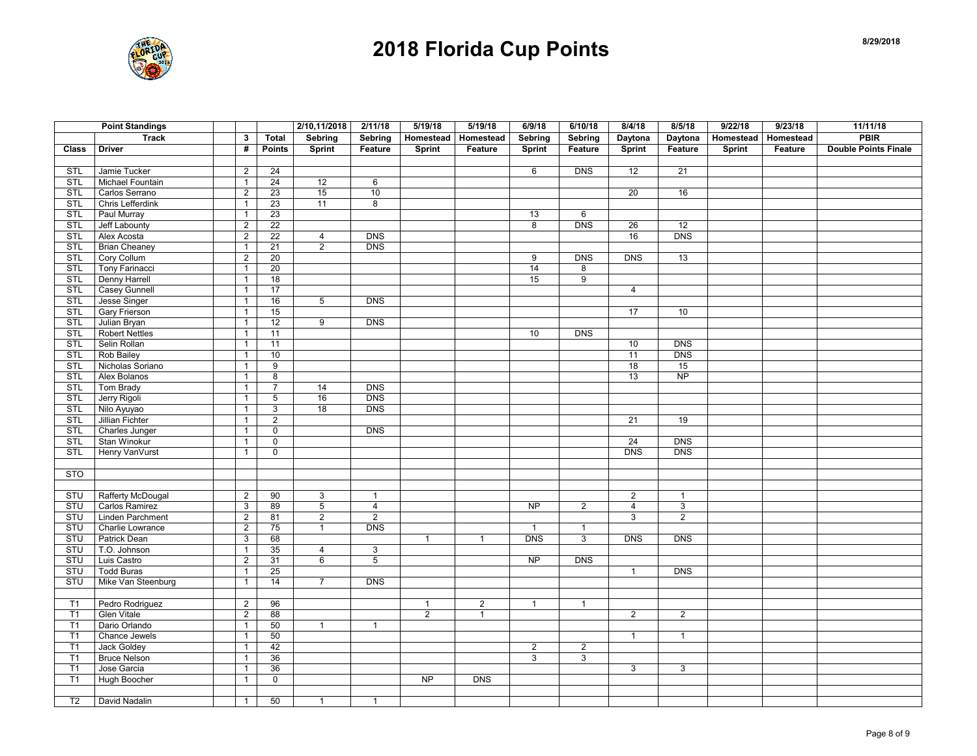

|                | <b>Point Standings</b> |                           |                | 2/10,11/2018   | 2/11/18        | 5/19/18        | 5/19/18        | 6/9/18          | 6/10/18        | 8/4/18          | 8/5/18          | 9/22/18   | 9/23/18   | 11/11/18                    |
|----------------|------------------------|---------------------------|----------------|----------------|----------------|----------------|----------------|-----------------|----------------|-----------------|-----------------|-----------|-----------|-----------------------------|
|                | <b>Track</b>           | 3                         | Total          | Sebring        | Sebring        | Homestead      | Homestead      | Sebring         | Sebring        | Daytona         | Daytona         | Homestead | Homestead | <b>PBIR</b>                 |
| <b>Class</b>   | <b>Driver</b>          | #                         | <b>Points</b>  | <b>Sprint</b>  | Feature        | Sprint         | Feature        | Sprint          | Feature        | Sprint          | Feature         | Sprint    | Feature   | <b>Double Points Finale</b> |
|                |                        |                           |                |                |                |                |                |                 |                |                 |                 |           |           |                             |
| <b>STL</b>     | Jamie Tucker           | $\overline{2}$            | 24             |                |                |                |                | 6               | DNS            | 12              | 21              |           |           |                             |
| STL            | Michael Fountain       | $\mathbf{1}$              | 24             | 12             | 6              |                |                |                 |                |                 |                 |           |           |                             |
| <b>STL</b>     | Carlos Serrano         | $\overline{2}$            | 23             | 15             | 10             |                |                |                 |                | 20              | 16              |           |           |                             |
| STL            | Chris Lefferdink       | $\mathbf{1}$              | 23             | 11             | 8              |                |                |                 |                |                 |                 |           |           |                             |
| <b>STL</b>     | Paul Murray            | $\mathbf{1}$              | 23             |                |                |                |                | 13              | 6              |                 |                 |           |           |                             |
| <b>STL</b>     | Jeff Labounty          | $\overline{2}$            | 22             |                |                |                |                | 8               | <b>DNS</b>     | 26              | $\overline{12}$ |           |           |                             |
| <b>STL</b>     | Alex Acosta            | 2                         | 22             | $\overline{4}$ | <b>DNS</b>     |                |                |                 |                | 16              | <b>DNS</b>      |           |           |                             |
| <b>STL</b>     | <b>Brian Cheaney</b>   | $\mathbf{1}$              | 21             | $\overline{2}$ | DNS            |                |                |                 |                |                 |                 |           |           |                             |
| <b>STL</b>     | Cory Collum            | $\overline{2}$            | 20             |                |                |                |                | 9               | <b>DNS</b>     | <b>DNS</b>      | 13              |           |           |                             |
| <b>STL</b>     | Tony Farinacci         | $\mathbf{1}$              | 20             |                |                |                |                | 14              | 8              |                 |                 |           |           |                             |
| <b>STL</b>     | Denny Harrell          | $\mathbf{1}$              | 18             |                |                |                |                | 15              | $\overline{9}$ |                 |                 |           |           |                             |
| <b>STL</b>     | <b>Casey Gunnell</b>   | $\mathbf{1}$              | 17             |                |                |                |                |                 |                | $\overline{4}$  |                 |           |           |                             |
| <b>STL</b>     | Jesse Singer           | $\mathbf{1}$              | 16             | 5              | <b>DNS</b>     |                |                |                 |                |                 |                 |           |           |                             |
| <b>STL</b>     | Gary Frierson          | $\mathbf{1}$              | 15             |                |                |                |                |                 |                | $\overline{17}$ | 10              |           |           |                             |
| STL            | Julian Bryan           | $\mathbf{1}$              | 12             | $\overline{9}$ | <b>DNS</b>     |                |                |                 |                |                 |                 |           |           |                             |
| <b>STL</b>     | <b>Robert Nettles</b>  | $\mathbf{1}$              | 11             |                |                |                |                | 10              | <b>DNS</b>     |                 |                 |           |           |                             |
| <b>STL</b>     | Selin Rollan           | $\mathbf{1}$              | 11             |                |                |                |                |                 |                | 10              | <b>DNS</b>      |           |           |                             |
| STL            | Rob Bailey             | $\overline{1}$            | 10             |                |                |                |                |                 |                | 11              | <b>DNS</b>      |           |           |                             |
| <b>STL</b>     | Nicholas Soriano       | $\mathbf{1}$              | $\overline{9}$ |                |                |                |                |                 |                | 18              | 15              |           |           |                             |
| <b>STL</b>     | Alex Bolanos           | $\mathbf{1}$              | 8              |                |                |                |                |                 |                | 13              | <b>NP</b>       |           |           |                             |
| <b>STL</b>     | Tom Brady              | $\mathbf{1}$              | $\overline{7}$ | 14             | <b>DNS</b>     |                |                |                 |                |                 |                 |           |           |                             |
| <b>STL</b>     | Jerry Rigoli           | $\mathbf{1}$              | 5              | 16             | <b>DNS</b>     |                |                |                 |                |                 |                 |           |           |                             |
| <b>STL</b>     | Nilo Ayuyao            | $\mathbf{1}$              | $\overline{3}$ | 18             | <b>DNS</b>     |                |                |                 |                |                 |                 |           |           |                             |
| <b>STL</b>     | Jillian Fichter        | $\mathbf{1}$              | $\overline{2}$ |                |                |                |                |                 |                | 21              | 19              |           |           |                             |
| <b>STL</b>     | Charles Junger         | $\mathbf{1}$              | $\overline{0}$ |                | DNS            |                |                |                 |                |                 |                 |           |           |                             |
| <b>STL</b>     | Stan Winokur           | $\mathbf{1}$              | $\mathsf 0$    |                |                |                |                |                 |                | 24              | <b>DNS</b>      |           |           |                             |
| <b>STL</b>     | Henry VanVurst         | $\mathbf{1}$              | $\mathsf 0$    |                |                |                |                |                 |                | <b>DNS</b>      | <b>DNS</b>      |           |           |                             |
|                |                        |                           |                |                |                |                |                |                 |                |                 |                 |           |           |                             |
| <b>STO</b>     |                        |                           |                |                |                |                |                |                 |                |                 |                 |           |           |                             |
|                |                        |                           |                |                |                |                |                |                 |                |                 |                 |           |           |                             |
| STU            | Rafferty McDougal      | $\overline{2}$            | 90             | 3              | $\mathbf{1}$   |                |                |                 |                | $\overline{2}$  | $\mathbf{1}$    |           |           |                             |
| STU            | Carlos Ramirez         | $\ensuremath{\mathsf{3}}$ | 89             | $\overline{5}$ | $\overline{4}$ |                |                | $\overline{NP}$ | $\overline{2}$ | $\overline{4}$  | $\mathsf 3$     |           |           |                             |
| <b>STU</b>     | Linden Parchment       | $\overline{2}$            | 81             | $\overline{2}$ | $\overline{2}$ |                |                |                 |                | 3               | $\overline{2}$  |           |           |                             |
| STU            | Charlie Lowrance       | $\overline{2}$            | 75             | $\mathbf{1}$   | <b>DNS</b>     |                |                | $\mathbf{1}$    | $\mathbf{1}$   |                 |                 |           |           |                             |
| STU            | <b>Patrick Dean</b>    | 3                         | 68             |                |                | $\mathbf{1}$   | $\mathbf{1}$   | <b>DNS</b>      | 3              | <b>DNS</b>      | <b>DNS</b>      |           |           |                             |
| STU            | T.O. Johnson           | $\mathbf{1}$              | 35             | $\overline{4}$ | 3              |                |                |                 |                |                 |                 |           |           |                             |
| STU            | Luis Castro            | $\overline{2}$            | 31             | 6              | 5              |                |                | <b>NP</b>       | <b>DNS</b>     |                 |                 |           |           |                             |
| STU            | <b>Todd Buras</b>      | $\mathbf{1}$              | 25             |                |                |                |                |                 |                | $\mathbf{1}$    | <b>DNS</b>      |           |           |                             |
| STU            | Mike Van Steenburg     | $\mathbf{1}$              | 14             | $\overline{7}$ | <b>DNS</b>     |                |                |                 |                |                 |                 |           |           |                             |
|                |                        |                           |                |                |                |                |                |                 |                |                 |                 |           |           |                             |
| T1             | Pedro Rodriguez        | $\sqrt{2}$                | 96             |                |                | $\mathbf{1}$   | $\overline{2}$ | $\mathbf{1}$    | $\mathbf{1}$   |                 |                 |           |           |                             |
| T1             | <b>Glen Vitale</b>     | 2                         | 88             |                |                | $\overline{2}$ | $\mathbf{1}$   |                 |                | $\overline{2}$  | $\overline{2}$  |           |           |                             |
| T1             | Dario Orlando          | $\mathbf{1}$              | 50             | $\mathbf{1}$   | $\mathbf{1}$   |                |                |                 |                |                 |                 |           |           |                             |
| T1             | Chance Jewels          | $\mathbf{1}$              | 50             |                |                |                |                |                 |                | $\mathbf{1}$    | $\mathbf{1}$    |           |           |                             |
| T1             | <b>Jack Goldey</b>     | $\mathbf{1}$              | 42             |                |                |                |                | $\overline{2}$  | $\overline{2}$ |                 |                 |           |           |                             |
| T1             | <b>Bruce Nelson</b>    | $\mathbf{1}$              | 36             |                |                |                |                | 3               | 3              |                 |                 |           |           |                             |
| T1             | Jose Garcia            | $\mathbf{1}$              | 36             |                |                |                |                |                 |                | $\overline{3}$  | $\mathbf{3}$    |           |           |                             |
| T1             | Hugh Boocher           | $\mathbf{1}$              | 0              |                |                | <b>NP</b>      | <b>DNS</b>     |                 |                |                 |                 |           |           |                             |
|                |                        |                           |                |                |                |                |                |                 |                |                 |                 |           |           |                             |
| T <sub>2</sub> | David Nadalin          | $\mathbf{1}$              | 50             | $\mathbf{1}$   | $\mathbf{1}$   |                |                |                 |                |                 |                 |           |           |                             |